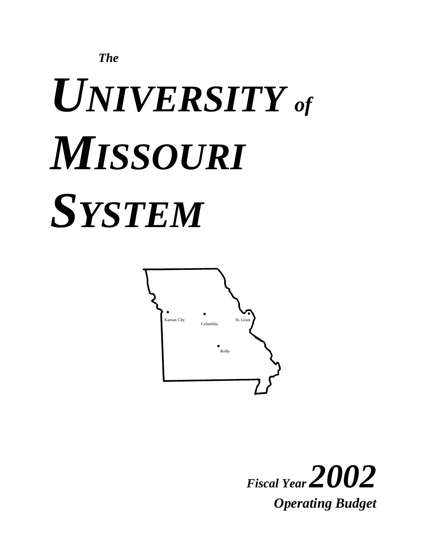

# *UNIVERSITY of MISSOURI SYSTEM*



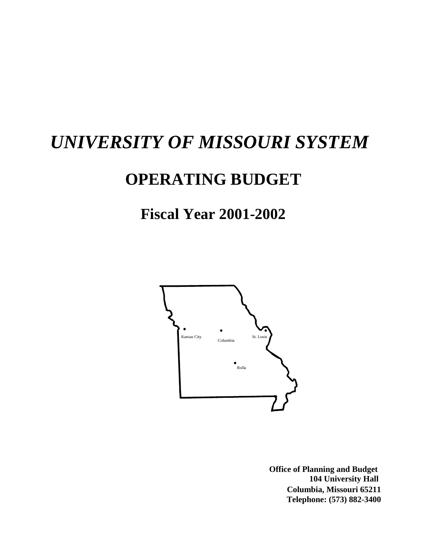# *UNIVERSITY OF MISSOURI SYSTEM*

# **OPERATING BUDGET**

**Fiscal Year 2001-2002**



 **104 University Hall Columbia, Missouri 65211 Telephone: (573) 882-3400 Office of Planning and Budget**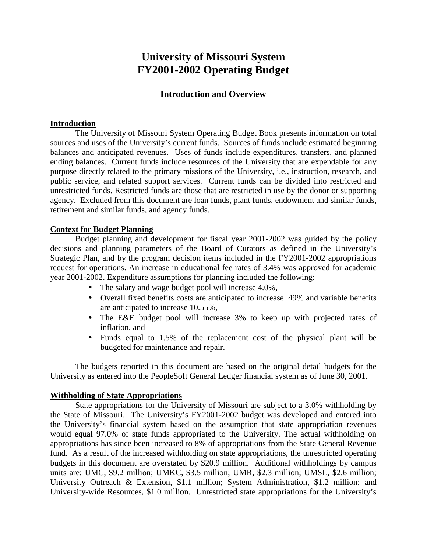# **University of Missouri System FY2001-2002 Operating Budget**

# **Introduction and Overview**

## **Introduction**

The University of Missouri System Operating Budget Book presents information on total sources and uses of the University's current funds. Sources of funds include estimated beginning balances and anticipated revenues. Uses of funds include expenditures, transfers, and planned ending balances. Current funds include resources of the University that are expendable for any purpose directly related to the primary missions of the University, i.e., instruction, research, and public service, and related support services. Current funds can be divided into restricted and unrestricted funds. Restricted funds are those that are restricted in use by the donor or supporting agency. Excluded from this document are loan funds, plant funds, endowment and similar funds, retirement and similar funds, and agency funds.

# **Context for Budget Planning**

Budget planning and development for fiscal year 2001-2002 was guided by the policy decisions and planning parameters of the Board of Curators as defined in the University's Strategic Plan, and by the program decision items included in the FY2001-2002 appropriations request for operations. An increase in educational fee rates of 3.4% was approved for academic year 2001-2002. Expenditure assumptions for planning included the following:

- The salary and wage budget pool will increase 4.0%,
- Overall fixed benefits costs are anticipated to increase .49% and variable benefits are anticipated to increase 10.55%,
- The E&E budget pool will increase 3% to keep up with projected rates of inflation, and
- Funds equal to 1.5% of the replacement cost of the physical plant will be budgeted for maintenance and repair.

The budgets reported in this document are based on the original detail budgets for the University as entered into the PeopleSoft General Ledger financial system as of June 30, 2001.

# **Withholding of State Appropriations**

State appropriations for the University of Missouri are subject to a 3.0% withholding by the State of Missouri. The University's FY2001-2002 budget was developed and entered into the University's financial system based on the assumption that state appropriation revenues would equal 97.0% of state funds appropriated to the University. The actual withholding on appropriations has since been increased to 8% of appropriations from the State General Revenue fund. As a result of the increased withholding on state appropriations, the unrestricted operating budgets in this document are overstated by \$20.9 million. Additional withholdings by campus units are: UMC, \$9.2 million; UMKC, \$3.5 million; UMR, \$2.3 million; UMSL, \$2.6 million; University Outreach & Extension, \$1.1 million; System Administration, \$1.2 million; and University-wide Resources, \$1.0 million. Unrestricted state appropriations for the University's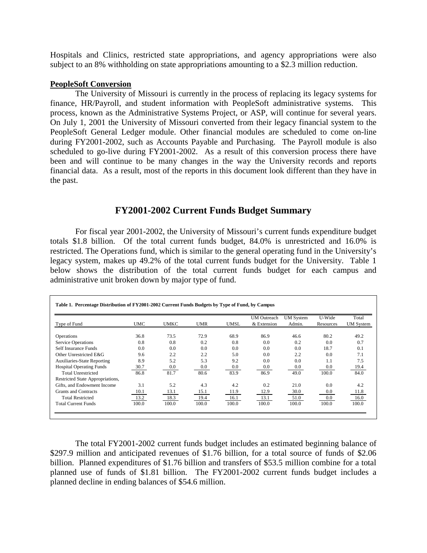Hospitals and Clinics, restricted state appropriations, and agency appropriations were also subject to an 8% withholding on state appropriations amounting to a \$2.3 million reduction.

## **PeopleSoft Conversion**

 The University of Missouri is currently in the process of replacing its legacy systems for finance, HR/Payroll, and student information with PeopleSoft administrative systems. This process, known as the Administrative Systems Project, or ASP, will continue for several years. On July 1, 2001 the University of Missouri converted from their legacy financial system to the PeopleSoft General Ledger module. Other financial modules are scheduled to come on-line during FY2001-2002, such as Accounts Payable and Purchasing. The Payroll module is also scheduled to go-live during FY2001-2002. As a result of this conversion process there have been and will continue to be many changes in the way the University records and reports financial data. As a result, most of the reports in this document look different than they have in the past.

# **FY2001-2002 Current Funds Budget Summary**

For fiscal year 2001-2002, the University of Missouri's current funds expenditure budget totals \$1.8 billion. Of the total current funds budget, 84.0% is unrestricted and 16.0% is restricted. The Operations fund, which is similar to the general operating fund in the University's legacy system, makes up 49.2% of the total current funds budget for the University. Table 1 below shows the distribution of the total current funds budget for each campus and administrative unit broken down by major type of fund.

|                                    |            |             |            |             | <b>UM</b> Outreach | <b>UM</b> System | U-Wide    | Total            |
|------------------------------------|------------|-------------|------------|-------------|--------------------|------------------|-----------|------------------|
| Type of Fund                       | <b>UMC</b> | <b>UMKC</b> | <b>UMR</b> | <b>UMSL</b> | & Extension        | Admin.           | Resources | <b>UM</b> System |
| <b>Operations</b>                  | 36.8       | 73.5        | 72.9       | 68.9        | 86.9               | 46.6             | 80.2      | 49.2             |
| <b>Service Operations</b>          | 0.8        | 0.8         | 0.2        | 0.8         | 0.0                | 0.2              | 0.0       | 0.7              |
| Self Insurance Funds               | 0.0        | 0.0         | 0.0        | 0.0         | 0.0                | 0.0              | 18.7      | 0.1              |
| Other Unrestricted E&G             | 9.6        | 2.2         | 2.2        | 5.0         | 0.0                | 2.2              | 0.0       | 7.1              |
| <b>Auxiliaries-State Reporting</b> | 8.9        | 5.2         | 5.3        | 9.2         | 0.0                | 0.0              | 1.1       | 7.5              |
| <b>Hospital Operating Funds</b>    | 30.7       | 0.0         | 0.0        | 0.0         | 0.0                | $0.0\,$          | 0.0       | 19.4             |
| <b>Total Unrestricted</b>          | 86.8       | 81.7        | 80.6       | 83.9        | 86.9               | 49.0             | 100.0     | 84.0             |
| Restricted State Appropriations,   |            |             |            |             |                    |                  |           |                  |
| Gifts, and Endowment Income        | 3.1        | 5.2         | 4.3        | 4.2         | 0.2                | 21.0             | 0.0       | 4.2              |
| Grants and Contracts               | 10.1       | 13.1        | 15.1       | 11.9        | 12.9               | 30.0             | 0.0       | 11.8             |
| <b>Total Restricted</b>            | 13.2       | 18.3        | 19.4       | 16.1        | 13.1               | 51.0             | 0.0       | 16.0             |
| <b>Total Current Funds</b>         | 100.0      | 100.0       | 100.0      | 100.0       | 100.0              | 100.0            | 100.0     | 100.0            |

The total FY2001-2002 current funds budget includes an estimated beginning balance of \$297.9 million and anticipated revenues of \$1.76 billion, for a total source of funds of \$2.06 billion. Planned expenditures of \$1.76 billion and transfers of \$53.5 million combine for a total planned use of funds of \$1.81 billion. The FY2001-2002 current funds budget includes a planned decline in ending balances of \$54.6 million.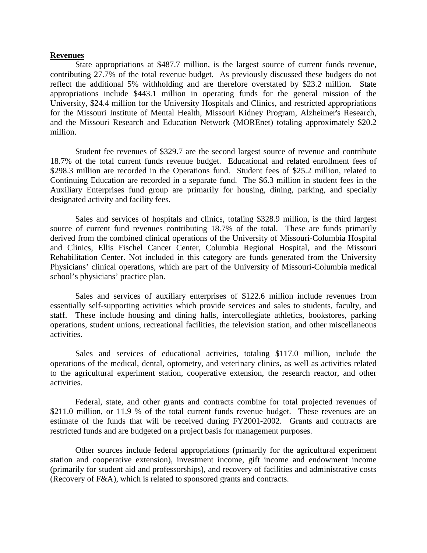#### **Revenues**

State appropriations at \$487.7 million, is the largest source of current funds revenue, contributing 27.7% of the total revenue budget. As previously discussed these budgets do not reflect the additional 5% withholding and are therefore overstated by \$23.2 million. State appropriations include \$443.1 million in operating funds for the general mission of the University, \$24.4 million for the University Hospitals and Clinics, and restricted appropriations for the Missouri Institute of Mental Health, Missouri Kidney Program, Alzheimer's Research, and the Missouri Research and Education Network (MOREnet) totaling approximately \$20.2 million.

Student fee revenues of \$329.7 are the second largest source of revenue and contribute 18.7% of the total current funds revenue budget. Educational and related enrollment fees of \$298.3 million are recorded in the Operations fund. Student fees of \$25.2 million, related to Continuing Education are recorded in a separate fund. The \$6.3 million in student fees in the Auxiliary Enterprises fund group are primarily for housing, dining, parking, and specially designated activity and facility fees.

Sales and services of hospitals and clinics, totaling \$328.9 million, is the third largest source of current fund revenues contributing 18.7% of the total. These are funds primarily derived from the combined clinical operations of the University of Missouri-Columbia Hospital and Clinics, Ellis Fischel Cancer Center, Columbia Regional Hospital, and the Missouri Rehabilitation Center. Not included in this category are funds generated from the University Physicians' clinical operations, which are part of the University of Missouri-Columbia medical school's physicians' practice plan.

Sales and services of auxiliary enterprises of \$122.6 million include revenues from essentially self-supporting activities which provide services and sales to students, faculty, and staff. These include housing and dining halls, intercollegiate athletics, bookstores, parking operations, student unions, recreational facilities, the television station, and other miscellaneous activities.

Sales and services of educational activities, totaling \$117.0 million, include the operations of the medical, dental, optometry, and veterinary clinics, as well as activities related to the agricultural experiment station, cooperative extension, the research reactor, and other activities.

Federal, state, and other grants and contracts combine for total projected revenues of \$211.0 million, or 11.9 % of the total current funds revenue budget. These revenues are an estimate of the funds that will be received during FY2001-2002. Grants and contracts are restricted funds and are budgeted on a project basis for management purposes.

Other sources include federal appropriations (primarily for the agricultural experiment station and cooperative extension), investment income, gift income and endowment income (primarily for student aid and professorships), and recovery of facilities and administrative costs (Recovery of F&A), which is related to sponsored grants and contracts.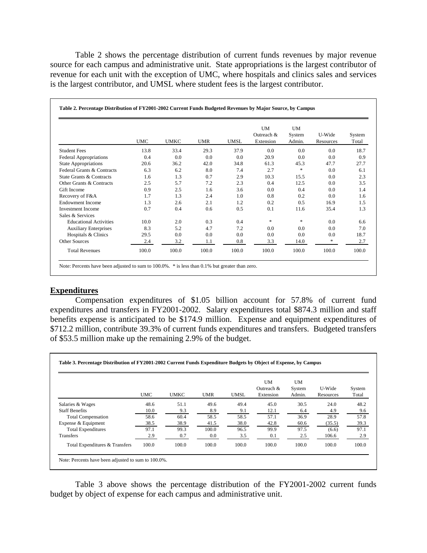Table 2 shows the percentage distribution of current funds revenues by major revenue source for each campus and administrative unit. State appropriations is the largest contributor of revenue for each unit with the exception of UMC, where hospitals and clinics sales and services is the largest contributor, and UMSL where student fees is the largest contributor.

|                                              | <b>UMC</b> | <b>UMKC</b> | <b>UMR</b> | <b>UMSL</b> | <b>UM</b><br>Outreach &<br>Extension | UM<br>System<br>Admin. | U-Wide<br>Resources | System<br>Total |
|----------------------------------------------|------------|-------------|------------|-------------|--------------------------------------|------------------------|---------------------|-----------------|
| <b>Student Fees</b>                          | 13.8       | 33.4        | 29.3       | 37.9        | 0.0                                  | 0.0                    | 0.0                 | 18.7            |
| <b>Federal Appropriations</b>                | 0.4        | 0.0         | 0.0        | 0.0         | 20.9                                 | 0.0                    | 0.0                 | 0.9             |
| <b>State Appropriations</b>                  | 20.6       | 36.2        | 42.0       | 34.8        | 61.3                                 | 45.3                   | 47.7                | 27.7            |
| Federal Grants & Contracts                   | 6.3        | 6.2         | 8.0        | 7.4         | 2.7                                  | $*$                    | 0.0                 | 6.1             |
| State Grants & Contracts                     | 1.6        | 1.3         | 0.7        | 2.9         | 10.3                                 | 15.5                   | 0.0                 | 2.3             |
| Other Grants & Contracts                     | 2.5        | 5.7         | 7.2        | 2.3         | 0.4                                  | 12.5                   | 0.0                 | 3.5             |
| Gift Income                                  | 0.9        | 2.5         | 1.6        | 3.6         | 0.0                                  | 0.4                    | 0.0                 | 1.4             |
| Recovery of F&A                              | 1.7        | 1.3         | 2.4        | 1.0         | 0.8                                  | 0.2                    | 0.0                 | 1.6             |
| <b>Endowment Income</b>                      | 1.3        | 2.6         | 2.1        | 1.2         | 0.2                                  | 0.5                    | 16.9                | 1.5             |
| <b>Investment Income</b><br>Sales & Services | 0.7        | 0.4         | 0.6        | 0.5         | 0.1                                  | 11.6                   | 35.4                | 1.3             |
| <b>Educational Activities</b>                | 10.0       | 2.0         | 0.3        | 0.4         | *                                    | *                      | 0.0                 | 6.6             |
| <b>Auxiliary Enterprises</b>                 | 8.3        | 5.2         | 4.7        | 7.2         | 0.0                                  | 0.0                    | 0.0                 | 7.0             |
| Hospitals & Clinics                          | 29.5       | 0.0         | 0.0        | 0.0         | 0.0                                  | 0.0                    | 0.0                 | 18.7            |
| Other Sources                                | 2.4        | 3.2         | 1.1        | 0.8         | 3.3                                  | 14.0                   | *                   | 2.7             |
| <b>Total Revenues</b>                        | 100.0      | 100.0       | 100.0      | 100.0       | 100.0                                | 100.0                  | 100.0               | 100.0           |

# **Expenditures**

 Compensation expenditures of \$1.05 billion account for 57.8% of current fund expenditures and transfers in FY2001-2002. Salary expenditures total \$874.3 million and staff benefits expense is anticipated to be \$174.9 million. Expense and equipment expenditures of \$712.2 million, contribute 39.3% of current funds expenditures and transfers. Budgeted transfers of \$53.5 million make up the remaining 2.9% of the budget.

|                                | <b>UMC</b> | <b>UMKC</b> | <b>UMR</b> | <b>UMSL</b> | <b>UM</b><br>Outreach &<br>Extension | UM<br>System<br>Admin. | U-Wide<br>Resources | System<br>Total |
|--------------------------------|------------|-------------|------------|-------------|--------------------------------------|------------------------|---------------------|-----------------|
| Salaries & Wages               | 48.6       | 51.1        | 49.6       | 49.4        | 45.0                                 | 30.5                   | 24.0                | 48.2            |
| <b>Staff Benefits</b>          | 10.0       | 9.3         | 8.9        | 9.1         | 12.1                                 | 6.4                    | 4.9                 | 9.6             |
| <b>Total Compensation</b>      | 58.6       | 60.4        | 58.5       | 58.5        | 57.1                                 | 36.9                   | 28.9                | 57.8            |
| Expense & Equipment            | 38.5       | 38.9        | 41.5       | 38.0        | 42.8                                 | 60.6                   | (35.5)              | 39.3            |
| <b>Total Expenditures</b>      | 97.1       | 99.3        | 100.0      | 96.5        | 99.9                                 | 97.5                   | (6.6)               | 97.1            |
| <b>Transfers</b>               | 2.9        | 0.7         | 0.0        | 3.5         | 0.1                                  | 2.5                    | 106.6               | 2.9             |
| Total Expenditures & Transfers | 100.0      | 100.0       | 100.0      | 100.0       | 100.0                                | 100.0                  | 100.0               | 100.0           |

 Table 3 above shows the percentage distribution of the FY2001-2002 current funds budget by object of expense for each campus and administrative unit.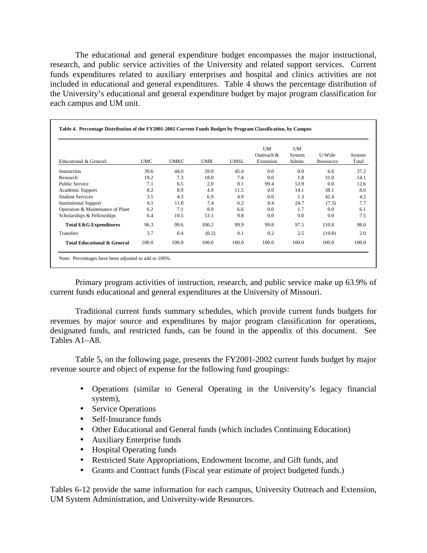The educational and general expenditure budget encompasses the major instructional, research, and public service activities of the University and related support services. Current funds expenditures related to auxiliary enterprises and hospital and clinics activities are not included in educational and general expenditures. Table 4 shows the percentage distribution of the University's educational and general expenditure budget by major program classification for each campus and UM unit.

| Educational & General:                 | <b>UMC</b> | <b>UMKC</b> | <b>UMR</b> | <b>UMSL</b> | <b>UM</b><br>Outreach &<br>Extension | <b>UM</b><br>System<br>Admin. | U-Wide<br>Resources | System<br>Total |
|----------------------------------------|------------|-------------|------------|-------------|--------------------------------------|-------------------------------|---------------------|-----------------|
| Instruction                            | 39.6       | 44.0        | 39.0       | 45.4        | 0.0                                  | 0.0                           | 6.6                 | 37.2            |
| Research                               | 19.2       | 7.3         | 18.0       | 7.4         | 0.0                                  | 1.8                           | 31.0                | 14.1            |
| <b>Public Service</b>                  | 7.1        | 6.5         | 2.0        | 8.1         | 99.4                                 | 53.9                          | 0.0                 | 12.6            |
| Academic Support                       | 8.2        | 8.9         | 4.9        | 11.5        | 0.0                                  | 14.1                          | 38.1                | 8.6             |
| <b>Student Services</b>                | 3.5        | 4.3         | 6.9        | 4.9         | 0.0                                  | 1.3                           | 42.4                | 4.2             |
| <b>Institutional Support</b>           | 6.1        | 11.0        | 7.4        | 6.2         | 0.4                                  | 24.7                          | (7.3)               | 7.7             |
| Operation & Maintenance of Plant       | 6.2        | 7.1         | 8.9        | 6.6         | 0.0                                  | 1.7                           | 0.0                 | 6.1             |
| Scholarships & Fellowships             | 6.4        | 10.5        | 13.1       | 9.8         | 0.0                                  | 0.0                           | 0.0                 | 7.5             |
| <b>Total E&amp;G Expenditures</b>      | 96.3       | 99.6        | 100.2      | 99.9        | 99.8                                 | 97.5                          | 110.8               | 98.0            |
| <b>Transfers</b>                       | 3.7        | 0.4         | (0.2)      | 0.1         | 0.2                                  | 2.5                           | (10.8)              | 2.0             |
| <b>Total Educational &amp; General</b> | 100.0      | 100.0       | 100.0      | 100.0       | 100.0                                | 100.0                         | 100.0               | 100.0           |

 Primary program activities of instruction, research, and public service make up 63.9% of current funds educational and general expenditures at the University of Missouri.

 Traditional current funds summary schedules, which provide current funds budgets for revenues by major source and expenditures by major program classification for operations, designated funds, and restricted funds, can be found in the appendix of this document. See Tables A1–A8.

Table 5, on the following page, presents the FY2001-2002 current funds budget by major revenue source and object of expense for the following fund groupings:

- Operations (similar to General Operating in the University's legacy financial system),
- Service Operations
- Self-Insurance funds
- Other Educational and General funds (which includes Continuing Education)
- Auxiliary Enterprise funds
- Hospital Operating funds
- Restricted State Appropriations, Endowment Income, and Gift funds, and
- Grants and Contract funds (Fiscal year estimate of project budgeted funds.)

Tables 6-12 provide the same information for each campus, University Outreach and Extension, UM System Administration, and University-wide Resources.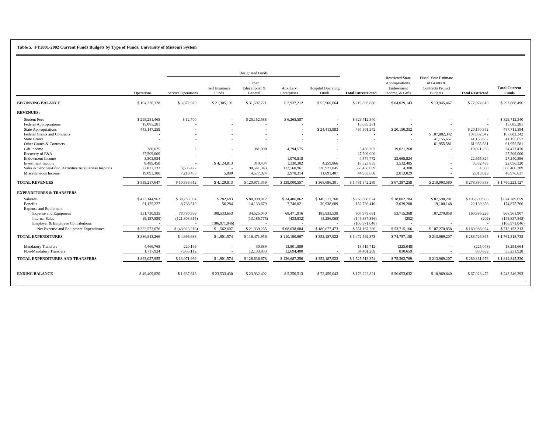#### **Table 5. FY2001-2002 Current Funds Budgets by Type of Funds, University of Missouri System**

|                                                         |               |                           |                         | <b>Designated Funds</b>           |                          |                                    |                           |                                                                            |                                                                                          |                         |                                      |
|---------------------------------------------------------|---------------|---------------------------|-------------------------|-----------------------------------|--------------------------|------------------------------------|---------------------------|----------------------------------------------------------------------------|------------------------------------------------------------------------------------------|-------------------------|--------------------------------------|
|                                                         | Operations    | <b>Service Operations</b> | Self Insurance<br>Funds | Other<br>Educational &<br>General | Auxiliary<br>Enterprises | <b>Hospital Operating</b><br>Funds | <b>Total Unrestricted</b> | <b>Restricted State</b><br>Appropriations,<br>Endowment<br>Income, & Gifts | <b>Fiscal Year Estimate</b><br>of Grants &<br><b>Contracts Project</b><br><b>Budgets</b> | <b>Total Restricted</b> | <b>Total Current</b><br><b>Funds</b> |
| <b>BEGINNING BALANCE</b>                                | \$104,220,128 | \$3,872,970               | \$21,305,191            | \$31,597,721                      | \$2,937,212              | \$55,960,664                       | \$219,893,886             | \$64,029,143                                                               | \$13,945,467                                                                             | \$77,974,610            | \$297,868,496                        |
| <b>REVENUES:</b>                                        |               |                           |                         |                                   |                          |                                    |                           |                                                                            |                                                                                          |                         |                                      |
| <b>Student Fees</b>                                     | \$298,281,465 | \$12,700                  |                         | \$25,152,588                      | \$6,265,587              |                                    | \$329,712,340             |                                                                            |                                                                                          |                         | \$329,712,340                        |
| <b>Federal Appropriations</b>                           | 15,085,281    |                           |                         |                                   |                          |                                    | 15,085,281                |                                                                            |                                                                                          |                         | 15,085,281                           |
| <b>State Appropriations</b>                             | 443,147,259   |                           |                         |                                   |                          | \$24,413,983                       | 467,561,242               | \$20,150,352                                                               |                                                                                          | \$20,150,352            | 487,711,594                          |
| <b>Federal Grants and Contracts</b>                     |               |                           |                         |                                   |                          |                                    | $\sim$                    |                                                                            | \$107,882,342                                                                            | 107,882,342             | 107,882,342                          |
| <b>State Grants</b>                                     |               |                           |                         |                                   |                          |                                    |                           |                                                                            | 41,155,657                                                                               | 41,155,657              | 41,155,657                           |
| Other Grants & Contracts                                |               |                           |                         |                                   |                          |                                    |                           |                                                                            | 61,955,581                                                                               | 61,955,581              | 61,955,581                           |
| Gift Income                                             | 280,625       | $\mathcal{L}$             |                         | 381,000                           | 4,794,575                |                                    | 5,456,202                 | 19,021,268                                                                 | $\sim$                                                                                   | 19,021,268              | 24,477,470                           |
| Recovery of F&A                                         | 27,509,000    |                           |                         |                                   |                          |                                    | 27,509,000                |                                                                            |                                                                                          |                         | 27,509,000                           |
| <b>Endowment Income</b>                                 | 3,503,954     |                           |                         |                                   | 1,070,818                |                                    | 4,574,772                 | 22,665,824                                                                 |                                                                                          | 22,665,824              | 27,240,596                           |
| <b>Investment Income</b>                                | 8,489,450     | $\overline{\phantom{a}}$  | \$4,124,813             | 319,404                           | 1,330,302                | 4,259,866                          | 18,523,835                | 3.532,485                                                                  |                                                                                          | 3,532,485               | 22.056.320                           |
| Sales & Services-Educ. Activities/Auxiliaries/Hospitals | 22,827,233    | 3,605,427                 |                         | 90,541,343                        | 122,560,961              | 328,921,045                        | 568,456,009               | 4,300                                                                      |                                                                                          | 4,300                   | 568,460,309                          |
| Miscellaneous Income                                    | 19,093,380    | 7,218,483                 | 5,000                   | 4,577,024                         | 2,978,314                | 11,091,407                         | 44,963,608                | 2,013,029                                                                  |                                                                                          | 2,013,029               | 46,976,637                           |
| <b>TOTAL REVENUES</b>                                   | \$838,217,647 | \$10,836,612              | \$4,129,813             | \$120,971,359                     | \$139,000.557            | \$368,686,301                      | \$1,481,842,289           | \$67,387,258                                                               | \$210,993,580                                                                            | \$278,380,838           | \$1,760,223,127                      |
| <b>EXPENDITURES &amp; TRANSFERS</b>                     |               |                           |                         |                                   |                          |                                    |                           |                                                                            |                                                                                          |                         |                                      |
| <b>Salaries</b>                                         | \$473,144,963 | \$39.283.394              | \$282,683               | \$80,999,012                      | \$34,406,862             | \$140,571,760                      | \$768,688,674             | \$18,002,784                                                               | \$87,598,201                                                                             | \$105,600,985           | \$874,289,659                        |
| Benefits                                                | 91,125,227    | 8,736,510                 | 56,284                  | 14,133,679                        | 7,746,021                | 30,938,689                         | 152,736,410               | 3,039,208                                                                  | 19,100,148                                                                               | 22,139,356              | 174,875,766                          |
| <b>Expense and Equipment</b>                            |               |                           |                         |                                   |                          |                                    |                           |                                                                            |                                                                                          |                         |                                      |
| <b>Expense and Equipment</b>                            | 331,730,935   | 78,780,599                | 108,533,653             | 34,525,040                        | 68,471,916               | 185,933,538                        | 807,975,681               | 53,715,368                                                                 | 107,270,858                                                                              | 160,986,226             | 968,961,907                          |
| <b>Internal Sales</b>                                   | (9,157,859)   | (121, 803, 815)           |                         | (13, 185, 775)                    | (433, 832)               | (5,256,065)                        | (149, 837, 346)           | (202)                                                                      |                                                                                          | (202)                   | (149, 837, 548)                      |
| Employer & Employee Contributions                       |               |                           | (106, 971, 046)         |                                   |                          |                                    | (106, 971, 046)           |                                                                            |                                                                                          |                         | (106, 971, 046)                      |
| Net Expense and Equipment Expenditures                  | \$322,573,076 | \$ (43,023,216)           | \$1,562,607             | \$21,339,265                      | \$68,038,084             | \$180,677,473                      | \$551,167,289             | \$53,715,166                                                               | \$107,270,858                                                                            | \$160,986,024           | \$712,153,313                        |
| <b>TOTAL EXPENDITURES</b>                               | \$886,843,266 | \$4,996,688               | \$1,901,574             | \$116,471,956                     | \$110,190,967            | \$352,187,922                      | \$1,472,592,373           | \$74,757,158                                                               | \$213,969,207                                                                            | \$288,726,365           | \$1,761,318,738                      |
| <b>Mandatory Transfers</b>                              | 4,466,765     | 220,169                   |                         | 30,889                            | 13,801,889               |                                    | 18,519,712                | (225, 048)                                                                 |                                                                                          | (225,048)               | 18,294,664                           |
| Non-Mandatory Transfers                                 | 1,717,924     | 7,855,112                 |                         | 12,133,833                        | 12,694,400               |                                    | 34,401,269                | 830,659                                                                    |                                                                                          | 830,659                 | 35,231,928                           |
| TOTAL EXPENDITURES AND TRANSFERS                        | \$893,027,955 | \$13,071,969              | \$1,901,574             | \$128,636,678                     | \$136,687,256            | \$352,187,922                      | \$1,525,513,354           | \$75,362,769                                                               | \$213,969,207                                                                            | \$289,331,976           | \$1,814,845,330                      |
| <b>ENDING BALANCE</b>                                   | \$49,409,820  | \$1,637,613               | \$23,533,430            | \$23,932,402                      | \$5,250,513              | \$72,459,043                       | \$176,222,821             | \$56,053,632                                                               | \$10,969,840                                                                             | \$67,023,472            | \$243,246,293                        |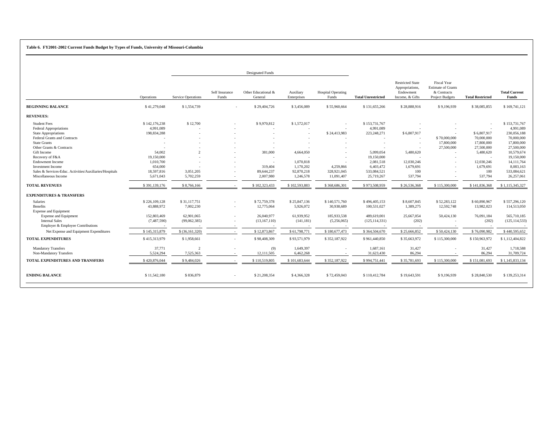#### **Table 6. FY2001-2002 Current Funds Budget by Types of Funds, University of Missouri-Columbia**

|                                                                                                             |                                           |                             |                         | <b>Designated Funds</b>                                         |                                      |                                        |                                             |                                                                            |                                                                                   |                                        |                                           |
|-------------------------------------------------------------------------------------------------------------|-------------------------------------------|-----------------------------|-------------------------|-----------------------------------------------------------------|--------------------------------------|----------------------------------------|---------------------------------------------|----------------------------------------------------------------------------|-----------------------------------------------------------------------------------|----------------------------------------|-------------------------------------------|
|                                                                                                             | <b>Operations</b>                         | <b>Service Operations</b>   | Self Insurance<br>Funds | Other Educational &<br>General                                  | Auxiliary<br>Enterprises             | <b>Hospital Operating</b><br>Funds     | <b>Total Unrestricted</b>                   | <b>Restricted State</b><br>Appropriations,<br>Endowment<br>Income, & Gifts | Fiscal Year<br><b>Estimate of Grants</b><br>& Contracts<br><b>Project Budgets</b> | <b>Total Restricted</b>                | <b>Total Current</b><br>Funds             |
| <b>BEGINNING BALANCE</b>                                                                                    | \$41,279,048                              | \$1,554,739                 |                         | \$29,404,726                                                    | \$3,456,089                          | \$55,960,664                           | \$131,655,266                               | \$28,888,916                                                               | \$9,196,939                                                                       | \$38,085,855                           | \$169,741,121                             |
| <b>REVENUES:</b>                                                                                            |                                           |                             |                         |                                                                 |                                      |                                        |                                             |                                                                            |                                                                                   |                                        |                                           |
| <b>Student Fees</b><br><b>Federal Appropriations</b><br><b>State Appropriations</b>                         | \$142,176,238<br>4,991,089<br>198,834,288 | \$12,700                    |                         | \$9,970,812                                                     | \$1,572,017                          | \$24,413,983                           | \$153,731,767<br>4,991,089<br>223, 248, 271 | \$6,807,917                                                                |                                                                                   | \$6,807,917                            | \$153,731,767<br>4,991,089<br>230,056,188 |
| Federal Grants and Contracts<br><b>State Grants</b><br>Other Grants & Contracts                             |                                           |                             |                         |                                                                 |                                      |                                        |                                             | $\sim$<br>$\sim$                                                           | \$70,000,000<br>17,800,000<br>27,500,000                                          | 70,000,000<br>17,800,000<br>27,500,000 | 70,000,000<br>17,800,000<br>27,500,000    |
| Gift Income<br>Recovery of F&A<br><b>Endowment Income</b>                                                   | 54,002<br>19,150,000<br>1,010,700         |                             |                         | 381,000<br>$\overline{\phantom{a}}$<br>$\overline{\phantom{a}}$ | 4,664,050<br>1,070,818               |                                        | 5,099,054<br>19,150,000<br>2,081,518        | 5,480,620<br>12,030,246                                                    |                                                                                   | 5,480,620<br>$\sim$<br>12,030,246      | 10,579,674<br>19,150,000<br>14, 111, 764  |
| <b>Investment Income</b><br>Sales & Services-Educ. Activities/Auxiliaries/Hospitals<br>Miscellaneous Income | 654,000<br>18,597,816<br>5,671,043        | 3,051,205<br>5,702,259      |                         | 319,404<br>89,644,237<br>2,007,980                              | 1,170,202<br>92,870,218<br>1,246,578 | 4,259,866<br>328,921,045<br>11,091,407 | 6,403,472<br>533,084,521<br>25,719,267      | 1,679,691<br>100<br>537,794                                                |                                                                                   | 1,679,691<br>100<br>537,794            | 8,083,163<br>533,084,621<br>26,257,061    |
| <b>TOTAL REVENUES</b>                                                                                       | \$391,139,176                             | \$8,766,166                 |                         | \$102,323,433                                                   | \$102,593,883                        | \$368,686,301                          | \$973,508,959                               | \$26,536,368                                                               | \$115,300,000                                                                     | \$141,836,368                          | \$1,115,345,327                           |
| <b>EXPENDITURES &amp; TRANSFERS</b>                                                                         |                                           |                             |                         |                                                                 |                                      |                                        |                                             |                                                                            |                                                                                   |                                        |                                           |
| <b>Salaries</b><br><b>Benefits</b><br><b>Expense and Equipment</b>                                          | \$226,109,128<br>43,888,972               | \$31,117,751<br>7,002,230   |                         | \$72,759,378<br>12,775,064                                      | \$25,847,136<br>5,926,072            | \$140,571,760<br>30,938,689            | \$496,405,153<br>100,531,027                | \$8,607,845<br>1,389,275                                                   | \$52,283,122<br>12,592,748                                                        | \$60,890,967<br>13,982,023             | \$557,296,120<br>114,513,050              |
| <b>Expense and Equipment</b><br><b>Internal Sales</b><br>Employer & Employee Contributions                  | 152,803,469<br>(7,487,590)                | 62,901,065<br>(99,062,385)  |                         | 26,040,977<br>(13, 167, 110)                                    | 61,939,952<br>(141, 181)             | 185,933,538<br>(5,256,065)             | 489,619,001<br>(125, 114, 331)              | 25,667,054<br>(202)                                                        | 50,424,130                                                                        | 76,091,184<br>(202)                    | 565,710,185<br>(125, 114, 533)            |
| Net Expense and Equipment Expenditures                                                                      | \$145,315,879                             | \$ (36, 161, 320)           |                         | \$12,873,867                                                    | \$61,798,771                         | \$180,677,473                          | \$364,504,670                               | \$25,666,852                                                               | \$50,424,130                                                                      | \$76,090,982                           | \$440,595,652                             |
| <b>TOTAL EXPENDITURES</b>                                                                                   | \$415,313,979                             | \$1,958,661                 |                         | \$98,408,309                                                    | \$93,571,979                         | \$352,187,922                          | \$961,440,850                               | \$35,663,972                                                               | \$115,300,000                                                                     | \$150,963,972                          | \$1,112,404,822                           |
| <b>Mandatory Transfers</b><br>Non-Mandatory Transfers                                                       | 37,771<br>5,524,294                       | $\overline{c}$<br>7,525,363 |                         | (9)<br>12,111,505                                               | 1,649,397<br>6,462,268               |                                        | 1,687,161<br>31,623,430                     | 31,427<br>86,294                                                           |                                                                                   | 31,427<br>86,294                       | 1,718,588<br>31,709,724                   |
| TOTAL EXPENDITURES AND TRANSFERS                                                                            | \$420,876,044                             | \$9,484,026                 |                         | \$110,519,805                                                   | \$101,683,644                        | \$352,187,922                          | \$994,751,441                               | \$35,781,693                                                               | \$115,300,000                                                                     | \$151,081,693                          | \$1,145,833,134                           |
| <b>ENDING BALANCE</b>                                                                                       | \$11,542,180                              | \$836,879                   |                         | \$21,208,354                                                    | \$4,366,328                          | \$72,459,043                           | \$110,412,784                               | \$19,643,591                                                               | \$9,196,939                                                                       | \$28,840,530                           | \$139,253,314                             |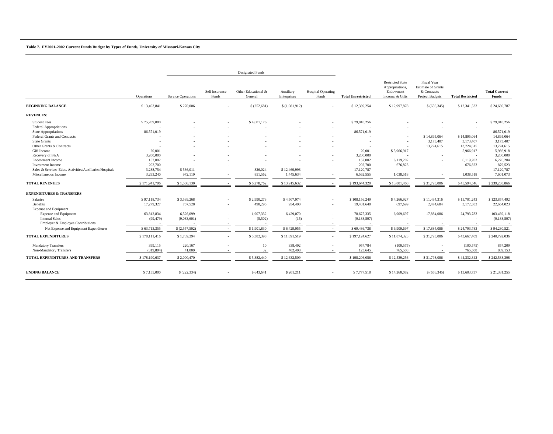## **Table 7. FY2001-2002 Current Funds Budget by Types of Funds, University of Missouri-Kansas City**

|                                                                                                                                                                                              |                                                                       |                                                                     |                         | <b>Designated Funds</b>                                       |                                                            |                                    |                                                                          |                                                                            |                                                                                          |                                                         |                                                                                  |
|----------------------------------------------------------------------------------------------------------------------------------------------------------------------------------------------|-----------------------------------------------------------------------|---------------------------------------------------------------------|-------------------------|---------------------------------------------------------------|------------------------------------------------------------|------------------------------------|--------------------------------------------------------------------------|----------------------------------------------------------------------------|------------------------------------------------------------------------------------------|---------------------------------------------------------|----------------------------------------------------------------------------------|
|                                                                                                                                                                                              | Operations                                                            | <b>Service Operations</b>                                           | Self Insurance<br>Funds | Other Educational &<br>General                                | Auxiliary<br>Enterprises                                   | <b>Hospital Operating</b><br>Funds | <b>Total Unrestricted</b>                                                | <b>Restricted State</b><br>Appropriations,<br>Endowment<br>Income, & Gifts | <b>Fiscal Year</b><br><b>Estimate of Grants</b><br>& Contracts<br><b>Project Budgets</b> | <b>Total Restricted</b>                                 | <b>Total Current</b><br>Funds                                                    |
| <b>BEGINNING BALANCE</b>                                                                                                                                                                     | \$13,403,841                                                          | \$270,006                                                           |                         | \$(252,681)                                                   | \$(1,081,912)                                              |                                    | \$12,339,254                                                             | \$12,997,878                                                               | \$ (656, 345)                                                                            | \$12,341,533                                            | \$24,680,787                                                                     |
| <b>REVENUES:</b>                                                                                                                                                                             |                                                                       |                                                                     |                         |                                                               |                                                            |                                    |                                                                          |                                                                            |                                                                                          |                                                         |                                                                                  |
| <b>Student Fees</b><br><b>Federal Appropriations</b><br>State Appropriations<br><b>Federal Grants and Contracts</b><br><b>State Grants</b><br>Other Grants & Contracts<br>Gift Income        | \$75,209,080<br>86,571,019<br>$\overline{a}$<br>20,001                |                                                                     |                         | \$4,601,176                                                   |                                                            |                                    | \$79,810,256<br>86,571,019<br>20,001                                     | $\overline{\phantom{a}}$<br>\$5,966,917                                    | \$14,895,064<br>3,173,407<br>13,724,615                                                  | \$14,895,064<br>3,173,407<br>13,724,615<br>5,966,917    | \$79,810,256<br>86,571,019<br>14,895,064<br>3,173,407<br>13,724,615<br>5,986,918 |
| Recovery of F&A<br><b>Endowment Income</b><br>Investment Income<br>Sales & Services-Educ. Activities/Auxiliaries/Hospitals<br>Miscellaneous Income                                           | 3,200,000<br>157,002<br>202,700<br>3,288,754<br>3,293,240             | \$536,011<br>972,119                                                |                         | 826,024<br>851,562                                            | \$12,469,998<br>1,445,634                                  |                                    | 3,200,000<br>157,002<br>202,700<br>17,120,787<br>6,562,555               | 6,119,202<br>676,823<br>1,038,518                                          | ٠                                                                                        | $\sim$<br>6,119,202<br>676,823<br>$\sim$<br>1,038,518   | 3,200,000<br>6,276,204<br>879,523<br>17,120,787<br>7,601,073                     |
| <b>TOTAL REVENUES</b>                                                                                                                                                                        | \$171,941,796                                                         | \$1,508,130                                                         |                         | \$6,278,762                                                   | \$13,915,632                                               |                                    | \$193,644,320                                                            | \$13,801,460                                                               | \$31,793,086                                                                             | \$45,594,546                                            | \$239,238,866                                                                    |
| <b>EXPENDITURES &amp; TRANSFERS</b>                                                                                                                                                          |                                                                       |                                                                     |                         |                                                               |                                                            |                                    |                                                                          |                                                                            |                                                                                          |                                                         |                                                                                  |
| Salaries<br>Benefits<br><b>Expense and Equipment</b><br><b>Expense and Equipment</b><br><b>Internal Sales</b><br>Employer & Employee Contributions<br>Net Expense and Equipment Expenditures | \$97,118,734<br>17,279,327<br>63,812,834<br>(99, 479)<br>\$63,713,355 | \$3,539,268<br>757,528<br>6,526,099<br>(9,083,601)<br>\$(2,557,502) | $\sim$                  | \$2,990,273<br>490,295<br>1,907,332<br>(5,502)<br>\$1,901,830 | \$4,507,974<br>954,490<br>6,429,070<br>(15)<br>\$6,429,055 | $\sim$<br>$\sim$                   | \$108,156,249<br>19,481,640<br>78,675,335<br>(9,188,597)<br>\$69,486,738 | \$4,266,927<br>697,699<br>6,909,697<br>\$6,909,697                         | \$11,434,316<br>2,474,684<br>17,884,086<br>\$17,884,086                                  | \$15,701,243<br>3,172,383<br>24,793,783<br>\$24,793,783 | \$123,857,492<br>22,654,023<br>103,469,118<br>(9,188,597)<br>\$94,280,521        |
| <b>TOTAL EXPENDITURES</b>                                                                                                                                                                    | \$178,111,416                                                         | \$1,739,294                                                         |                         | \$5,382,398                                                   | \$11,891,519                                               |                                    | \$197,124,627                                                            | \$11,874,323                                                               | \$31,793,086                                                                             | \$43,667,409                                            | \$240,792,036                                                                    |
| <b>Mandatory Transfers</b><br>Non-Mandatory Transfers                                                                                                                                        | 399,115<br>(319, 894)                                                 | 220,167<br>41,009                                                   |                         | 10<br>32                                                      | 338,492<br>402,498                                         |                                    | 957,784<br>123,645                                                       | (100, 575)<br>765,508                                                      |                                                                                          | (100, 575)<br>765,508                                   | 857,209<br>889,153                                                               |
| TOTAL EXPENDITURES AND TRANSFERS                                                                                                                                                             | \$178,190,637                                                         | \$2,000,470                                                         |                         | \$5,382,440                                                   | \$12,632,509                                               |                                    | \$198,206,056                                                            | \$12,539,256                                                               | \$31,793,086                                                                             | \$44,332,342                                            | \$242,538,398                                                                    |
| <b>ENDING BALANCE</b>                                                                                                                                                                        | \$7,155,000                                                           | \$(222, 334)                                                        |                         | \$643,641                                                     | \$201,211                                                  |                                    | \$7,777,518                                                              | \$14,260,082                                                               | \$ (656, 345)                                                                            | \$13,603,737                                            | \$21,381,255                                                                     |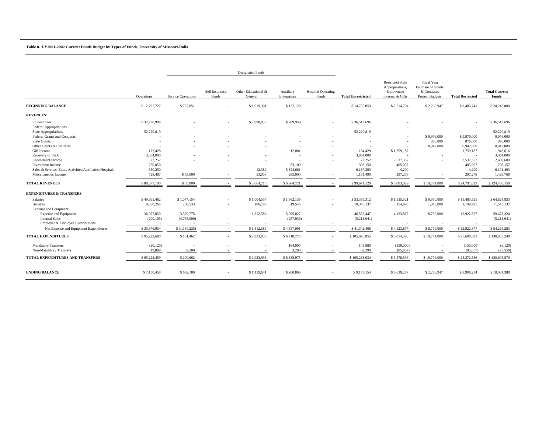## **Table 8. FY2001-2002 Current Funds Budget by Types of Funds, University of Missouri-Rolla**

|                                                         |              |                           |                         | <b>Designated Funds</b>        |                          |                                    |                           |                                                                            |                                                                                   |                         |                               |
|---------------------------------------------------------|--------------|---------------------------|-------------------------|--------------------------------|--------------------------|------------------------------------|---------------------------|----------------------------------------------------------------------------|-----------------------------------------------------------------------------------|-------------------------|-------------------------------|
|                                                         | Operations   | <b>Service Operations</b> | Self Insurance<br>Funds | Other Educational &<br>General | Auxiliary<br>Enterprises | <b>Hospital Operating</b><br>Funds | <b>Total Unrestricted</b> | <b>Restricted State</b><br>Appropriations,<br>Endowment<br>Income, & Gifts | Fiscal Year<br><b>Estimate of Grants</b><br>& Contracts<br><b>Project Budgets</b> | <b>Total Restricted</b> | <b>Total Current</b><br>Funds |
| <b>BEGINNING BALANCE</b>                                | \$12,795,727 | \$797,851                 |                         | \$1,019,361                    | \$122,120                |                                    | \$14,735,059              | \$7,214,794                                                                | \$2,268,947                                                                       | \$9,483,741             | \$24,218,800                  |
| <b>REVENUES:</b>                                        |              |                           |                         |                                |                          |                                    |                           |                                                                            |                                                                                   |                         |                               |
| <b>Student Fees</b>                                     | \$32,728,904 |                           |                         | \$2,998,833                    | \$789,959                |                                    | \$36,517,696              |                                                                            |                                                                                   |                         | \$36,517,696                  |
| <b>Federal Appropriations</b>                           |              |                           |                         |                                |                          |                                    |                           |                                                                            |                                                                                   |                         |                               |
| State Appropriations                                    | 52,220,819   |                           |                         |                                |                          |                                    | 52,220,819                |                                                                            |                                                                                   |                         | 52,220,819                    |
| Federal Grants and Contracts                            |              |                           |                         |                                |                          |                                    |                           |                                                                            | \$9,976,000                                                                       | \$9,976,000             | 9,976,000                     |
| <b>State Grants</b>                                     |              |                           |                         |                                |                          |                                    |                           |                                                                            | 876,000                                                                           | 876,000                 | 876,000                       |
| Other Grants & Contracts                                |              |                           |                         |                                |                          |                                    |                           |                                                                            | 8,942,000                                                                         | 8,942,000               | 8,942,000                     |
| Gift Income                                             | 172,428      |                           |                         |                                | 12,001                   |                                    | 184,429                   | \$1,759,187                                                                |                                                                                   | 1,759,187               | 1,943,616                     |
| Recovery of F&A                                         | 3,054,000    |                           |                         |                                | $\overline{a}$           |                                    | 3,054,000                 |                                                                            |                                                                                   |                         | 3,054,000                     |
| <b>Endowment Income</b>                                 | 72,252       |                           |                         |                                |                          |                                    | 72,252                    | 2,537,357                                                                  |                                                                                   | 2,537,357               | 2,609,609                     |
| Investment Income                                       | 250,050      |                           |                         |                                | 53,100                   |                                    | 303,150                   | 405,007                                                                    |                                                                                   | 405,007                 | 708,157                       |
| Sales & Services-Educ. Activities/Auxiliaries/Hospitals | 350,250      |                           |                         | 12,382                         | 5,824,661                |                                    | 6,187,293                 | 4,200                                                                      |                                                                                   | 4,200                   | 6,191,493                     |
| Miscellaneous Income                                    | 728,487      | \$65,000                  |                         | 53,003                         | 285,000                  |                                    | 1,131,490                 | 297,278                                                                    |                                                                                   | 297,278                 | 1,428,768                     |
| <b>TOTAL REVENUES</b>                                   | \$89,577,190 | \$65,000                  |                         | \$3,064,218                    | \$6,964,721              |                                    | \$99,671,129              | \$5,003,029                                                                | \$19,794,000                                                                      | \$24,797,029            | \$124,468,158                 |
| <b>EXPENDITURES &amp; TRANSFERS</b>                     |              |                           |                         |                                |                          |                                    |                           |                                                                            |                                                                                   |                         |                               |
| Salaries                                                | \$49,695,462 | \$1,077,154               |                         | \$1,004,557                    | \$1,562,139              |                                    | \$53,339,312              | \$1,535,521                                                                | \$9,950,000                                                                       | \$11,485,521            | \$64,824,833                  |
| Benefits                                                | 9,650,264    | 268,533                   | $\sim$                  | 106,795                        | 319,545                  | $\sim$                             | 10,345,137                | 154,995                                                                    | 1,045,000                                                                         | 1,199,995               | 11,545,132                    |
| <b>Expense and Equipment</b>                            |              |                           |                         |                                |                          |                                    |                           |                                                                            |                                                                                   |                         |                               |
| <b>Expense and Equipment</b>                            | 36,077,059   | 3,570,775                 |                         | 1,812,586                      | 5,095,027                |                                    | 46,555,447                | 4,123,877                                                                  | 8,799,000                                                                         | 12,922,877              | 59,478,324                    |
| <b>Internal Sales</b>                                   | (200, 105)   | (4,755,000)               |                         |                                | (257,936)                |                                    | (5,213,041)               |                                                                            |                                                                                   |                         | (5,213,041)                   |
| Employer & Employee Contributions                       |              |                           |                         |                                |                          |                                    |                           |                                                                            |                                                                                   |                         |                               |
| Net Expense and Equipment Expenditures                  | \$35,876,954 | \$(1,184,225)             |                         | \$1,812,586                    | \$4,837,091              |                                    | \$41,342,406              | \$4,123,877                                                                | \$8,799,000                                                                       | \$12,922,877            | \$54,265,283                  |
| <b>TOTAL EXPENDITURES</b>                               | \$95,222,680 | \$161,462                 |                         | \$2,923,938                    | \$6,718,775              | $\sim$                             | \$105,026,855             | \$5,814,393                                                                | \$19,794,000                                                                      | \$25,608,393            | \$130,635,248                 |
| <b>Mandatory Transfers</b>                              | (20, 120)    |                           |                         |                                | 164,000                  |                                    | 143,880                   | (150,000)                                                                  |                                                                                   | (150,000)               | (6,120)                       |
| Non-Mandatory Transfers                                 | 19,899       | 39,200                    |                         |                                | 3,200                    |                                    | 62,299                    | (85, 857)                                                                  |                                                                                   | (85, 857)               | (23,558)                      |
| TOTAL EXPENDITURES AND TRANSFERS                        | \$95,222,459 | \$200,662                 |                         | \$2,923,938                    | \$6,885,975              |                                    | \$105,233,034             | \$5,578,536                                                                | \$19,794,000                                                                      | \$25,372,536            | \$130,605,570                 |
| <b>ENDING BALANCE</b>                                   | \$7,150,458  | \$662,189                 |                         | \$1,159,641                    | \$200,866                |                                    | \$9,173,154               | \$6,639,287                                                                | \$2,268,947                                                                       | \$8,908,234             | \$18,081,388                  |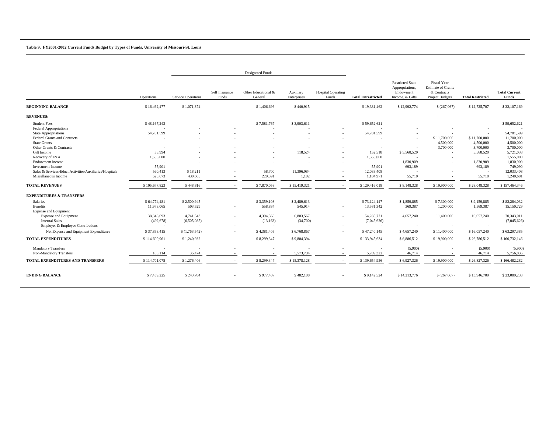#### **Table 9. FY2001-2002 Current Funds Budget by Types of Funds, University of Missouri-St. Louis**

|                                                         |               |                           |                          | <b>Designated Funds</b>        |                          |                                    |                           |                                                                            |                                                                                          |                          |                               |
|---------------------------------------------------------|---------------|---------------------------|--------------------------|--------------------------------|--------------------------|------------------------------------|---------------------------|----------------------------------------------------------------------------|------------------------------------------------------------------------------------------|--------------------------|-------------------------------|
|                                                         | Operations    | <b>Service Operations</b> | Self Insurance<br>Funds  | Other Educational &<br>General | Auxiliary<br>Enterprises | <b>Hospital Operating</b><br>Funds | <b>Total Unrestricted</b> | <b>Restricted State</b><br>Appropriations,<br>Endowment<br>Income, & Gifts | <b>Fiscal Year</b><br><b>Estimate of Grants</b><br>& Contracts<br><b>Project Budgets</b> | <b>Total Restricted</b>  | <b>Total Current</b><br>Funds |
| <b>BEGINNING BALANCE</b>                                | \$16,462,477  | \$1,071,374               |                          | \$1,406,696                    | \$440,915                |                                    | \$19,381,462              | \$12,992,774                                                               | \$(267,067)                                                                              | \$12,725,707             | \$32,107,169                  |
| <b>REVENUES:</b>                                        |               |                           |                          |                                |                          |                                    |                           |                                                                            |                                                                                          |                          |                               |
| <b>Student Fees</b>                                     | \$48,167,243  |                           |                          | \$7,581,767                    | \$3,903,611              | $\sim$                             | \$59,652,621              |                                                                            |                                                                                          |                          | \$59,652,621                  |
| <b>Federal Appropriations</b>                           |               |                           |                          | $\sim$                         |                          |                                    |                           |                                                                            |                                                                                          |                          |                               |
| <b>State Appropriations</b>                             | 54,781,599    |                           |                          |                                |                          | $\sim$                             | 54,781,599                |                                                                            |                                                                                          |                          | 54,781,599                    |
| Federal Grants and Contracts                            |               |                           |                          |                                |                          |                                    |                           | $\sim$                                                                     | \$11,700,000                                                                             | \$11,700,000             | 11,700,000                    |
| <b>State Grants</b>                                     |               |                           |                          |                                | $\sim$                   | $\sim$                             | $\sim$                    | $\sim$                                                                     | 4,500,000                                                                                | 4,500,000                | 4,500,000                     |
| Other Grants & Contracts                                |               |                           |                          |                                |                          |                                    |                           | $\sim$                                                                     | 3,700,000                                                                                | 3,700,000                | 3,700,000                     |
| Gift Income                                             | 33,994        |                           |                          |                                | 118,524                  |                                    | 152,518                   | \$5,568,520                                                                |                                                                                          | 5,568,520                | 5,721,038                     |
| Recovery of F&A                                         | 1,555,000     |                           |                          |                                | $\sim$                   | $\sim$                             | 1,555,000                 |                                                                            |                                                                                          | $\overline{a}$           | 1,555,000                     |
| <b>Endowment Income</b>                                 |               |                           |                          |                                |                          | $\sim$                             | $\sim$                    | 1,830,909                                                                  |                                                                                          | 1,830,909                | 1,830,909                     |
| Investment Income                                       | 55,901        |                           |                          |                                |                          |                                    | 55,901                    | 693,189                                                                    |                                                                                          | 693,189                  | 749,090                       |
| Sales & Services-Educ. Activities/Auxiliaries/Hospitals | 560,413       | \$18,211                  |                          | 58,700                         | 11,396,084               |                                    | 12,033,408                |                                                                            |                                                                                          | $\overline{\phantom{a}}$ | 12,033,408                    |
| Miscellaneous Income                                    | 523,673       | 430,605                   | $\overline{\phantom{a}}$ | 229,591                        | 1,102                    | $\sim$                             | 1,184,971                 | 55,710                                                                     |                                                                                          | 55,710                   | 1,240,681                     |
|                                                         |               |                           |                          |                                |                          |                                    |                           |                                                                            |                                                                                          |                          |                               |
| <b>TOTAL REVENUES</b>                                   | \$105,677,823 | \$448,816                 |                          | \$7,870,058                    | \$15,419,321             |                                    | \$129,416,018             | \$8,148,328                                                                | \$19,900,000                                                                             | \$28,048,328             | \$157,464,346                 |
| <b>EXPENDITURES &amp; TRANSFERS</b>                     |               |                           |                          |                                |                          |                                    |                           |                                                                            |                                                                                          |                          |                               |
| Salaries                                                | \$64,774,481  | \$2,500,945               |                          | \$3,359,108                    | \$2,489,613              |                                    | \$73,124,147              | \$1,859,885                                                                | \$7,300,000                                                                              | \$9,159,885              | \$82,284,032                  |
| Benefits                                                | 11,973,065    | 503,529                   | $\sim$                   | 558,834                        | 545,914                  | $\sim$                             | 13,581,342                | 369,387                                                                    | 1,200,000                                                                                | 1,569,387                | 15,150,729                    |
| <b>Expense and Equipment</b>                            |               |                           |                          |                                |                          |                                    |                           |                                                                            |                                                                                          |                          |                               |
| <b>Expense and Equipment</b>                            | 38,346,093    | 4,741,543                 |                          | 4,394,568                      | 6,803,567                |                                    | 54, 285, 771              | 4,657,240                                                                  | 11,400,000                                                                               | 16,057,240               | 70,343,011                    |
| <b>Internal Sales</b>                                   | (492, 678)    | (6,505,085)               |                          | (13, 163)                      | (34,700)                 |                                    | (7,045,626)               |                                                                            |                                                                                          |                          | (7,045,626)                   |
| Employer & Employee Contributions                       |               |                           |                          |                                |                          |                                    |                           |                                                                            |                                                                                          |                          |                               |
| Net Expense and Equipment Expenditures                  | \$37,853,415  | \$(1,763,542)             |                          | \$4,381,405                    | \$6,768,867              |                                    | \$47,240,145              | \$4,657,240                                                                | \$11,400,000                                                                             | \$16,057,240             | \$63,297,385                  |
| <b>TOTAL EXPENDITURES</b>                               | \$114,600,961 | \$1,240,932               |                          | \$8,299,347                    | \$9,804,394              | $\sim$                             | \$133,945,634             | \$6,886,512                                                                | \$19,900,000                                                                             | \$26,786,512             | \$160,732,146                 |
|                                                         |               |                           |                          |                                |                          |                                    |                           |                                                                            |                                                                                          |                          |                               |
| <b>Mandatory Transfers</b>                              |               |                           |                          |                                |                          |                                    |                           | (5,900)                                                                    |                                                                                          | (5,900)                  | (5,900)                       |
| Non-Mandatory Transfers                                 | 100,114       | 35,474                    |                          |                                | 5,573,734                |                                    | 5,709,322                 | 46,714                                                                     |                                                                                          | 46,714                   | 5,756,036                     |
| <b>TOTAL EXPENDITURES AND TRANSFERS</b>                 | \$114,701,075 | \$1,276,406               |                          | \$8,299,347                    | \$15,378,128             |                                    | \$139,654,956             | \$6,927,326                                                                | \$19,900,000                                                                             | \$26,827,326             | \$166,482,282                 |
|                                                         |               |                           |                          |                                |                          |                                    |                           |                                                                            |                                                                                          |                          |                               |
| <b>ENDING BALANCE</b>                                   | \$7,439,225   | \$243,784                 | $\sim$                   | \$977,407                      | \$482,108                | $\sim$                             | \$9,142,524               | \$14,213,776                                                               | \$(267,067)                                                                              | \$13,946,709             | \$23,089,233                  |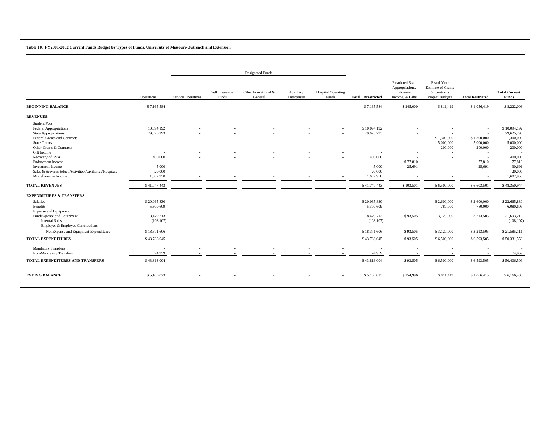**Table 10. FY2001-2002 Current Funds Budget by Types of Funds, University of Missouri-Outreach and Extension**

|                                                                                                                                                                   |                                         |                           |                         | <b>Designated Funds</b>        |                          |                                    |                                                   |                                                                            |                                                                                   |                                               |                                                                 |
|-------------------------------------------------------------------------------------------------------------------------------------------------------------------|-----------------------------------------|---------------------------|-------------------------|--------------------------------|--------------------------|------------------------------------|---------------------------------------------------|----------------------------------------------------------------------------|-----------------------------------------------------------------------------------|-----------------------------------------------|-----------------------------------------------------------------|
|                                                                                                                                                                   | Operations                              | <b>Service Operations</b> | Self Insurance<br>Funds | Other Educational &<br>General | Auxiliary<br>Enterprises | <b>Hospital Operating</b><br>Funds | <b>Total Unrestricted</b>                         | <b>Restricted State</b><br>Appropriations,<br>Endowment<br>Income, & Gifts | <b>Fiscal Year</b><br><b>Estimate of Grants</b><br>& Contracts<br>Project Budgets | <b>Total Restricted</b>                       | <b>Total Current</b><br>Funds                                   |
| <b>BEGINNING BALANCE</b>                                                                                                                                          | \$7,165,584                             |                           |                         |                                |                          |                                    | \$7,165,584                                       | \$245,000                                                                  | \$811,419                                                                         | \$1,056,419                                   | \$8,222,003                                                     |
| <b>REVENUES:</b>                                                                                                                                                  |                                         |                           |                         |                                |                          |                                    |                                                   |                                                                            |                                                                                   |                                               |                                                                 |
| <b>Student Fees</b><br><b>Federal Appropriations</b><br>State Appropriations<br>Federal Grants and Contracts<br><b>State Grants</b><br>Other Grants & Contracts   | 10,094,192<br>29,625,293<br>- 11        |                           |                         |                                |                          |                                    | \$10,094,192<br>29,625,293                        | $\overline{a}$<br>$\sim$                                                   | \$1,300,000<br>5,000,000<br>200,000                                               | $\sim$<br>\$1,300,000<br>5,000,000<br>200,000 | \$10,094,192<br>29,625,293<br>1,300,000<br>5,000,000<br>200,000 |
| Gift Income<br>Recovery of F&A<br><b>Endowment Income</b><br>Investment Income<br>Sales & Services-Educ. Activities/Auxiliaries/Hospitals<br>Miscellaneous Income | 400,000<br>5,000<br>20,000<br>1,602,958 |                           |                         |                                |                          | $\overline{a}$                     | 400,000<br>$\sim$<br>5,000<br>20,000<br>1,602,958 | \$77,810<br>25,691<br>$\overline{a}$                                       |                                                                                   | ۰.<br>77,810<br>25,691                        | 400,000<br>77,810<br>30,691<br>20,000<br>1,602,958              |
| <b>TOTAL REVENUES</b>                                                                                                                                             | \$41,747,443                            |                           |                         |                                |                          |                                    | \$41,747,443                                      | \$103,501                                                                  | \$6,500,000                                                                       | \$6,603,501                                   | \$48,350,944                                                    |
| <b>EXPENDITURES &amp; TRANSFERS</b>                                                                                                                               |                                         |                           |                         |                                |                          |                                    |                                                   |                                                                            |                                                                                   |                                               |                                                                 |
| Salaries<br>Benefits<br><b>Expense and Equipment</b>                                                                                                              | \$20,065,830<br>5,300,609               |                           |                         |                                |                          |                                    | \$20,065,830<br>5,300,609                         | $\sim$<br>÷.                                                               | \$2,600,000<br>780,000                                                            | \$2,600,000<br>780,000                        | \$22,665,830<br>6,080,609                                       |
| Fund Expense and Equipment<br><b>Internal Sales</b><br>Employer & Employee Contributions                                                                          | 18,479,713<br>(108, 107)                |                           |                         |                                |                          |                                    | 18,479,713<br>(108, 107)                          | \$93,505                                                                   | 3,120,000                                                                         | 3,213,505<br>$\overline{\phantom{a}}$         | 21,693,218<br>(108, 107)                                        |
| Net Expense and Equipment Expenditures                                                                                                                            | \$18,371,606                            |                           |                         |                                | $\overline{\phantom{a}}$ |                                    | \$18,371,606                                      | \$93,505                                                                   | \$3,120,000                                                                       | \$3,213,505                                   | \$21,585,111                                                    |
| <b>TOTAL EXPENDITURES</b>                                                                                                                                         | \$43,738,045                            |                           |                         |                                |                          |                                    | \$43,738,045                                      | \$93,505                                                                   | \$6,500,000                                                                       | \$6,593,505                                   | \$50,331,550                                                    |
| <b>Mandatory Transfers</b><br>Non-Mandatory Transfers                                                                                                             | 74,959                                  |                           |                         |                                |                          |                                    | 74,959                                            |                                                                            |                                                                                   |                                               | 74,959                                                          |
| TOTAL EXPENDITURES AND TRANSFERS                                                                                                                                  | \$43,813,004                            |                           |                         |                                |                          |                                    | \$43,813,004                                      | \$93,505                                                                   | \$6,500,000                                                                       | \$6,593,505                                   | \$50,406,509                                                    |
| <b>ENDING BALANCE</b>                                                                                                                                             | \$5,100,023                             |                           |                         |                                |                          |                                    | \$5,100,023                                       | \$254,996                                                                  | \$811,419                                                                         | \$1,066,415                                   | \$6,166,438                                                     |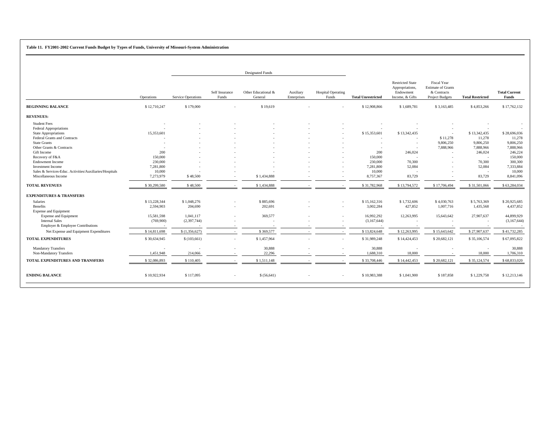**Table 11. FY2001-2002 Current Funds Budget by Types of Funds, University of Missouri-System Administration**

|                                                                                                                                                                                                                                                                                                                                                                      |                                                                                             |                                                                     |                                              | <b>Designated Funds</b>                      |                          |                                    |                                                                                               |                                                                                                                                                   |                                                                                   |                                                                                                                               |                                                                                                                                       |
|----------------------------------------------------------------------------------------------------------------------------------------------------------------------------------------------------------------------------------------------------------------------------------------------------------------------------------------------------------------------|---------------------------------------------------------------------------------------------|---------------------------------------------------------------------|----------------------------------------------|----------------------------------------------|--------------------------|------------------------------------|-----------------------------------------------------------------------------------------------|---------------------------------------------------------------------------------------------------------------------------------------------------|-----------------------------------------------------------------------------------|-------------------------------------------------------------------------------------------------------------------------------|---------------------------------------------------------------------------------------------------------------------------------------|
|                                                                                                                                                                                                                                                                                                                                                                      | Operations                                                                                  | <b>Service Operations</b>                                           | Self Insurance<br>Funds                      | Other Educational &<br>General               | Auxiliary<br>Enterprises | <b>Hospital Operating</b><br>Funds | <b>Total Unrestricted</b>                                                                     | <b>Restricted State</b><br>Appropriations,<br>Endowment<br>Income, & Gifts                                                                        | <b>Fiscal Year</b><br><b>Estimate of Grants</b><br>& Contracts<br>Project Budgets | <b>Total Restricted</b>                                                                                                       | <b>Total Current</b><br><b>Funds</b>                                                                                                  |
| <b>BEGINNING BALANCE</b>                                                                                                                                                                                                                                                                                                                                             | \$12,710,247                                                                                | \$179,000                                                           |                                              | \$19,619                                     |                          |                                    | \$12,908,866                                                                                  | \$1,689,781                                                                                                                                       | \$3,163,485                                                                       | \$4,853,266                                                                                                                   | \$17,762,132                                                                                                                          |
| <b>REVENUES:</b>                                                                                                                                                                                                                                                                                                                                                     |                                                                                             |                                                                     |                                              |                                              |                          |                                    |                                                                                               |                                                                                                                                                   |                                                                                   |                                                                                                                               |                                                                                                                                       |
| <b>Student Fees</b><br><b>Federal Appropriations</b><br>State Appropriations<br>Federal Grants and Contracts<br><b>State Grants</b><br>Other Grants & Contracts<br>Gift Income<br>Recovery of F&A<br><b>Endowment Income</b><br><b>Investment Income</b><br>Sales & Services-Educ. Activities/Auxiliaries/Hospitals<br>Miscellaneous Income<br><b>TOTAL REVENUES</b> | 15,353,601<br>200<br>150,000<br>230,000<br>7,281,800<br>10,000<br>7,273,979<br>\$30,299,580 | \$48,500<br>\$48,500                                                |                                              | \$1,434,888<br>\$1,434,888                   |                          | $\overline{a}$                     | \$15,353,601<br>200<br>150,000<br>230,000<br>7,281,800<br>10,000<br>8,757,367<br>\$31,782,968 | \$13,342,435<br>$\overline{\phantom{a}}$<br>$\sim$<br>$\sim$<br>246,024<br>$\overline{\phantom{a}}$<br>70,300<br>52,084<br>83,729<br>\$13,794,572 | \$11,278<br>9,806,250<br>7,888,966<br>\$17,706,494                                | \$13,342,435<br>11,278<br>9,806,250<br>7,888,966<br>246,024<br>$\sim$<br>70,300<br>52,084<br>$\sim$<br>83,729<br>\$31,501,066 | \$28,696,036<br>11,278<br>9,806,250<br>7,888,966<br>246,224<br>150,000<br>300,300<br>7,333,884<br>10,000<br>8,841,096<br>\$63,284,034 |
| <b>EXPENDITURES &amp; TRANSFERS</b>                                                                                                                                                                                                                                                                                                                                  |                                                                                             |                                                                     |                                              |                                              |                          |                                    |                                                                                               |                                                                                                                                                   |                                                                                   |                                                                                                                               |                                                                                                                                       |
| <b>Salaries</b><br>Benefits<br><b>Expense and Equipment</b><br><b>Expense and Equipment</b><br><b>Internal Sales</b><br>Employer & Employee Contributions<br>Net Expense and Equipment Expenditures                                                                                                                                                                  | \$13,228,344<br>2,594,903<br>15,581,598<br>(769,900)<br>\$14,811,698                        | \$1,048,276<br>204,690<br>1,041,117<br>(2,397,744)<br>\$(1,356,627) | $\overline{\phantom{a}}$<br>$\sim$<br>$\sim$ | \$885,696<br>202,691<br>369,577<br>\$369,577 |                          |                                    | \$15,162,316<br>3,002,284<br>16,992,292<br>(3,167,644)<br>\$13,824,648                        | \$1,732,606<br>427,852<br>12,263,995<br>\$12,263,995                                                                                              | \$4,030,763<br>1,007,716<br>15,643,642<br>\$15,643,642                            | \$5,763,369<br>1,435,568<br>27,907,637<br>\$27,907,637                                                                        | \$20,925,685<br>4,437,852<br>44,899,929<br>(3,167,644)<br>\$41,732,285                                                                |
| <b>TOTAL EXPENDITURES</b>                                                                                                                                                                                                                                                                                                                                            | \$30,634,945                                                                                | \$(103,661)                                                         | $\sim$                                       | \$1,457,964                                  |                          |                                    | \$31,989,248                                                                                  | \$14,424,453                                                                                                                                      | \$20,682,121                                                                      | \$35,106,574                                                                                                                  | \$67,095,822                                                                                                                          |
| <b>Mandatory Transfers</b><br>Non-Mandatory Transfers<br>TOTAL EXPENDITURES AND TRANSFERS                                                                                                                                                                                                                                                                            | 1,451,948<br>\$32,086,893                                                                   | 214,066<br>\$110,405                                                |                                              | 30,888<br>22,296<br>\$1,511,148              |                          |                                    | 30,888<br>1,688,310<br>\$33,708,446                                                           | 18,000<br>\$14,442,453                                                                                                                            | \$20,682,121                                                                      | 18,000<br>\$35,124,574                                                                                                        | 30,888<br>1,706,310<br>\$68,833,020                                                                                                   |
| <b>ENDING BALANCE</b>                                                                                                                                                                                                                                                                                                                                                | \$10,922,934                                                                                | \$117,095                                                           | $\overline{\phantom{a}}$                     | \$ (56,641)                                  |                          |                                    | \$10,983,388                                                                                  | \$1,041,900                                                                                                                                       | \$187,858                                                                         | \$1,229,758                                                                                                                   | \$12,213,146                                                                                                                          |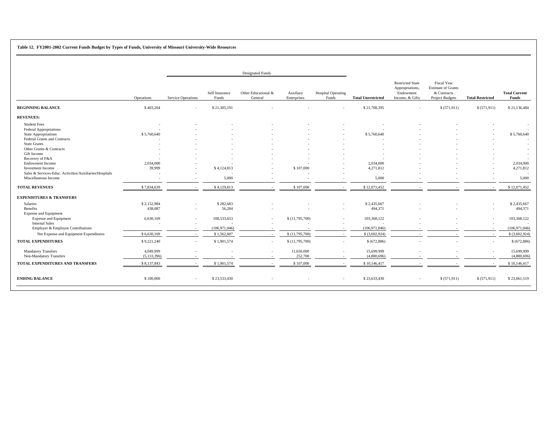**Table 12. FY2001-2002 Current Funds Budget by Types of Funds, University of Missouri University-Wide Resources** 

|                                                                                                                                                                 |                                       |                                                      |                                | <b>Designated Funds</b>                              |                          |                                    |                                |                                                                            |                                                                                   |                          |                                      |
|-----------------------------------------------------------------------------------------------------------------------------------------------------------------|---------------------------------------|------------------------------------------------------|--------------------------------|------------------------------------------------------|--------------------------|------------------------------------|--------------------------------|----------------------------------------------------------------------------|-----------------------------------------------------------------------------------|--------------------------|--------------------------------------|
|                                                                                                                                                                 | Operations                            | <b>Service Operations</b>                            | Self Insurance<br>Funds        | Other Educational &<br>General                       | Auxiliary<br>Enterprises | <b>Hospital Operating</b><br>Funds | <b>Total Unrestricted</b>      | <b>Restricted State</b><br>Appropriations,<br>Endowment<br>Income, & Gifts | Fiscal Year<br><b>Estimate of Grants</b><br>& Contracts<br><b>Project Budgets</b> | <b>Total Restricted</b>  | <b>Total Current</b><br><b>Funds</b> |
| <b>BEGINNING BALANCE</b>                                                                                                                                        | \$403,204                             | ÷.                                                   | \$21,305,191                   |                                                      |                          |                                    | \$21,708,395                   |                                                                            | \$(571,911)                                                                       | \$ (571,911)             | \$21,136,484                         |
| <b>REVENUES:</b>                                                                                                                                                |                                       |                                                      |                                |                                                      |                          |                                    |                                |                                                                            |                                                                                   |                          |                                      |
| <b>Student Fees</b><br><b>Federal Appropriations</b><br>State Appropriations<br>Federal Grants and Contracts<br><b>State Grants</b><br>Other Grants & Contracts | \$5,760,640                           |                                                      |                                |                                                      |                          |                                    | \$5,760,640                    |                                                                            |                                                                                   |                          | \$5,760,640                          |
| Gift Income<br>Recovery of F&A<br><b>Endowment Income</b><br><b>Investment Income</b><br>Sales & Services-Educ. Activities/Auxiliaries/Hospitals                | 2.034.000<br>39,999                   |                                                      | \$4,124,813                    |                                                      | \$107,000                | $\overline{\phantom{a}}$           | 2,034,000<br>4,271,812         |                                                                            |                                                                                   |                          | 2,034,000<br>4,271,812               |
| Miscellaneous Income                                                                                                                                            |                                       | $\overline{\phantom{a}}$                             | 5,000                          |                                                      |                          |                                    | 5,000                          |                                                                            |                                                                                   |                          | 5,000                                |
| <b>TOTAL REVENUES</b>                                                                                                                                           | \$7,834,639                           | $\overline{a}$                                       | \$4,129,813                    |                                                      | \$107,000                |                                    | \$12,071,452                   |                                                                            |                                                                                   |                          | \$12,071,452                         |
| <b>EXPENDITURES &amp; TRANSFERS</b>                                                                                                                             |                                       |                                                      |                                |                                                      |                          |                                    |                                |                                                                            |                                                                                   |                          |                                      |
| Salaries<br>Benefits<br><b>Expense and Equipment</b>                                                                                                            | \$2,152,984<br>438,087                | $\overline{\phantom{a}}$                             | \$282,683<br>56,284            |                                                      |                          | $\overline{\phantom{a}}$           | \$2,435,667<br>494,371         |                                                                            |                                                                                   | $\overline{\phantom{a}}$ | \$2,435,667<br>494,371               |
| Expense and Equipment<br><b>Internal Sales</b><br>Employer & Employee Contributions                                                                             | 6,630,169<br>$\overline{\phantom{a}}$ | $\overline{\phantom{a}}$<br>$\overline{\phantom{a}}$ | 108,533,653<br>(106, 971, 046) | $\overline{\phantom{a}}$<br>$\overline{\phantom{a}}$ | \$(11,795,700)           | $\sim$<br>$\sim$                   | 103,368,122<br>(106, 971, 046) |                                                                            |                                                                                   |                          | 103,368,122<br>(106, 971, 046)       |
| Net Expense and Equipment Expenditures                                                                                                                          | \$6,630,169                           | $\overline{\phantom{a}}$                             | \$1,562,607                    | $\sim$                                               | \$(11,795,700)           | $\sim$                             | $$$ (3,602,924)                | $\sim$                                                                     | $\overline{\phantom{a}}$                                                          | $\sim$                   | \$ (3,602,924)                       |
| <b>TOTAL EXPENDITURES</b>                                                                                                                                       | \$9,221,240                           | $\sim$                                               | \$1,901,574                    | $\sim$                                               | \$(11,795,700)           | $\sim$                             | \$ (672,886)                   |                                                                            |                                                                                   | $\sim$                   | \$ (672,886)                         |
| <b>Mandatory Transfers</b><br>Non-Mandatory Transfers                                                                                                           | 4,049,999<br>(5, 133, 396)            |                                                      |                                |                                                      | 11,650,000<br>252,700    |                                    | 15,699,999<br>(4,880,696)      |                                                                            |                                                                                   |                          | 15,699,999<br>(4,880,696)            |
| TOTAL EXPENDITURES AND TRANSFERS                                                                                                                                | \$8,137,843                           | $\overline{\phantom{a}}$                             | \$1,901,574                    |                                                      | \$107,000                |                                    | \$10,146,417                   |                                                                            |                                                                                   |                          | \$10,146,417                         |
| <b>ENDING BALANCE</b>                                                                                                                                           | \$100,000                             | $\sim$                                               | \$23,533,430                   |                                                      |                          |                                    | \$23,633,430                   | $\overline{\phantom{a}}$                                                   | \$(571,911)                                                                       | \$ (571, 911)            | \$23,061,519                         |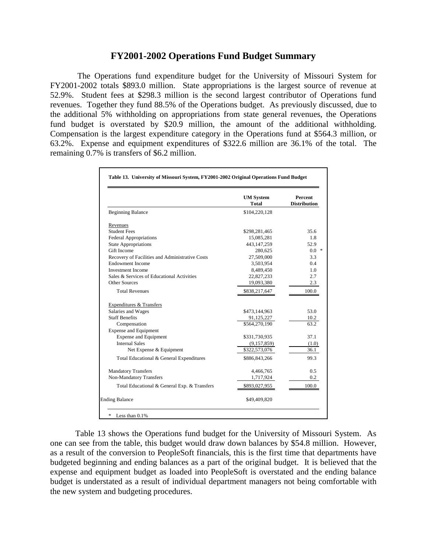## **FY2001-2002 Operations Fund Budget Summary**

 The Operations fund expenditure budget for the University of Missouri System for FY2001-2002 totals \$893.0 million. State appropriations is the largest source of revenue at 52.9%. Student fees at \$298.3 million is the second largest contributor of Operations fund revenues. Together they fund 88.5% of the Operations budget. As previously discussed, due to the additional 5% withholding on appropriations from state general revenues, the Operations fund budget is overstated by \$20.9 million, the amount of the additional withholding. Compensation is the largest expenditure category in the Operations fund at \$564.3 million, or 63.2%. Expense and equipment expenditures of \$322.6 million are 36.1% of the total. The remaining 0.7% is transfers of \$6.2 million.

|                                                 | <b>UM</b> System<br><b>Total</b> | Percent<br><b>Distribution</b> |
|-------------------------------------------------|----------------------------------|--------------------------------|
| <b>Beginning Balance</b>                        | \$104,220,128                    |                                |
| Revenues                                        |                                  |                                |
| <b>Student Fees</b>                             | \$298,281,465                    | 35.6                           |
| <b>Federal Appropriations</b>                   | 15,085,281                       | 1.8                            |
| <b>State Appropriations</b>                     | 443,147,259                      | 52.9                           |
| Gift Income                                     | 280,625                          | $0.0*$                         |
| Recovery of Facilities and Administrative Costs | 27,509,000                       | 3.3                            |
| <b>Endowment Income</b>                         | 3,503,954                        | 0.4                            |
| <b>Investment Income</b>                        | 8,489,450                        | 1.0                            |
| Sales & Services of Educational Activities      | 22,827,233                       | 2.7                            |
| Other Sources                                   | 19,093,380                       | 2.3                            |
| <b>Total Revenues</b>                           | \$838,217,647                    | 100.0                          |
| Expenditures & Transfers                        |                                  |                                |
| Salaries and Wages                              | \$473,144,963                    | 53.0                           |
| <b>Staff Benefits</b>                           | 91,125,227                       | 10.2                           |
| Compensation                                    | \$564,270,190                    | 63.2                           |
| <b>Expense and Equipment</b>                    |                                  |                                |
| <b>Expense and Equipment</b>                    | \$331,730,935                    | 37.1                           |
| <b>Internal Sales</b>                           | (9,157,859)                      | (1.0)                          |
| Net Expense & Equipment                         | \$322,573,076                    | 36.1                           |
| Total Educational & General Expenditures        | \$886,843,266                    | 99.3                           |
| <b>Mandatory Transfers</b>                      | 4,466,765                        | 0.5                            |
| Non-Mandatory Transfers                         | 1,717,924                        | 0.2                            |
| Total Educational & General Exp. & Transfers    | \$893,027,955                    | 100.0                          |
| <b>Ending Balance</b>                           | \$49,409,820                     |                                |

Table 13 shows the Operations fund budget for the University of Missouri System. As one can see from the table, this budget would draw down balances by \$54.8 million. However, as a result of the conversion to PeopleSoft financials, this is the first time that departments have budgeted beginning and ending balances as a part of the original budget. It is believed that the expense and equipment budget as loaded into PeopleSoft is overstated and the ending balance budget is understated as a result of individual department managers not being comfortable with the new system and budgeting procedures.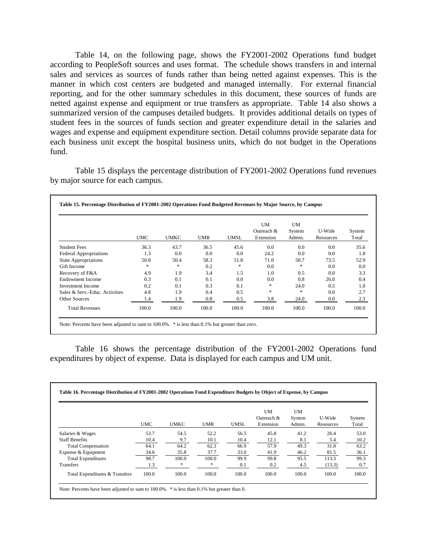Table 14, on the following page, shows the FY2001-2002 Operations fund budget according to PeopleSoft sources and uses format. The schedule shows transfers in and internal sales and services as sources of funds rather than being netted against expenses. This is the manner in which cost centers are budgeted and managed internally. For external financial reporting, and for the other summary schedules in this document, these sources of funds are netted against expense and equipment or true transfers as appropriate. Table 14 also shows a summarized version of the campuses detailed budgets. It provides additional details on types of student fees in the sources of funds section and greater expenditure detail in the salaries and wages and expense and equipment expenditure section. Detail columns provide separate data for each business unit except the hospital business units, which do not budget in the Operations fund.

Table 15 displays the percentage distribution of FY2001-2002 Operations fund revenues by major source for each campus.

|                                | <b>UMC</b> | <b>UMKC</b> | <b>UMR</b> | <b>UMSL</b> | <b>UM</b><br>Outreach $&$<br>Extension | UM<br>System<br>Admin. | U-Wide<br>Resources | System<br>Total |
|--------------------------------|------------|-------------|------------|-------------|----------------------------------------|------------------------|---------------------|-----------------|
| <b>Student Fees</b>            | 36.3       | 43.7        | 36.5       | 45.6        | 0.0                                    | 0.0                    | 0.0                 | 35.6            |
| <b>Federal Appropriations</b>  | 1.3        | 0.0         | 0.0        | 0.0         | 24.2                                   | 0.0                    | 0.0                 | 1.8             |
| <b>State Appropriations</b>    | 50.8       | 50.4        | 58.3       | 51.8        | 71.0                                   | 50.7                   | 73.5                | 52.9            |
| Gift Income                    | *          | *           | 0.2        | *           | 0.0                                    | *                      | 0.0                 | 0.0             |
| Recovery of F&A                | 4.9        | 1.9         | 3.4        | 1.5         | 1.0                                    | 0.5                    | 0.0                 | 3.3             |
| Endowment Income               | 0.3        | 0.1         | 0.1        | 0.0         | 0.0                                    | 0.8                    | 26.0                | 0.4             |
| Investment Income              | 0.2        | 0.1         | 0.3        | 0.1         | *                                      | 24.0                   | 0.5                 | 1.0             |
| Sales & Serv.-Educ. Activities | 4.8        | 1.9         | 0.4        | 0.5         | *                                      | *                      | 0.0                 | 2.7             |
| Other Sources                  | 1.4        | 1.9         | 0.8        | 0.5         | 3.8                                    | 24.0                   | 0.0                 | 2.3             |
| <b>Total Revenues</b>          | 100.0      | 100.0       | 100.0      | 100.0       | 100.0                                  | 100.0                  | 100.0               | 100.0           |

Table 16 shows the percentage distribution of the FY2001-2002 Operations fund expenditures by object of expense. Data is displayed for each campus and UM unit.

|                                | <b>UMC</b> | <b>UMKC</b> | <b>UMR</b> | UMSL  | UM<br>Outreach &<br>Extension | <b>UM</b><br>System<br>Admin. | U-Wide<br>Resources | System<br>Total |
|--------------------------------|------------|-------------|------------|-------|-------------------------------|-------------------------------|---------------------|-----------------|
| Salaries & Wages               | 53.7       | 54.5        | 52.2       | 56.5  | 45.8                          | 41.2                          | 26.4                | 53.0            |
| <b>Staff Benefits</b>          | 10.4       | 9.7         | 10.1       | 10.4  | 12.1                          | 8.1                           | 5.4                 | 10.2            |
| <b>Total Compensation</b>      | 64.1       | 64.2        | 62.3       | 66.9  | 57.9                          | 49.3                          | 31.8                | 63.2            |
| Expense & Equipment            | 34.6       | 35.8        | 37.7       | 33.0  | 41.9                          | 46.2                          | 81.5                | 36.1            |
| <b>Total Expenditures</b>      | 98.7       | 100.0       | 100.0      | 99.9  | 99.8                          | 95.5                          | 113.3               | 99.3            |
| Transfers                      | 1.3        | *           | *          | 0.1   | 0.2                           | 4.5                           | (13.3)              | 0.7             |
| Total Expenditures & Transfers | 100.0      | 100.0       | 100.0      | 100.0 | 100.0                         | 100.0                         | 100.0               | 100.0           |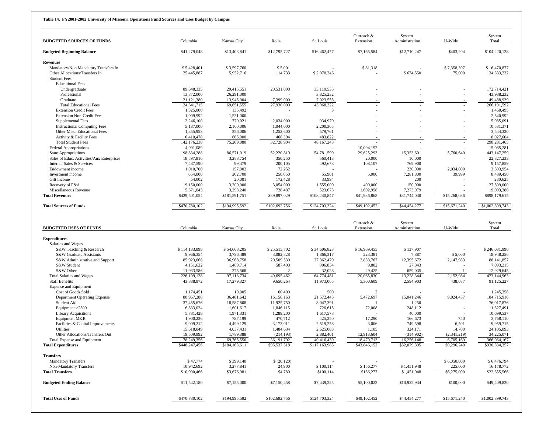| <b>BUDGETED SOURCES OF FUNDS</b>                         | Columbia                  | <b>Kansas City</b>     | Rolla                   | St. Louis              | Outreach &<br>Extension | System<br>Administration | U-Wide                | System<br>Total          |
|----------------------------------------------------------|---------------------------|------------------------|-------------------------|------------------------|-------------------------|--------------------------|-----------------------|--------------------------|
| <b>Budgeted Beginning Balance</b>                        | \$41,279,048              | \$13,403,841           | \$12,795,727            | \$16,462,477           | \$7,165,584             | \$12,710,247             | \$403,204             | \$104,220,128            |
| <b>Revenues</b>                                          |                           |                        |                         |                        |                         |                          |                       |                          |
| Mandatory/Non Mandatory Transfers In                     | \$5,428,401               | \$3,597,760            | \$5,001                 |                        | \$81,318                |                          | \$7,358,397           | \$16,470,877             |
| Other Allocations/Transfers In                           | 25,445,887                | 5,952,716              | 114,733                 | \$2,070,346            |                         | \$674,550                | 75,000                | 34, 333, 232             |
| <b>Student Fees</b>                                      |                           |                        |                         |                        |                         |                          |                       |                          |
| <b>Educational Fees</b><br>Undergraduate                 | 89,648,335                | 29,415,551             | 20,531,000              | 33,119,535             |                         |                          |                       | 172,714,421              |
| Professional                                             | 13,872,000                | 26,291,000             |                         | 3,825,232              |                         |                          |                       | 43,988,232               |
| Graduate                                                 | 21,121,380                | 13,945,004             | 7,399,000               | 7,023,555              |                         |                          |                       | 49,488,939               |
| <b>Total Educational Fees</b>                            | 124,641,715               | 69,651,555             | 27,930,000              | 43,968,322             |                         |                          |                       | 266, 191, 592            |
| <b>Extension Credit Fees</b>                             | 1,325,000                 | 135,492                |                         | 3                      |                         |                          |                       | 1,460,495                |
| <b>Extension Non-Credit Fees</b>                         | 1,009,992                 | 1,531,000              |                         |                        |                         |                          |                       | 2,540,992                |
| <b>Supplemental Fees</b>                                 | 2,246,100                 | 770,021                | 2,034,000               | 934,970                |                         |                          |                       | 5,985,091                |
| <b>Instructional Computing Fees</b>                      | 5,187,000                 | 2,100,006              | 1,044,000               | 2,200,365              |                         |                          |                       | 10,531,371               |
| Other Misc. Educational Fees<br>Activity & Facility Fees | 1,355,953<br>6,410,478    | 356,006<br>665,000     | 1,252,600<br>468,304    | 579,761<br>483,822     |                         |                          |                       | 3,544,320<br>8,027,604   |
| <b>Total Student Fees</b>                                | 142,176,238               | 75,209,080             | 32,728,904              | 48,167,243             |                         |                          |                       | 298, 281, 465            |
| <b>Federal Appropriations</b>                            | 4,991,089                 |                        |                         |                        | 10,094,192              |                          |                       | 15,085,281               |
| <b>State Appropriations</b>                              | 198,834,288               | 86,571,019             | 52,220,819              | 54,781,599             | 29,625,293              | 15,353,601               | 5,760,640             | 443,147,259              |
| Sales of Educ. Activities/Aux Enterprises                | 18,597,816                | 3,288,754              | 350,250                 | 560,413                | 20,000                  | 10,000                   |                       | 22,827,233               |
| Internal Sales & Services                                | 7,487,590                 | 99,479                 | 200,105                 | 492,678                | 108,107                 | 769,900                  |                       | 9,157,859                |
| Endowment income                                         | 1,010,700                 | 157,002                | 72,252                  |                        |                         | 230,000                  | 2,034,000             | 3,503,954                |
| Investment income                                        | 654,000                   | 202,700                | 250,050                 | 55,901                 | 5,000                   | 7,281,800                | 39,999                | 8,489,450                |
| Gift Income                                              | 54,002                    | 20,001                 | 172,428                 | 33,994                 |                         | 200                      |                       | 280,625                  |
| Recovery of F&A<br>Miscellaneous Revenue                 | 19,150,000<br>5,671,043   | 3,200,000<br>3,293,240 | 3,054,000<br>728,487    | 1,555,000<br>523,673   | 400,000<br>1,602,958    | 150,000<br>7,273,979     |                       | 27,509,000<br>19,093,380 |
| <b>Total Revenues</b>                                    | \$429,501,054             | \$181,591,751          | \$89,897,029            | \$108,240,847          | \$41,936,868            | \$31,744,030             | \$15,268,036          | \$898,179,615            |
| <b>Total Sources of Funds</b>                            | \$470,780,102             | \$194,995,592          | \$102,692,756           | \$124,703,324          | \$49,102,452            | \$44,454,277             | \$15,671,240          | \$1,002,399,743          |
|                                                          |                           |                        |                         |                        |                         |                          |                       |                          |
|                                                          |                           |                        |                         |                        |                         |                          |                       |                          |
|                                                          |                           |                        |                         |                        | Outreach &              | System                   |                       | System                   |
| <b>BUDGETED USES OF FUNDS</b>                            | Columbia                  | Kansas City            | Rolla                   | St. Louis              | Extension               | Administration           | U-Wide                | Total                    |
| <b>Expenditures</b>                                      |                           |                        |                         |                        |                         |                          |                       |                          |
| Salaries and Wages                                       |                           |                        |                         |                        |                         |                          |                       |                          |
| S&W Teaching & Research                                  | \$114,133,898             | \$54,668,205           | \$25,515,702            | \$34,606,823           | \$16,969,455            | \$137,907                |                       | \$246,031,990            |
| S&W Graduate Assistants                                  | 9,966,354                 | 3,796,489              | 3,082,828               | 1,866,317              | 223,381                 | 7,887                    | \$5,000               | 18,948,256               |
| S&W Administrative and Support                           | 85,923,668                | 36,968,758             | 20,509,530              | 27,362,479             | 2,833,767               | 12,395,672               | 2,147,983             | 188, 141, 857            |
| S&W Student                                              | 4,151,622                 | 1,409,714              | 587,400                 | 906,834                | 9,802                   | 27,843                   |                       | 7,093,215                |
| S&W Other                                                | 11,933,586                | 275,568                | 2                       | 32,028                 | 29,425                  | 659,035                  |                       | 12,929,645               |
| Total Salaries and Wages<br><b>Staff Benefits</b>        | 226,109,128<br>43,888,972 | 97,118,734             | 49,695,462<br>9,650,264 | 64,774,481             | 20,065,830              | 13,228,344               | 2,152,984<br>438,087  | 473,144,963              |
| <b>Expense and Equipment</b>                             |                           | 17,279,327             |                         | 11,973,065             | 5,300,609               | 2,594,903                |                       | 91,125,227               |
| Cost of Goods Sold                                       | 1,174,451                 | 10,005                 | 60,400                  | 500                    | 2                       |                          |                       | 1,245,358                |
| <b>Department Operating Expense</b>                      | 80,967,288                | 36,481,642             | 16,156,163              | 21,572,443             | 5,472,697               | 15,041,246               | 9,024,437             | 184,715,916              |
| Student Aid                                              | 37,455,676                | 18,587,808             | 11,925,750              | 8,047,391              |                         | 1,250                    |                       | 76,017,876               |
| Equipment $>2500$                                        | 6,833,024                 | 1,601,617              | 1,846,115               | 726,615                | 72,008                  | 248,112                  |                       | 11,327,491               |
| <b>Library Acquisitions</b>                              | 5,781,428                 | 1,971,331              | 1,289,200               | 1,617,578              |                         | 40,000                   |                       | 10,699,537               |
| Equipment M&R                                            | 1,900,236                 | 787,199                | 470,712                 | 425,250                | 17,290                  | 166,673                  | 750                   | 3,768,110                |
| Facilities & Capital Improvements<br>Utilities           | 9,009,212                 | 4,499,129              | 3,173,011               | 2,519,258              | 3,006                   | 749,598                  | 6,501                 | 19,959,715               |
| Other Allocations/Transfers Out                          | 15,618,049<br>19,509,992  | 4,037,431<br>1,789,388 | 1,484,634<br>(214, 193) | 2,625,003<br>2,882,401 | 1,105<br>12,913,604     | 324,171<br>(314,902)     | 14,700<br>(2,341,219) | 24,105,093<br>34,225,071 |
| Total Expense and Equipment                              | 178,249,356               | 69,765,550             | 36, 191, 792            | 40,416,439             | 18,479,713              | 16,256,148               | 6,705,169             | 366,064,167              |
| <b>Total Expenditures</b>                                | \$448,247,456             | \$184,163,611          | \$95,537,518            | \$117,163,985          | \$43,846,152            | \$32,079,395             | \$9,296,240           | \$930,334,357            |
| <b>Transfers</b>                                         |                           |                        |                         |                        |                         |                          |                       |                          |
| <b>Mandatory Transfers</b>                               | \$47,774                  | \$399,140              | \$(20,120)              |                        |                         |                          | \$6,050,000           | \$6,476,794              |
| Non-Mandatory Transfers                                  | 10,942,692                | 3,277,841              | 24,900                  | \$100,114              | \$156,277               | \$1,451,948              | 225,000               | 16,178,772               |
| <b>Total Transfers</b>                                   | \$10,990,466              | \$3,676,981            | \$4,780                 | \$100,114              | \$156,277               | \$1,451,948              | \$6,275,000           | \$22,655,566             |
| <b>Budgeted Ending Balance</b>                           | \$11,542,180              | \$7,155,000            | \$7,150,458             | \$7,439,225            | \$5,100,023             | \$10,922,934             | \$100,000             | \$49,409,820             |
| <b>Total Uses of Funds</b>                               | \$470,780,102             | \$194,995,592          | \$102,692,756           | \$124,703,324          | \$49,102,452            | \$44,454,277             | \$15,671,240          | \$1,002,399,743          |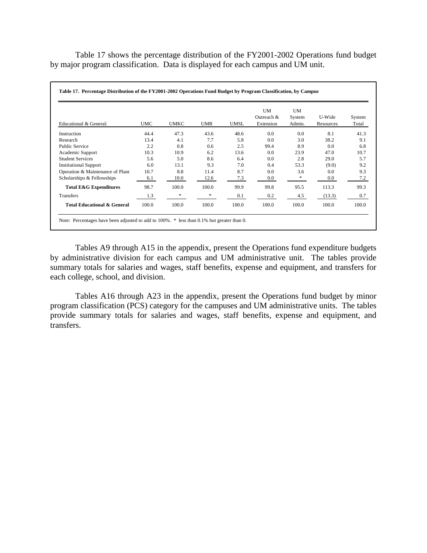Table 17 shows the percentage distribution of the FY2001-2002 Operations fund budget by major program classification. Data is displayed for each campus and UM unit.

| Educational & General:                 | <b>UMC</b> | <b>UMKC</b> | <b>UMR</b> | <b>UMSL</b> | UM<br>Outreach &<br>Extension | <b>UM</b><br>System<br>Admin. | U-Wide<br>Resources | System<br>Total |
|----------------------------------------|------------|-------------|------------|-------------|-------------------------------|-------------------------------|---------------------|-----------------|
| Instruction                            | 44.4       | 47.3        | 43.6       | 48.6        | 0.0                           | 0.0                           | 8.1                 | 41.3            |
| Research                               | 13.4       | 4.1         | 7.7        | 5.8         | 0.0                           | 3.0                           | 38.2                | 9.1             |
| <b>Public Service</b>                  | 2.2        | 0.8         | 0.6        | 2.5         | 99.4                          | 8.9                           | 0.0                 | 6.8             |
| Academic Support                       | 10.3       | 10.9        | 6.2        | 13.6        | 0.0                           | 23.9                          | 47.0                | 10.7            |
| <b>Student Services</b>                | 5.6        | 5.0         | 8.6        | 6.4         | 0.0                           | 2.8                           | 29.0                | 5.7             |
| <b>Institutional Support</b>           | 6.0        | 13.1        | 9.3        | 7.0         | 0.4                           | 53.3                          | (9.0)               | 9.2             |
| Operation & Maintenance of Plant       | 10.7       | 8.8         | 11.4       | 8.7         | 0.0                           | 3.6                           | 0.0                 | 9.3             |
| Scholarships & Fellowships             | 6.1        | 10.0        | 12.6       | 7.3         | 0.0                           | *                             | 0.0                 | 7.2             |
| <b>Total E&amp;G Expenditures</b>      | 98.7       | 100.0       | 100.0      | 99.9        | 99.8                          | 95.5                          | 113.3               | 99.3            |
| Transfers                              | 1.3        | *           | *          | 0.1         | 0.2                           | 4.5                           | (13.3)              | 0.7             |
| <b>Total Educational &amp; General</b> | 100.0      | 100.0       | 100.0      | 100.0       | 100.0                         | 100.0                         | 100.0               | 100.0           |

Tables A9 through A15 in the appendix, present the Operations fund expenditure budgets by administrative division for each campus and UM administrative unit. The tables provide summary totals for salaries and wages, staff benefits, expense and equipment, and transfers for each college, school, and division.

 Tables A16 through A23 in the appendix, present the Operations fund budget by minor program classification (PCS) category for the campuses and UM administrative units. The tables provide summary totals for salaries and wages, staff benefits, expense and equipment, and transfers.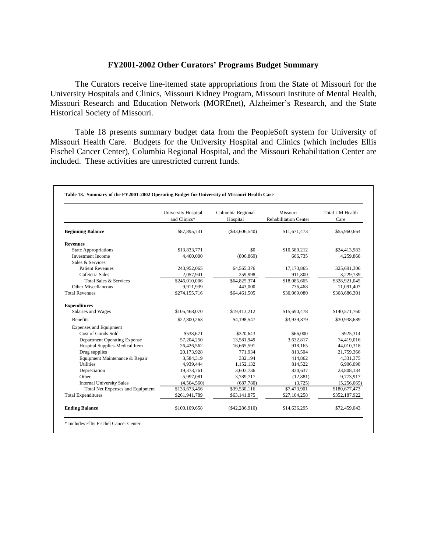## **FY2001-2002 Other Curators' Programs Budget Summary**

The Curators receive line-itemed state appropriations from the State of Missouri for the University Hospitals and Clinics, Missouri Kidney Program, Missouri Institute of Mental Health, Missouri Research and Education Network (MOREnet), Alzheimer's Research, and the State Historical Society of Missouri.

Table 18 presents summary budget data from the PeopleSoft system for University of Missouri Health Care. Budgets for the University Hospital and Clinics (which includes Ellis Fischel Cancer Center), Columbia Regional Hospital, and the Missouri Rehabilitation Center are included. These activities are unrestricted current funds.

|                                         | University Hospital<br>and Clinics* | Columbia Regional<br>Hospital | Missouri<br><b>Rehabilitation Center</b> | <b>Total UM Health</b><br>Care |
|-----------------------------------------|-------------------------------------|-------------------------------|------------------------------------------|--------------------------------|
| <b>Beginning Balance</b>                | \$87,895,731                        | $(\$43,606,540)$              | \$11,671,473                             | \$55,960,664                   |
| <b>Revenues</b>                         |                                     |                               |                                          |                                |
| <b>State Appropriations</b>             | \$13,833,771                        | \$0                           | \$10,580,212                             | \$24,413,983                   |
| <b>Investment Income</b>                | 4,400,000                           | (806, 869)                    | 666,735                                  | 4,259,866                      |
| Sales & Services                        |                                     |                               |                                          |                                |
| <b>Patient Revenues</b>                 | 243,952,065                         | 64,565,376                    | 17,173,865                               | 325,691,306                    |
| Cafeteria Sales                         | 2,057,941                           | 259,998                       | 911,800                                  | 3,229,739                      |
| Total Sales & Services                  | \$246,010,006                       | \$64,825,374                  | \$18,085,665                             | \$328,921,045                  |
| Other Miscellaneous                     | 9,911,939                           | 443,000                       | 736,468                                  | 11,091,407                     |
| <b>Total Revenues</b>                   | \$274,155,716                       | \$64,461,505                  | \$30,069,080                             | \$368,686,301                  |
| <b>Expenditures</b>                     |                                     |                               |                                          |                                |
| Salaries and Wages                      | \$105,468,070                       | \$19,413,212                  | \$15,690,478                             | \$140,571,760                  |
| <b>Benefits</b>                         | \$22,800,263                        | \$4,198,547                   | \$3,939,879                              | \$30,938,689                   |
| <b>Expenses and Equipment</b>           |                                     |                               |                                          |                                |
| Cost of Goods Sold                      | \$538,671                           | \$320,643                     | \$66,000                                 | \$925,314                      |
| Department Operating Expense            | 57,204,250                          | 13,581,949                    | 3.632.817                                | 74,419,016                     |
| Hospital Supplies-Medical Item          | 26,426,562                          | 16,665,591                    | 918.165                                  | 44,010,318                     |
| Drug supplies                           | 20,173,928                          | 771,934                       | 813,504                                  | 21,759,366                     |
| Equipment Maintenance & Repair          | 3,584,319                           | 332,194                       | 414,862                                  | 4,331,375                      |
| <b>Utilities</b>                        | 4,939,444                           | 1,152,132                     | 814.522                                  | 6,906,098                      |
| Depreciation                            | 19,373,761                          | 3,603,736                     | 830,637                                  | 23,808,134                     |
| Other                                   | 5,997,081                           | 3,789,717                     | (12, 881)                                | 9,773,917                      |
| <b>Internal University Sales</b>        | (4,564,560)                         | (687,780)                     | (3,725)                                  | (5,256,065)                    |
| <b>Total Net Expenses and Equipment</b> | \$133,673,456                       | \$39,530,116                  | \$7,473,901                              | \$180,677,473                  |
| <b>Total Expenditures</b>               | \$261,941,789                       | \$63,141,875                  | \$27,104,258                             | \$352,187,922                  |
| <b>Ending Balance</b>                   | \$100,109,658                       | $(\$42,286,910)$              | \$14,636,295                             | \$72,459,043                   |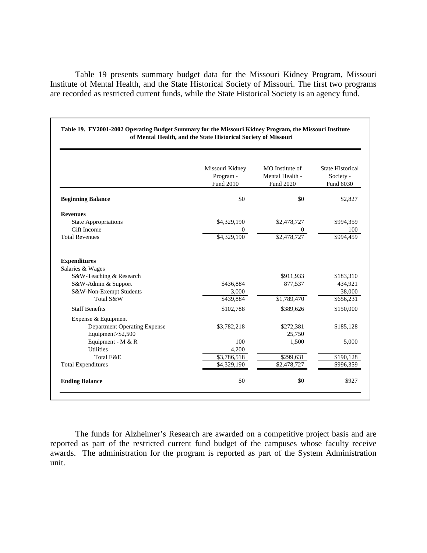Table 19 presents summary budget data for the Missouri Kidney Program, Missouri Institute of Mental Health, and the State Historical Society of Missouri. The first two programs are recorded as restricted current funds, while the State Historical Society is an agency fund.

|                                                | Missouri Kidney<br>Program -<br>Fund 2010 | MO Institute of<br>Mental Health -<br>Fund 2020 | <b>State Historical</b><br>Society -<br>Fund 6030 |
|------------------------------------------------|-------------------------------------------|-------------------------------------------------|---------------------------------------------------|
| <b>Beginning Balance</b>                       | \$0                                       | \$0                                             | \$2,827                                           |
| <b>Revenues</b>                                |                                           |                                                 |                                                   |
| <b>State Appropriations</b>                    | \$4,329,190                               | \$2,478,727                                     | \$994,359                                         |
| Gift Income                                    | $\mathbf{0}$                              | $\Omega$                                        | 100                                               |
| <b>Total Revenues</b>                          | \$4,329,190                               | \$2,478,727                                     | \$994,459                                         |
| <b>Expenditures</b>                            |                                           |                                                 |                                                   |
| Salaries & Wages                               |                                           |                                                 |                                                   |
| S&W-Teaching & Research                        |                                           | \$911,933                                       | \$183,310                                         |
| S&W-Admin & Support<br>S&W-Non-Exempt Students | \$436,884<br>3,000                        | 877,537                                         | 434,921<br>38,000                                 |
| Total S&W                                      | \$439,884                                 | \$1,789,470                                     | \$656,231                                         |
| <b>Staff Benefits</b>                          | \$102,788                                 | \$389,626                                       | \$150,000                                         |
| Expense & Equipment                            |                                           |                                                 |                                                   |
| <b>Department Operating Expense</b>            | \$3,782,218                               | \$272,381                                       | \$185,128                                         |
| Equipment>\$2,500                              |                                           | 25,750                                          |                                                   |
| Equipment - M & R                              | 100                                       | 1,500                                           | 5,000                                             |
| <b>Utilities</b>                               | 4,200                                     |                                                 |                                                   |
| Total E&E                                      | \$3,786,518                               | \$299,631                                       | \$190,128                                         |
| <b>Total Expenditures</b>                      | \$4,329,190                               | \$2,478,727                                     | \$996,359                                         |
| <b>Ending Balance</b>                          | \$0                                       | \$0                                             | \$927                                             |

**Table 19. FY2001-2002 Operating Budget Summary for the Missouri Kidney Program, the Missouri Institute of Mental Health, and the State Historical Society of Missouri**

The funds for Alzheimer's Research are awarded on a competitive project basis and are reported as part of the restricted current fund budget of the campuses whose faculty receive awards. The administration for the program is reported as part of the System Administration unit.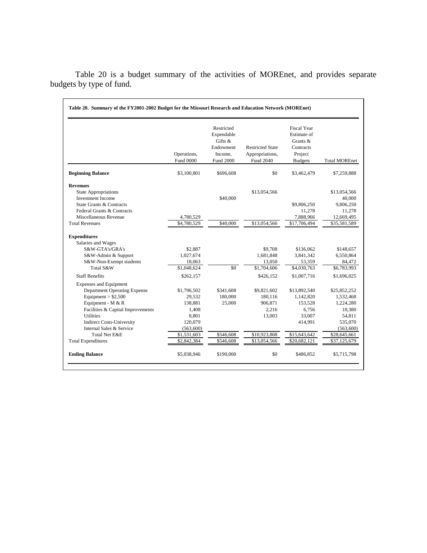|                                     | Operations,<br>Fund 0000 | Restricted<br>Expendable<br>Gifts &<br>Endowment<br>Income.<br>Fund 2000 | <b>Restricted State</b><br>Appropriations,<br>Fund 2040 | <b>Fiscal Year</b><br>Estimate of<br>Grants $&$<br>Contracts<br>Project<br><b>Budgets</b> | <b>Total MOREnet</b> |
|-------------------------------------|--------------------------|--------------------------------------------------------------------------|---------------------------------------------------------|-------------------------------------------------------------------------------------------|----------------------|
| <b>Beginning Balance</b>            | \$3,100,801              | \$696,608                                                                | \$0                                                     | \$3,462,479                                                                               | \$7,259,888          |
| <b>Revenues</b>                     |                          |                                                                          |                                                         |                                                                                           |                      |
| <b>State Appropriations</b>         |                          |                                                                          | \$13,054,566                                            |                                                                                           | \$13,054,566         |
| <b>Investment Income</b>            |                          | \$40,000                                                                 |                                                         |                                                                                           | 40,000               |
| State Grants & Contracts            |                          |                                                                          |                                                         | \$9,806,250                                                                               | 9,806,250            |
| Federal Grants & Contracts          |                          |                                                                          |                                                         | 11,278                                                                                    | 11,278               |
| Miscellaneous Revenue               | 4,780,529                |                                                                          |                                                         | 7,888,966                                                                                 | 12,669,495           |
| <b>Total Revenues</b>               | \$4,780,529              | \$40,000                                                                 | \$13,054,566                                            | \$17,706,494                                                                              | \$35,581,589         |
| <b>Expenditures</b>                 |                          |                                                                          |                                                         |                                                                                           |                      |
| Salaries and Wages                  |                          |                                                                          |                                                         |                                                                                           |                      |
| S&W-GTA's/GRA's                     | \$2,887                  |                                                                          | \$9,708                                                 | \$136,062                                                                                 | \$148,657            |
| S&W-Admin & Support                 | 1,027,674                |                                                                          | 1,681,848                                               | 3,841,342                                                                                 | 6,550,864            |
| S&W-Non-Exempt students             | 18,063                   |                                                                          | 13,050                                                  | 53,359                                                                                    | 84,472               |
| Total S&W                           | \$1,048,624              | \$0                                                                      | \$1,704,606                                             | \$4,030,763                                                                               | \$6,783,993          |
| <b>Staff Benefits</b>               | \$262,157                |                                                                          | \$426,152                                               | \$1,007,716                                                                               | \$1,696,025          |
| <b>Expenses and Equipment</b>       |                          |                                                                          |                                                         |                                                                                           |                      |
| <b>Department Operating Expense</b> | \$1,796,502              | \$341,608                                                                | \$9,821,602                                             | \$13,892,540                                                                              | \$25,852,252         |
| Equipment $>$ \$2,500               | 29,532                   | 180,000                                                                  | 180,116                                                 | 1,142,820                                                                                 | 1,532,468            |
| Equipment - M & R                   | 138,881                  | 25,000                                                                   | 906,871                                                 | 153,528                                                                                   | 1,224,280            |
| Facilities & Capital Improvements   | 1,408                    |                                                                          | 2,216                                                   | 6,756                                                                                     | 10,380               |
| <b>Utilities</b>                    | 8,801                    |                                                                          | 13,003                                                  | 33,007                                                                                    | 54,811               |
| <b>Indirect Costs-University</b>    | 120,079                  |                                                                          |                                                         | 414,991                                                                                   | 535,070              |
| Internal Sales & Service            | (563,600)                |                                                                          |                                                         |                                                                                           | (563,600)            |
| Total Net E&E                       | \$1,531,603              | \$546,608                                                                | \$10,923,808                                            | \$15,643,642                                                                              | \$28,645,661         |
| <b>Total Expenditures</b>           | \$2,842,384              | \$546,608                                                                | \$13,054,566                                            | \$20,682,121                                                                              | \$37,125,679         |
| <b>Ending Balance</b>               | \$5,038,946              | \$190,000                                                                | \$0                                                     | \$486,852                                                                                 | \$5,715,798          |

Table 20 is a budget summary of the activities of MOREnet, and provides separate budgets by type of fund.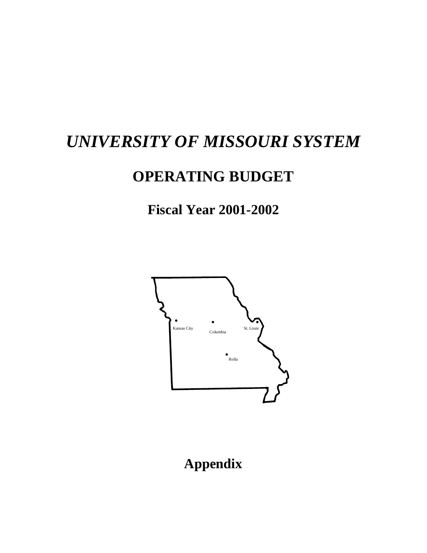# *UNIVERSITY OF MISSOURI SYSTEM*

# **OPERATING BUDGET**

# **Fiscal Year 2001-2002**



# **Appendix**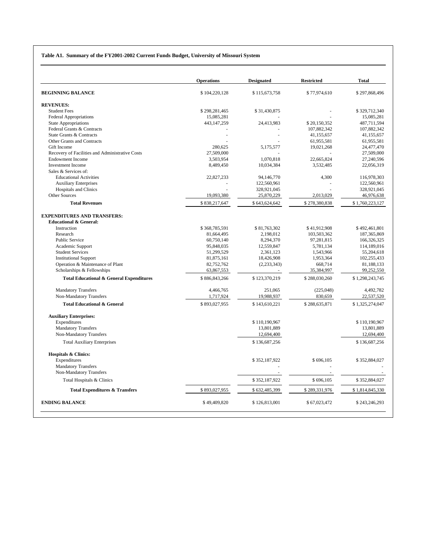#### **Table A1. Summary of the FY2001-2002 Current Funds Budget, University of Missouri System**

| <b>Designated</b><br><b>Restricted</b> | <b>Operations</b><br><b>Total</b> |                 |
|----------------------------------------|-----------------------------------|-----------------|
| \$115,673,758                          | \$77,974,610<br>\$104,220,128     | \$297,868,496   |
|                                        |                                   |                 |
| \$31,430,875                           | \$298,281,465                     | \$329,712,340   |
|                                        | 15,085,281                        | 15,085,281      |
| 24,413,983                             | 443,147,259<br>\$20,150,352       | 487,711,594     |
|                                        | 107,882,342                       | 107,882,342     |
|                                        | 41,155,657                        | 41,155,657      |
|                                        | 61,955,581                        | 61,955,581      |
| 5,175,577                              | 280,625<br>19,021,268             | 24,477,470      |
|                                        | 27,509,000                        | 27,509,000      |
| 1,070,818                              | 3,503,954<br>22,665,824           | 27,240,596      |
| 10,034,384                             | 8,489,450<br>3,532,485            | 22,056,319      |
|                                        |                                   |                 |
| 94,146,770                             | 22,827,233<br>4,300               | 116,978,303     |
| 122,560,961                            |                                   | 122,560,961     |
| 328,921,045                            |                                   | 328,921,045     |
| 25,870,229                             | 19,093,380<br>2,013,029           | 46,976,638      |
| \$643,624,642                          | \$838,217,647<br>\$278,380,838    | \$1,760,223,127 |
|                                        |                                   |                 |
|                                        |                                   |                 |
| \$81,763,302                           | \$368,785,591<br>\$41,912,908     | \$492,461,801   |
| 2,198,012                              | 103,503,362<br>81,664,495         | 187, 365, 869   |
| 8,294,370                              | 60,750,140<br>97,281,815          | 166,326,325     |
| 12,559,847                             | 95,848,035<br>5,781,134           | 114,189,016     |
| 2,361,123                              | 51,299,529<br>1,543,966           | 55,204,618      |
| 18,426,908                             | 81,875,161<br>1,953,364           | 102,255,433     |
| (2, 233, 343)                          | 82,752,762<br>668,714             | 81,188,133      |
|                                        | 63,867,553<br>35,384,997          | 99,252,550      |
| \$123,370,219                          | \$886,843,266<br>\$288,030,260    | \$1,298,243,745 |
| 251.065                                | 4,466,765<br>(225,048)            | 4,492,782       |
| 19,988,937                             | 1,717,924<br>830,659              | 22,537,520      |
| \$143,610,221                          | \$893,027,955<br>\$288,635,871    | \$1,325,274,047 |
|                                        |                                   |                 |
| \$110,190,967                          |                                   | \$110,190,967   |
| 13,801,889                             |                                   | 13,801,889      |
| 12,694,400                             |                                   | 12,694,400      |
| \$136,687,256                          |                                   | \$136,687,256   |
|                                        |                                   |                 |
| \$352,187,922                          | \$696,105                         | \$352,884,027   |
|                                        |                                   |                 |
|                                        |                                   |                 |
| \$352,187,922                          | \$696,105                         | \$352,884,027   |
| \$632,485,399                          | \$893,027,955<br>\$289,331,976    | \$1,814,845,330 |
|                                        |                                   | \$243,246,293   |
| \$126,813,001                          | \$49,409,820                      | \$67,023,472    |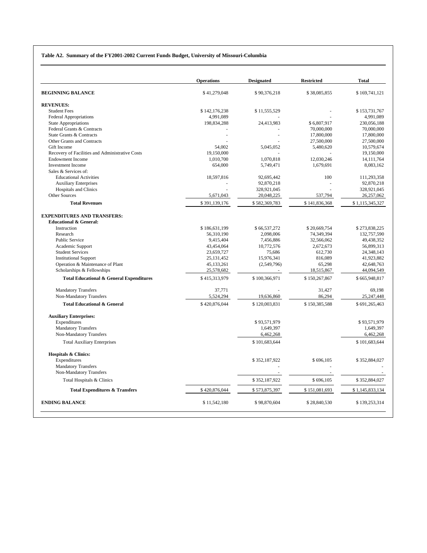#### **Table A2. Summary of the FY2001-2002 Current Funds Budget, University of Missouri-Columbia**

|                                                     | <b>Operations</b> | <b>Designated</b> | <b>Restricted</b> | <b>Total</b>    |
|-----------------------------------------------------|-------------------|-------------------|-------------------|-----------------|
| <b>BEGINNING BALANCE</b>                            | \$41,279,048      | \$90,376,218      | \$38,085,855      | \$169,741,121   |
| <b>REVENUES:</b>                                    |                   |                   |                   |                 |
| <b>Student Fees</b>                                 | \$142,176,238     | \$11,555,529      |                   | \$153,731,767   |
| <b>Federal Appropriations</b>                       | 4,991,089         |                   |                   | 4,991,089       |
| <b>State Appropriations</b>                         | 198,834,288       | 24,413,983        | \$6,807,917       | 230,056,188     |
| Federal Grants & Contracts                          |                   |                   | 70,000,000        | 70,000,000      |
| State Grants & Contracts                            |                   |                   | 17,800,000        | 17,800,000      |
| Other Grants and Contracts                          |                   |                   | 27,500,000        | 27,500,000      |
| Gift Income                                         | 54,002            | 5,045,052         | 5,480,620         | 10,579,674      |
| Recovery of Facilities and Administrative Costs     | 19,150,000        |                   |                   | 19,150,000      |
| <b>Endowment Income</b>                             | 1.010.700         | 1.070.818         | 12.030.246        | 14, 111, 764    |
| <b>Investment Income</b>                            | 654,000           | 5,749,471         | 1,679,691         | 8,083,162       |
| Sales & Services of:                                |                   |                   |                   |                 |
| <b>Educational Activities</b>                       | 18,597,816        | 92,695,442        | 100               | 111,293,358     |
| <b>Auxiliary Enterprises</b>                        |                   | 92,870,218        |                   | 92,870,218      |
| Hospitals and Clinics                               |                   | 328,921,045       |                   | 328,921,045     |
| <b>Other Sources</b>                                | 5,671,043         | 20,048,225        | 537,794           | 26,257,062      |
| <b>Total Revenues</b>                               | \$391,139,176     | \$582,369,783     | \$141,836,368     | \$1,115,345,327 |
| <b>EXPENDITURES AND TRANSFERS:</b>                  |                   |                   |                   |                 |
| <b>Educational &amp; General:</b>                   |                   |                   |                   |                 |
| Instruction                                         | \$186,631,199     | \$66,537,272      | \$20,669,754      | \$273,838,225   |
| Research                                            | 56,310,190        | 2,098,006         | 74,349,394        | 132,757,590     |
| Public Service                                      | 9,415,404         | 7,456,886         | 32,566,062        | 49,438,352      |
| Academic Support                                    | 43,454,064        | 10,772,576        | 2,672,673         | 56,899,313      |
| <b>Student Services</b>                             | 23,659,727        | 75,686            | 612,730           | 24,348,143      |
| <b>Institutional Support</b>                        | 25, 131, 452      | 15,976,341        | 816,089           | 41,923,882      |
| Operation & Maintenance of Plant                    | 45,133,261        | (2,549,796)       | 65,298            | 42,648,763      |
| Scholarships & Fellowships                          | 25,578,682        |                   | 18,515,867        | 44,094,549      |
| <b>Total Educational &amp; General Expenditures</b> | \$415,313,979     | \$100,366,971     | \$150,267,867     | \$665,948,817   |
| <b>Mandatory Transfers</b>                          | 37,771            |                   | 31,427            | 69,198          |
| Non-Mandatory Transfers                             | 5,524,294         | 19,636,860        | 86,294            | 25, 247, 448    |
| <b>Total Educational &amp; General</b>              | \$420,876,044     | \$120,003,831     | \$150,385,588     | \$691,265,463   |
| <b>Auxiliary Enterprises:</b>                       |                   |                   |                   |                 |
| Expenditures                                        |                   | \$93,571,979      |                   | \$93,571,979    |
| <b>Mandatory Transfers</b>                          |                   | 1,649,397         |                   | 1,649,397       |
| Non-Mandatory Transfers                             |                   | 6,462,268         |                   | 6,462,268       |
| <b>Total Auxiliary Enterprises</b>                  |                   | \$101,683,644     |                   | \$101,683,644   |
| <b>Hospitals &amp; Clinics:</b>                     |                   |                   |                   |                 |
| Expenditures                                        |                   | \$352,187,922     | \$696,105         | \$352,884,027   |
| <b>Mandatory Transfers</b>                          |                   |                   |                   |                 |
| Non-Mandatory Transfers                             |                   |                   |                   |                 |
| Total Hospitals & Clinics                           |                   | \$352,187,922     | \$696,105         | \$352,884,027   |
| <b>Total Expenditures &amp; Transfers</b>           | \$420,876,044     | \$573,875,397     | \$151,081,693     | \$1,145,833,134 |
| <b>ENDING BALANCE</b>                               | \$11,542,180      | \$98,870,604      | \$28,840,530      | \$139,253,314   |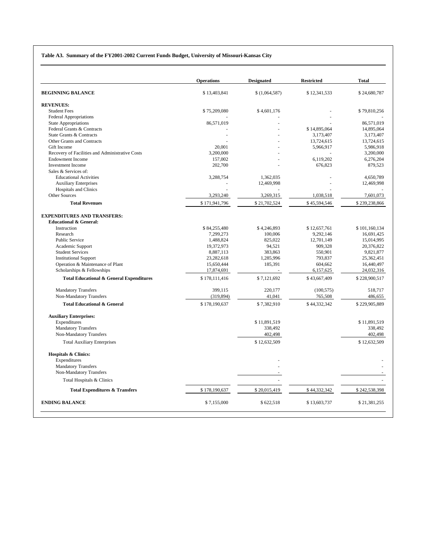#### **Table A3. Summary of the FY2001-2002 Current Funds Budget, University of Missouri-Kansas City**

|                                                                         | <b>Operations</b> | <b>Designated</b> | <b>Restricted</b> | <b>Total</b>  |
|-------------------------------------------------------------------------|-------------------|-------------------|-------------------|---------------|
| <b>BEGINNING BALANCE</b>                                                | \$13,403,841      | \$(1,064,587)     | \$12,341,533      | \$24,680,787  |
| <b>REVENUES:</b>                                                        |                   |                   |                   |               |
| <b>Student Fees</b>                                                     | \$75,209,080      | \$4,601,176       |                   | \$79,810,256  |
| <b>Federal Appropriations</b>                                           |                   |                   |                   |               |
| <b>State Appropriations</b>                                             | 86,571,019        |                   |                   | 86,571,019    |
| Federal Grants & Contracts                                              |                   |                   | \$14,895,064      | 14,895,064    |
| State Grants & Contracts                                                |                   |                   | 3,173,407         | 3,173,407     |
| Other Grants and Contracts                                              |                   |                   | 13,724,615        | 13,724,615    |
| Gift Income                                                             | 20,001            |                   | 5,966,917         | 5,986,918     |
| Recovery of Facilities and Administrative Costs                         | 3.200,000         |                   |                   | 3,200,000     |
| <b>Endowment Income</b>                                                 | 157,002           |                   | 6,119,202         | 6,276,204     |
| <b>Investment Income</b>                                                | 202,700           |                   | 676,823           | 879,523       |
| Sales & Services of:                                                    |                   |                   |                   |               |
| <b>Educational Activities</b>                                           | 3,288,754         | 1,362,035         |                   | 4,650,789     |
| <b>Auxiliary Enterprises</b>                                            |                   | 12,469,998        |                   | 12,469,998    |
| <b>Hospitals and Clinics</b>                                            |                   |                   |                   |               |
| <b>Other Sources</b>                                                    | 3,293,240         | 3,269,315         | 1,038,518         | 7,601,073     |
| <b>Total Revenues</b>                                                   | \$171,941,796     | \$21,702,524      | \$45,594,546      | \$239,238,866 |
| <b>EXPENDITURES AND TRANSFERS:</b><br><b>Educational &amp; General:</b> |                   |                   |                   |               |
| Instruction                                                             | \$84,255,480      | \$4,246,893       | \$12,657,761      | \$101,160,134 |
| Research                                                                | 7,299,273         | 100,006           | 9,292,146         | 16,691,425    |
| <b>Public Service</b>                                                   | 1,488,824         | 825,022           | 12,701,149        | 15,014,995    |
| Academic Support                                                        | 19,372,973        | 94,521            | 909,328           | 20,376,822    |
| <b>Student Services</b>                                                 | 8,887,113         | 383,863           | 550,901           | 9,821,877     |
| <b>Institutional Support</b>                                            | 23,282,618        | 1,285,996         | 793,837           | 25,362,451    |
| Operation & Maintenance of Plant                                        | 15,650,444        | 185,391           | 604,662           | 16,440,497    |
| Scholarships & Fellowships                                              | 17,874,691        |                   | 6,157,625         | 24,032,316    |
| <b>Total Educational &amp; General Expenditures</b>                     | \$178,111,416     | \$7,121,692       | \$43,667,409      | \$228,900,517 |
| <b>Mandatory Transfers</b>                                              | 399,115           | 220,177           | (100, 575)        | 518,717       |
| Non-Mandatory Transfers                                                 | (319, 894)        | 41,041            | 765,508           | 486,655       |
| <b>Total Educational &amp; General</b>                                  | \$178,190,637     | \$7,382,910       | \$44,332,342      | \$229,905,889 |
| <b>Auxiliary Enterprises:</b>                                           |                   |                   |                   |               |
| Expenditures                                                            |                   | \$11,891,519      |                   | \$11,891,519  |
| <b>Mandatory Transfers</b>                                              |                   | 338,492           |                   | 338,492       |
| Non-Mandatory Transfers                                                 |                   | 402,498           |                   | 402,498       |
| <b>Total Auxiliary Enterprises</b>                                      |                   | \$12,632,509      |                   | \$12,632,509  |
| <b>Hospitals &amp; Clinics:</b>                                         |                   |                   |                   |               |
| Expenditures                                                            |                   |                   |                   |               |
| <b>Mandatory Transfers</b>                                              |                   |                   |                   |               |
| Non-Mandatory Transfers<br>Total Hospitals & Clinics                    |                   |                   |                   |               |
| <b>Total Expenditures &amp; Transfers</b>                               | \$178,190,637     | \$20,015,419      | \$44,332,342      | \$242,538,398 |
|                                                                         |                   |                   |                   |               |
| <b>ENDING BALANCE</b>                                                   | \$7,155,000       | \$622,518         | \$13,603,737      | \$21,381,255  |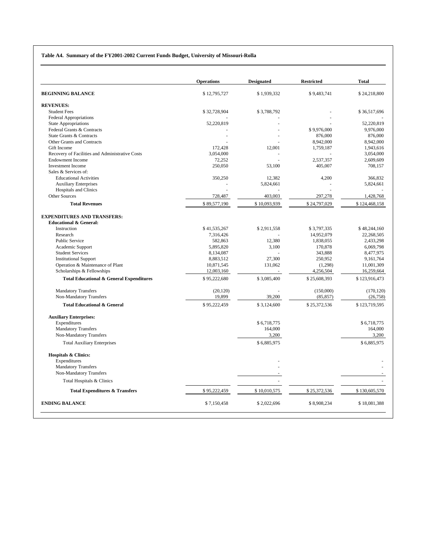#### **Table A4. Summary of the FY2001-2002 Current Funds Budget, University of Missouri-Rolla**

|                                                       | <b>Operations</b> | <b>Designated</b> | <b>Restricted</b> | <b>Total</b>  |
|-------------------------------------------------------|-------------------|-------------------|-------------------|---------------|
| <b>BEGINNING BALANCE</b>                              | \$12,795,727      | \$1,939,332       | \$9,483,741       | \$24,218,800  |
| <b>REVENUES:</b>                                      |                   |                   |                   |               |
| <b>Student Fees</b>                                   | \$32,728,904      | \$3,788,792       |                   | \$36,517,696  |
| <b>Federal Appropriations</b>                         |                   |                   |                   |               |
| <b>State Appropriations</b>                           | 52,220,819        |                   |                   | 52,220,819    |
| Federal Grants & Contracts                            |                   |                   | \$9,976,000       | 9,976,000     |
| State Grants & Contracts                              |                   |                   | 876,000           | 876,000       |
| Other Grants and Contracts                            |                   |                   | 8,942,000         | 8,942,000     |
| Gift Income                                           | 172,428           | 12,001            | 1,759,187         | 1,943,616     |
| Recovery of Facilities and Administrative Costs       | 3,054,000         |                   |                   | 3,054,000     |
| <b>Endowment Income</b>                               | 72,252            |                   | 2,537,357         | 2,609,609     |
| <b>Investment Income</b>                              | 250,050           | 53,100            | 405,007           | 708,157       |
| Sales & Services of:                                  |                   |                   |                   |               |
| <b>Educational Activities</b>                         | 350,250           | 12,382            | 4,200             | 366,832       |
| <b>Auxiliary Enterprises</b>                          |                   | 5,824,661         |                   | 5,824,661     |
| <b>Hospitals and Clinics</b>                          |                   |                   |                   |               |
| Other Sources                                         | 728,487           | 403,003           | 297,278           | 1,428,768     |
| <b>Total Revenues</b>                                 | \$89,577,190      | \$10,093,939      | \$24,797,029      | \$124,468,158 |
| <b>EXPENDITURES AND TRANSFERS:</b>                    |                   |                   |                   |               |
| <b>Educational &amp; General:</b>                     |                   |                   |                   |               |
| Instruction                                           | \$41,535,267      | \$2,911,558       | \$3,797,335       | \$48,244,160  |
| Research                                              | 7,316,426         |                   | 14,952,079        | 22,268,505    |
| <b>Public Service</b>                                 | 582,863           | 12,380            | 1,838,055         | 2,433,298     |
| Academic Support                                      | 5,895,820         | 3,100             | 170,878           | 6,069,798     |
| <b>Student Services</b>                               | 8,134,087         |                   | 343,888           | 8,477,975     |
| <b>Institutional Support</b>                          | 8,883,512         | 27,300            | 250,952           | 9,161,764     |
| Operation & Maintenance of Plant                      | 10,871,545        | 131,062           | (1,298)           | 11,001,309    |
| Scholarships & Fellowships                            | 12,003,160        |                   | 4,256,504         | 16,259,664    |
| <b>Total Educational &amp; General Expenditures</b>   | \$95,222,680      | \$3,085,400       | \$25,608,393      | \$123,916,473 |
|                                                       |                   |                   |                   |               |
| <b>Mandatory Transfers</b>                            | (20, 120)         |                   | (150,000)         | (170, 120)    |
| Non-Mandatory Transfers                               | 19,899            | 39,200            | (85, 857)         | (26, 758)     |
| <b>Total Educational &amp; General</b>                | \$95,222,459      | \$3,124,600       | \$25,372,536      | \$123,719,595 |
| <b>Auxiliary Enterprises:</b>                         |                   |                   |                   |               |
| Expenditures                                          |                   | \$6,718,775       |                   | \$6,718,775   |
| <b>Mandatory Transfers</b>                            |                   | 164,000           |                   | 164,000       |
| Non-Mandatory Transfers                               |                   | 3,200             |                   | 3,200         |
| <b>Total Auxiliary Enterprises</b>                    |                   | \$6,885,975       |                   | \$6,885,975   |
| <b>Hospitals &amp; Clinics:</b>                       |                   |                   |                   |               |
| Expenditures                                          |                   |                   |                   |               |
| <b>Mandatory Transfers</b><br>Non-Mandatory Transfers |                   |                   |                   |               |
| Total Hospitals & Clinics                             |                   |                   |                   |               |
| <b>Total Expenditures &amp; Transfers</b>             | \$95,222,459      | \$10,010,575      | \$25,372,536      | \$130,605,570 |
| <b>ENDING BALANCE</b>                                 | \$7,150,458       | \$2,022,696       | \$8,908,234       | \$18,081,388  |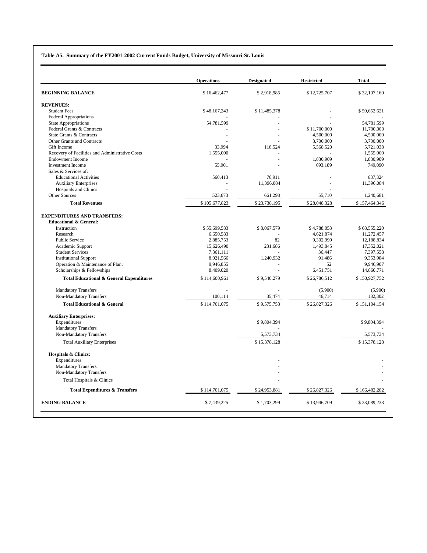#### **Table A5. Summary of the FY2001-2002 Current Funds Budget, University of Missouri-St. Louis**

|                                                                         | <b>Operations</b> | <b>Designated</b> | <b>Restricted</b> | <b>Total</b>  |
|-------------------------------------------------------------------------|-------------------|-------------------|-------------------|---------------|
| <b>BEGINNING BALANCE</b>                                                | \$16,462,477      | \$2,918,985       | \$12,725,707      | \$32,107,169  |
| <b>REVENUES:</b>                                                        |                   |                   |                   |               |
| <b>Student Fees</b>                                                     | \$48,167,243      | \$11,485,378      |                   | \$59,652,621  |
| Federal Appropriations                                                  |                   |                   |                   |               |
| <b>State Appropriations</b>                                             | 54,781,599        |                   |                   | 54,781,599    |
| Federal Grants & Contracts                                              |                   |                   | \$11,700,000      | 11,700,000    |
| State Grants & Contracts                                                |                   |                   | 4,500,000         | 4,500,000     |
| Other Grants and Contracts                                              |                   |                   | 3,700,000         | 3,700,000     |
| Gift Income                                                             | 33,994            | 118,524           | 5,568,520         | 5,721,038     |
| Recovery of Facilities and Administrative Costs                         | 1,555,000         |                   |                   | 1,555,000     |
| <b>Endowment Income</b>                                                 |                   |                   | 1,830,909         | 1,830,909     |
| <b>Investment Income</b>                                                | 55,901            |                   | 693,189           | 749,090       |
| Sales & Services of:                                                    |                   |                   |                   |               |
| <b>Educational Activities</b>                                           | 560,413           | 76,911            |                   | 637,324       |
| <b>Auxiliary Enterprises</b>                                            |                   | 11,396,084        |                   | 11,396,084    |
| Hospitals and Clinics                                                   |                   |                   |                   |               |
| <b>Other Sources</b>                                                    | 523,673           | 661,298           | 55,710            | 1,240,681     |
| <b>Total Revenues</b>                                                   | \$105,677,823     | \$23,738,195      | \$28,048,328      | \$157,464,346 |
| <b>EXPENDITURES AND TRANSFERS:</b><br><b>Educational &amp; General:</b> |                   |                   |                   |               |
| Instruction                                                             | \$55,699,583      | \$8,067,579       | \$4,788,058       | \$68,555,220  |
| Research                                                                | 6,650,583         |                   | 4,621,874         | 11,272,457    |
| <b>Public Service</b>                                                   | 2,885,753         | 82                | 9,302,999         | 12,188,834    |
| Academic Support                                                        | 15,626,490        | 231,686           | 1,493,845         | 17,352,021    |
| <b>Student Services</b>                                                 | 7,361,111         |                   | 36,447            | 7,397,558     |
| <b>Institutional Support</b>                                            | 8,021,566         | 1,240,932         | 91.486            | 9,353,984     |
| Operation & Maintenance of Plant                                        | 9,946,855         |                   | 52                | 9,946,907     |
| Scholarships & Fellowships                                              | 8,409,020         |                   | 6,451,751         | 14,860,771    |
| <b>Total Educational &amp; General Expenditures</b>                     | \$114,600,961     | \$9,540,279       | \$26,786,512      | \$150,927,752 |
| <b>Mandatory Transfers</b>                                              |                   |                   | (5,900)           | (5,900)       |
| Non-Mandatory Transfers                                                 | 100,114           | 35,474            | 46,714            | 182,302       |
| <b>Total Educational &amp; General</b>                                  | \$114,701,075     | \$9,575,753       | \$26,827,326      | \$151,104,154 |
|                                                                         |                   |                   |                   |               |
| <b>Auxiliary Enterprises:</b>                                           |                   |                   |                   |               |
| Expenditures                                                            |                   | \$9,804,394       |                   | \$9,804,394   |
| <b>Mandatory Transfers</b><br>Non-Mandatory Transfers                   |                   | 5,573,734         |                   | 5,573,734     |
| <b>Total Auxiliary Enterprises</b>                                      |                   | \$15,378,128      |                   | \$15,378,128  |
|                                                                         |                   |                   |                   |               |
| <b>Hospitals &amp; Clinics:</b>                                         |                   |                   |                   |               |
| Expenditures                                                            |                   |                   |                   |               |
| <b>Mandatory Transfers</b>                                              |                   |                   |                   |               |
| Non-Mandatory Transfers                                                 |                   |                   |                   |               |
| Total Hospitals & Clinics                                               |                   |                   |                   |               |
| <b>Total Expenditures &amp; Transfers</b>                               | \$114,701,075     | \$24,953,881      | \$26,827,326      | \$166,482,282 |
| <b>ENDING BALANCE</b>                                                   | \$7,439,225       | \$1,703,299       | \$13,946,709      | \$23,089,233  |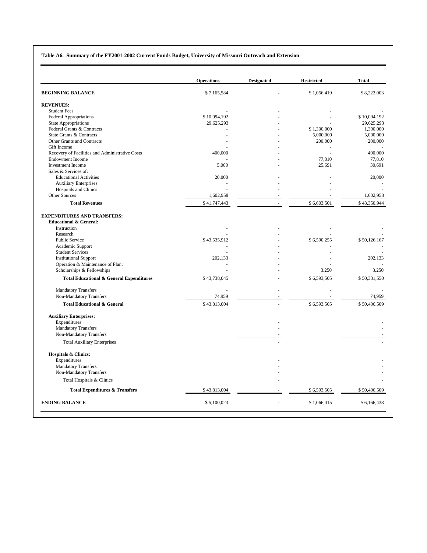#### **Table A6. Summary of the FY2001-2002 Current Funds Budget, University of Missouri Outreach and Extension**

|                                                     | <b>Operations</b> | <b>Designated</b> | <b>Restricted</b> | <b>Total</b> |
|-----------------------------------------------------|-------------------|-------------------|-------------------|--------------|
| <b>BEGINNING BALANCE</b>                            | \$7,165,584       |                   | \$1,056,419       | \$8,222,003  |
| <b>REVENUES:</b>                                    |                   |                   |                   |              |
| <b>Student Fees</b>                                 |                   |                   |                   |              |
| <b>Federal Appropriations</b>                       | \$10,094,192      |                   |                   | \$10,094,192 |
| <b>State Appropriations</b>                         | 29,625,293        |                   |                   | 29,625,293   |
| Federal Grants & Contracts                          |                   |                   | \$1,300,000       | 1,300,000    |
| State Grants & Contracts                            |                   |                   | 5,000,000         | 5,000,000    |
| Other Grants and Contracts                          |                   |                   | 200,000           | 200,000      |
| Gift Income                                         |                   |                   |                   |              |
| Recovery of Facilities and Administrative Costs     | 400,000           |                   |                   | 400,000      |
| <b>Endowment Income</b>                             |                   |                   | 77,810            | 77,810       |
| <b>Investment Income</b>                            | 5,000             |                   | 25,691            | 30,691       |
| Sales & Services of:                                |                   |                   |                   |              |
| <b>Educational Activities</b>                       | 20,000            |                   |                   | 20,000       |
| <b>Auxiliary Enterprises</b>                        |                   |                   |                   |              |
| <b>Hospitals and Clinics</b>                        |                   |                   |                   |              |
| Other Sources                                       | 1,602,958         |                   |                   | 1,602,958    |
| <b>Total Revenues</b>                               | \$41,747,443      |                   | \$6,603,501       | \$48,350,944 |
| <b>EXPENDITURES AND TRANSFERS:</b>                  |                   |                   |                   |              |
| <b>Educational &amp; General:</b>                   |                   |                   |                   |              |
| Instruction                                         |                   |                   |                   |              |
| Research                                            |                   |                   |                   |              |
| Public Service                                      | \$43,535,912      |                   | \$6,590,255       | \$50,126,167 |
| Academic Support                                    |                   |                   |                   |              |
| <b>Student Services</b>                             |                   |                   |                   |              |
| <b>Institutional Support</b>                        | 202,133           |                   |                   | 202,133      |
| Operation & Maintenance of Plant                    |                   |                   |                   |              |
| Scholarships & Fellowships                          |                   |                   | 3,250             | 3,250        |
| <b>Total Educational &amp; General Expenditures</b> | \$43,738,045      |                   | \$6,593,505       | \$50,331,550 |
| <b>Mandatory Transfers</b>                          |                   |                   |                   |              |
| Non-Mandatory Transfers                             | 74,959            |                   |                   | 74.959       |
| <b>Total Educational &amp; General</b>              | \$43,813,004      |                   | \$6,593,505       | \$50,406,509 |
| <b>Auxiliary Enterprises:</b>                       |                   |                   |                   |              |
| Expenditures                                        |                   |                   |                   |              |
| <b>Mandatory Transfers</b>                          |                   |                   |                   |              |
| Non-Mandatory Transfers                             |                   |                   |                   |              |
| <b>Total Auxiliary Enterprises</b>                  |                   |                   |                   |              |
|                                                     |                   |                   |                   |              |
| <b>Hospitals &amp; Clinics:</b><br>Expenditures     |                   |                   |                   |              |
|                                                     |                   |                   |                   |              |
| <b>Mandatory Transfers</b>                          |                   |                   |                   |              |
| Non-Mandatory Transfers                             |                   |                   |                   |              |
| Total Hospitals & Clinics                           |                   |                   |                   |              |
| <b>Total Expenditures &amp; Transfers</b>           | \$43,813,004      |                   | \$6,593,505       | \$50,406,509 |
| <b>ENDING BALANCE</b>                               | \$5,100,023       |                   | \$1,066,415       | \$6,166,438  |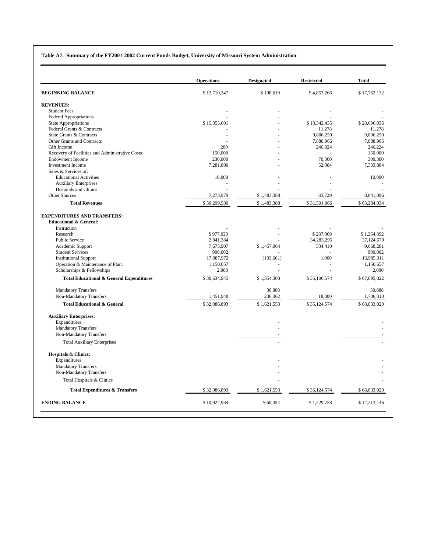#### **Table A7. Summary of the FY2001-2002 Current Funds Budget, University of Missouri System Administration**

|                                                                         | <b>Operations</b> | <b>Designated</b> | <b>Restricted</b> | <b>Total</b> |
|-------------------------------------------------------------------------|-------------------|-------------------|-------------------|--------------|
| <b>BEGINNING BALANCE</b>                                                | \$12,710,247      | \$198,619         | \$4,853,266       | \$17,762,132 |
| <b>REVENUES:</b>                                                        |                   |                   |                   |              |
| <b>Student Fees</b>                                                     |                   |                   |                   |              |
| <b>Federal Appropriations</b>                                           |                   |                   |                   |              |
| <b>State Appropriations</b>                                             | \$15,353,601      |                   | \$13,342,435      | \$28,696,036 |
| Federal Grants & Contracts                                              |                   |                   | 11,278            | 11,278       |
| State Grants & Contracts                                                |                   |                   | 9,806,250         | 9,806,250    |
| Other Grants and Contracts                                              |                   |                   | 7,888,966         | 7,888,966    |
| Gift Income                                                             | 200               |                   | 246,024           | 246,224      |
| Recovery of Facilities and Administrative Costs                         | 150,000           |                   |                   | 150,000      |
| <b>Endowment Income</b>                                                 | 230,000           |                   | 70,300            | 300,300      |
| <b>Investment Income</b>                                                | 7,281,800         |                   | 52,084            | 7,333,884    |
| Sales & Services of:                                                    |                   |                   |                   |              |
| <b>Educational Activities</b>                                           | 10,000            |                   |                   | 10,000       |
| <b>Auxiliary Enterprises</b>                                            |                   |                   |                   |              |
| <b>Hospitals and Clinics</b>                                            |                   |                   |                   |              |
| <b>Other Sources</b>                                                    | 7,273,979         | \$1,483,388       | 83,729            | 8,841,096    |
| <b>Total Revenues</b>                                                   | \$30,299,580      | \$1,483,388       | \$31,501,066      | \$63,284,034 |
| <b>EXPENDITURES AND TRANSFERS:</b><br><b>Educational &amp; General:</b> |                   |                   |                   |              |
| Instruction                                                             |                   |                   |                   |              |
| Research                                                                | \$977,023         |                   | \$287.869         | \$1.264.892  |
| Public Service                                                          | 2,841,384         |                   | 34,283,295        | 37,124,679   |
| Academic Support                                                        | 7,675,907         | \$1,457,964       | 534,410           | 9,668,281    |
| <b>Student Services</b>                                                 | 900,002           |                   |                   | 900,002      |
| <b>Institutional Support</b>                                            | 17,087,972        | (103, 661)        | 1.000             | 16,985,311   |
| Operation & Maintenance of Plant                                        | 1,150,657         |                   |                   | 1,150,657    |
| Scholarships & Fellowships                                              | 2,000             |                   |                   | 2,000        |
| <b>Total Educational &amp; General Expenditures</b>                     | \$30,634,945      | \$1,354,303       | \$35,106,574      | \$67,095,822 |
| <b>Mandatory Transfers</b>                                              |                   | 30.888            |                   | 30.888       |
| Non-Mandatory Transfers                                                 | 1,451,948         | 236,362           | 18,000            | 1,706,310    |
| <b>Total Educational &amp; General</b>                                  | \$32,086,893      | \$1,621,553       | \$35,124,574      | \$68,833,020 |
| <b>Auxiliary Enterprises:</b>                                           |                   |                   |                   |              |
| Expenditures                                                            |                   |                   |                   |              |
| <b>Mandatory Transfers</b>                                              |                   |                   |                   |              |
| Non-Mandatory Transfers                                                 |                   |                   |                   |              |
| <b>Total Auxiliary Enterprises</b>                                      |                   |                   |                   |              |
| <b>Hospitals &amp; Clinics:</b><br>Expenditures                         |                   |                   |                   |              |
| <b>Mandatory Transfers</b><br>Non-Mandatory Transfers                   |                   |                   |                   |              |
| Total Hospitals & Clinics                                               |                   | ÷.                |                   |              |
| <b>Total Expenditures &amp; Transfers</b>                               | \$32,086,893      | \$1,621,553       | \$35,124,574      | \$68,833,020 |
| <b>ENDING BALANCE</b>                                                   | \$10,922,934      | \$60,454          | \$1,229,758       | \$12,213,146 |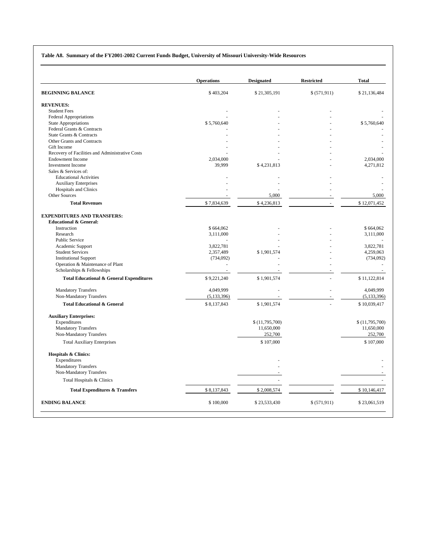#### **Table A8. Summary of the FY2001-2002 Current Funds Budget, University of Missouri University-Wide Resources**

|                                                                         |               | <b>Designated</b> | <b>Restricted</b> | <b>Total</b>   |
|-------------------------------------------------------------------------|---------------|-------------------|-------------------|----------------|
| <b>BEGINNING BALANCE</b>                                                | \$403,204     | \$21,305,191      | \$ (571, 911)     | \$21,136,484   |
| <b>REVENUES:</b>                                                        |               |                   |                   |                |
| <b>Student Fees</b>                                                     |               |                   |                   |                |
| Federal Appropriations                                                  |               |                   |                   |                |
| <b>State Appropriations</b>                                             | \$5,760,640   |                   |                   | \$5,760,640    |
| Federal Grants & Contracts                                              |               |                   |                   |                |
| State Grants & Contracts                                                |               |                   |                   |                |
| Other Grants and Contracts                                              |               |                   |                   |                |
| Gift Income                                                             |               |                   |                   |                |
| Recovery of Facilities and Administrative Costs                         |               |                   |                   |                |
| <b>Endowment Income</b>                                                 | 2,034,000     |                   |                   | 2,034,000      |
| <b>Investment Income</b>                                                | 39,999        | \$4,231,813       |                   | 4,271,812      |
| Sales & Services of:                                                    |               |                   |                   |                |
| <b>Educational Activities</b>                                           |               |                   |                   |                |
| <b>Auxiliary Enterprises</b>                                            |               |                   |                   |                |
| Hospitals and Clinics                                                   |               |                   |                   |                |
| Other Sources                                                           |               | 5,000             |                   | 5,000          |
| <b>Total Revenues</b>                                                   | \$7,834,639   | \$4,236,813       |                   | \$12,071,452   |
| <b>EXPENDITURES AND TRANSFERS:</b><br><b>Educational &amp; General:</b> |               |                   |                   |                |
| Instruction                                                             | \$664,062     |                   |                   | \$664,062      |
| Research                                                                | 3,111,000     |                   |                   | 3,111,000      |
| Public Service                                                          |               |                   |                   |                |
| Academic Support                                                        | 3,822,781     |                   |                   | 3,822,781      |
| <b>Student Services</b>                                                 | 2,357,489     | \$1,901,574       |                   | 4,259,063      |
| <b>Institutional Support</b>                                            | (734,092)     |                   |                   | (734,092)      |
| Operation & Maintenance of Plant                                        |               |                   |                   |                |
| Scholarships & Fellowships                                              |               |                   |                   |                |
| <b>Total Educational &amp; General Expenditures</b>                     | \$9,221,240   | \$1,901,574       |                   | \$11,122,814   |
| <b>Mandatory Transfers</b>                                              | 4,049,999     |                   |                   | 4,049,999      |
| Non-Mandatory Transfers                                                 | (5, 133, 396) |                   |                   | (5, 133, 396)  |
| <b>Total Educational &amp; General</b>                                  | \$8,137,843   | \$1,901,574       |                   | \$10,039,417   |
|                                                                         |               |                   |                   |                |
| <b>Auxiliary Enterprises:</b>                                           |               |                   |                   |                |
| Expenditures                                                            |               | \$(11,795,700)    |                   | \$(11,795,700) |
| <b>Mandatory Transfers</b>                                              |               | 11,650,000        |                   | 11,650,000     |
| Non-Mandatory Transfers                                                 |               | 252,700           |                   | 252,700        |
| <b>Total Auxiliary Enterprises</b>                                      |               | \$107,000         |                   | \$107,000      |
| <b>Hospitals &amp; Clinics:</b>                                         |               |                   |                   |                |
| Expenditures                                                            |               |                   |                   |                |
| <b>Mandatory Transfers</b><br>Non-Mandatory Transfers                   |               |                   |                   |                |
| Total Hospitals & Clinics                                               |               |                   |                   |                |
| <b>Total Expenditures &amp; Transfers</b>                               | \$8,137,843   | \$2,008,574       |                   | \$10,146,417   |
| <b>ENDING BALANCE</b>                                                   | \$100,000     | \$23,533,430      | \$ (571, 911)     | \$23,061,519   |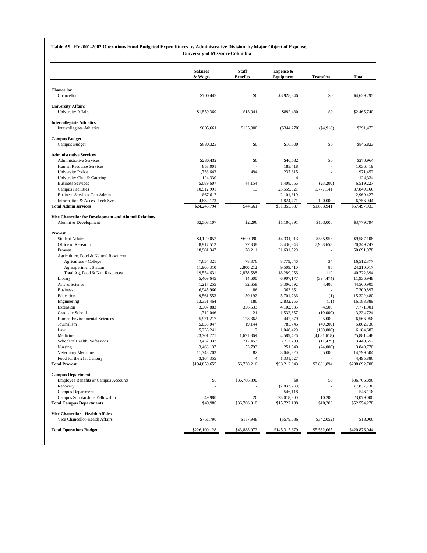#### **Table A9. FY2001-2002 Operations Fund Budgeted Expenditures by Administrative Division, by Major Object of Expense,**

**University of Missouri-Columbia**

|                                                        | <b>Salaries</b><br>& Wages | <b>Staff</b><br><b>Benefits</b> | Expense &<br>Equipment    | <b>Transfers</b>         | <b>Total</b>            |
|--------------------------------------------------------|----------------------------|---------------------------------|---------------------------|--------------------------|-------------------------|
| <b>Chancellor</b>                                      |                            |                                 |                           |                          |                         |
| Chancellor                                             | \$700,449                  | \$0                             | \$3,928,846               | \$0                      | \$4,629,295             |
| <b>University Affairs</b>                              |                            |                                 |                           |                          |                         |
| University Affairs                                     | \$1,559,369                | \$13,941                        | \$892,430                 | \$0                      | \$2,465,740             |
| <b>Intercollegiate Athletics</b>                       |                            |                                 |                           |                          |                         |
| <b>Intercollegiate Athletics</b>                       | \$605,661                  | \$135,000                       | $(\$344,270)$             | (\$4,918)                | \$391,473               |
| <b>Campus Budget</b>                                   |                            |                                 |                           |                          |                         |
| Campus Budget                                          | \$830,323                  | \$0                             | \$16,500                  | \$0                      | \$846,823               |
| <b>Administrative Services</b>                         |                            |                                 |                           |                          |                         |
| <b>Administrative Services</b>                         | \$230,432                  | \$0                             | \$40,532                  | \$0                      | \$270,964               |
| Human Resource Services                                | 853,001                    |                                 | 183,418                   |                          | 1,036,419               |
| University Police                                      | 1,733,643                  | 494                             | 237,315<br>$\overline{4}$ | $\overline{\phantom{a}}$ | 1,971,452               |
| University Club & Catering<br><b>Business Services</b> | 124,330<br>5,089,607       | 44,154                          | 1,408,666                 |                          | 124,334                 |
| <b>Campus Facilities</b>                               | 10,512,991                 | 13                              | 25,559,021                | (23,200)<br>1,777,141    | 6,519,227<br>37,849,166 |
| Business Services-Gen Admin                            | 867,617                    | J.                              | 2,101,810                 |                          | 2,969,427               |
| Information & Access Tech Sycs                         | 4.832.173                  |                                 | 1,824,771                 | 100,000                  | 6,756,944               |
| <b>Total Admin services</b>                            | \$24,243,794               | \$44,661                        | \$31,355,537              | \$1,853,941              | \$57,497,933            |
| Vice Chancellor for Development and Alumni Relations   |                            |                                 |                           |                          |                         |
| Alumni & Development                                   | \$2,508,107                | \$2,296                         | \$1,106,391               | \$163,000                | \$3,779,794             |
| Provost                                                |                            |                                 |                           |                          |                         |
| <b>Student Affairs</b>                                 | \$4,120,052                | \$600,090                       | \$4,331,013               | \$535,953                | \$9,587,108             |
| Office of Research                                     | 8,917,512                  | 27,338                          | 3,436,243                 | 7,968,655                | 20,349,747              |
| Provost                                                | 18,981,347                 | 78,211                          | 31,631,520                | $\overline{\phantom{a}}$ | 50,691,078              |
| Agriculture, Food & Natural Resources                  |                            |                                 |                           |                          |                         |
| Agriculture - College                                  | 7,654,321                  | 78,376                          | 8,779,646                 | 34                       | 16,512,377              |
| Ag Experiment Station                                  | 11,900,310                 | 2,800,212                       | 9,509,410                 | 85                       | 24,210,017              |
| Total Ag, Food & Nat. Resources                        | 19,554,631                 | 2,878,588                       | 18,289,056                | 119                      | 40,722,394              |
| Library                                                | 5,409,645                  | 14,600                          | 6,907,177                 | (394, 474)               | 11,936,948              |
| Arts & Science                                         | 41,217,255                 | 32,658                          | 3,306,592                 | 4,400                    | 44,560,905              |
| <b>Business</b>                                        | 6,945,960                  | 86                              | 363,851                   | $\overline{\phantom{a}}$ | 7,309,897               |
| Education                                              | 9,561,553                  | 59,192                          | 5,701,736                 | (1)                      | 15,322,480              |
| Engineering                                            | 13,351,464                 | 180                             | 2,832,256                 | (11)                     | 16,183,889              |
| Extension                                              | 3,307,883                  | 356,533<br>21                   | 4,102,985                 | 4,500                    | 7,771,901               |
| Graduate School<br>Human Environmental Sciences        | 1,712,046<br>5,971,217     | 128,362                         | 1,532,657<br>442,379      | (10,000)<br>25,000       | 3,234,724<br>6,566,958  |
| Journalism                                             | 5,038,047                  | 19,144                          | 785,745                   | (40,200)                 | 5,802,736               |
| Law                                                    | 5,236,241                  | 12                              | 1,048,429                 | (100,000)                | 6,184,682               |
| Medicine                                               | 23,701,771                 | 1,671,869                       | 4,589,426                 | (4,081,618)              | 25,881,448              |
| School of Health Professions                           | 3,452,337                  | 717,453                         | (717,709)                 | (11, 429)                | 3,440,652               |
| Nursing                                                | 3,468,137                  | 153,793                         | 251,840                   | (24,000)                 | 3,849,770               |
| Veterinary Medicine                                    | 11,748,202                 | 82                              | 3,046,220                 | 5,000                    | 14,799,504              |
| Food for the 21st Century                              | 3,164,355                  | $\overline{4}$                  | 1,331,527                 |                          | 4,495,886               |
| <b>Total Provost</b>                                   | \$194,859,655              | \$6,738,216                     | \$93,212,943              | \$3,881,894              | \$298,692,708           |
| <b>Campus Department</b>                               |                            |                                 |                           |                          |                         |
| Employee Benefits or Campus Accounts                   | \$0                        | \$36,766,890                    | \$0                       | \$0                      | \$36,766,890            |
| Recovery                                               | ÷                          |                                 | (7, 837, 730)             | ÷,                       | (7,837,730)             |
| <b>Campus Departments</b>                              |                            | J.                              | 546,118                   |                          | 546,118                 |
| Campus Scholarships Fellowship                         | 49,980                     | 20                              | 23,018,800                | 10,200                   | 23,079,000              |
| <b>Total Campus Departments</b>                        | \$49,980                   | \$36,766,910                    | \$15,727,188              | \$10,200                 | \$52,554,278            |
| Vice Chancellor - Health Affairs                       |                            |                                 |                           |                          |                         |
| Vice Chancellor-Health Affairs                         | \$751,790                  | \$187,948                       | $(\$579,686)$             | $(\$342,052)$            | \$18,000                |
| <b>Total Operations Budget</b>                         | \$226,109,128              | \$43,888,972                    | \$145,315,879             | \$5,562,065              | \$420,876,044           |
|                                                        |                            |                                 |                           |                          |                         |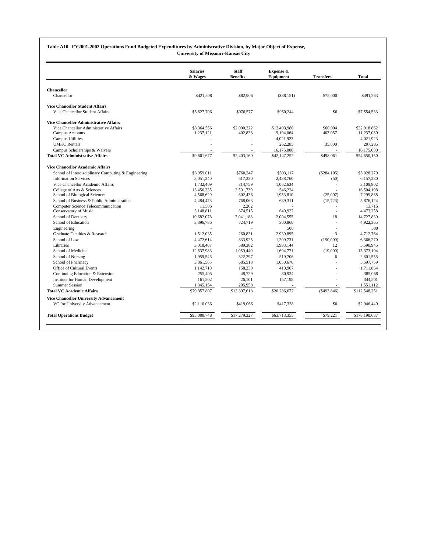#### **Table A10. FY2001-2002 Operations Fund Budgeted Expenditures by Administrative Division, by Major Object of Expense,**

**University of Missouri-Kansas City**

|                                                     | <b>Salaries</b> | <b>Staff</b>    | Expense &      | <b>Transfers</b>         | <b>Total</b>  |
|-----------------------------------------------------|-----------------|-----------------|----------------|--------------------------|---------------|
|                                                     | & Wages         | <b>Benefits</b> | Equipment      |                          |               |
| <b>Chancellor</b>                                   |                 |                 |                |                          |               |
| Chancellor                                          | \$421,508       | \$82,906        | (\$88,151)     | \$75,000                 | \$491,263     |
| <b>Vice Chancellor Student Affairs</b>              |                 |                 |                |                          |               |
| Vice Chancellor Student Affairs                     | \$5,627,706     | \$976,577       | \$950.244      | \$6                      | \$7,554,533   |
| <b>Vice Chancellor Administrative Affairs</b>       |                 |                 |                |                          |               |
| Vice Chancellor Administrative Affairs              | \$8,364,556     | \$2,000.322     | \$12,493,980   | \$60,004                 | \$22,918,862  |
| Campus Accounts                                     | 1,237,121       | 402,838         | 9.194.064      | 403,057                  | 11,237,080    |
| <b>Campus Utilities</b>                             |                 |                 | 4.021.923      |                          | 4,021,923     |
| <b>UMKC</b> Rentals                                 |                 |                 | 262,285        | 35,000                   | 297,285       |
| Campus Scholarships & Waivers                       |                 |                 | 16,175,000     |                          | 16,175,000    |
| <b>Total VC Administrative Affairs</b>              | \$9,601,677     | \$2,403,160     | \$42,147,252   | \$498,061                | \$54,650,150  |
| <b>Vice Chancellor Academic Affairs</b>             |                 |                 |                |                          |               |
| School of Interdisciplinary Computing & Engineering | \$3,959,011     | \$760,247       | \$593,117      | (\$284,105)              | \$5,028,270   |
| <b>Information Services</b>                         | 3.051.240       | 617,330         | 2.488.760      | (50)                     | 6,157,280     |
| Vice Chancellor Academic Affairs                    | 1.732.409       | 314,759         | 1.062.634      | ÷,                       | 3.109.802     |
| College of Arts & Sciences                          | 13,456,235      | 2,501,739       | 546.224        |                          | 16,504,198    |
| School of Biological Sciences                       | 4,568,629       | 802,436         | 1,953,810      | (25,007)                 | 7,299,868     |
| School of Business & Public Administration          | 4,484,473       | 768,063         | 639,311        | (15, 723)                | 5,876,124     |
| Computer Science Telecommunication                  | 11.506          | 2.202           | $\overline{7}$ |                          | 13.715        |
| Conservatory of Music                               | 3,148,811       | 674,515         | 649,932        | L.                       | 4,473,258     |
| School of Dentistry                                 | 10,682,078      | 2,041,188       | 2,004,555      | 18                       | 14,727,839    |
| School of Education                                 | 3.896.786       | 724,719         | 300,860        | $\overline{\phantom{a}}$ | 4.922.365     |
| Engineering                                         |                 |                 | 500            | L,                       | 500           |
| Graduate Faculties & Research                       | 1,512,035       | 260,831         | 2,939,895      | 3                        | 4,712,764     |
| School of Law                                       | 4,472,614       | 833,925         | 1,209,731      | (150,000)                | 6,366,270     |
| Libraries                                           | 3.018.407       | 589.382         | 1.983.144      | 12                       | 5.590.945     |
| School of Medicine                                  | 12,637,983      | 1,059,440       | 1,694,771      | (19,000)                 | 15,373,194    |
| School of Nursing                                   | 1,959,546       | 322,297         | 519,706        | 6                        | 2,801,555     |
| School of Pharmacy                                  | 3.861.565       | 685.518         | 1.050.676      |                          | 5.597.759     |
| Office of Cultural Events                           | 1.142.718       | 158.239         | 410.907        | $\overline{a}$           | 1.711.864     |
| Continuing Education & Extension                    | 255,405         | 48,729          | 80,934         |                          | 385,068       |
| Institute for Human Development                     | 161,202         | 26,101          | 157,198        |                          | 344,501       |
| <b>Summer Session</b>                               | 1,345,154       | 205,958         |                | $\overline{a}$           | 1,551,112     |
| <b>Total VC Academic Affairs</b>                    | \$79,357,807    | \$13,397,618    | \$20,286,672   | ( \$493, 846)            | \$112,548,251 |
| <b>Vice Chancellor University Advancement</b>       |                 |                 |                |                          |               |
| VC for University Advancement                       | \$2,110,036     | \$419,066       | \$417.338      | \$0                      | \$2,946,440   |
| <b>Total Operations Budget</b>                      | \$95,008,748    | \$17,279,327    | \$63,713,355   | \$79,221                 | \$178,190,637 |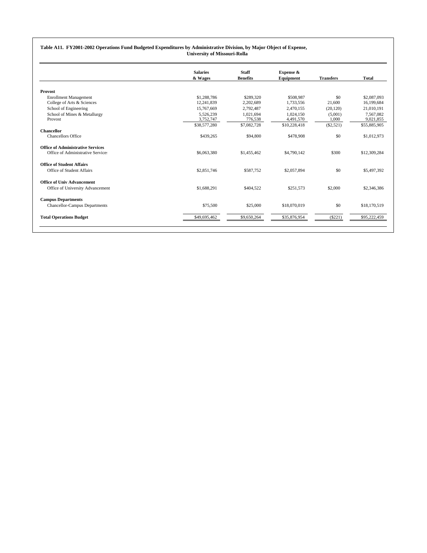#### **Table A11. FY2001-2002 Operations Fund Budgeted Expenditures by Administrative Division, by Major Object of Expense, University of Missouri-Rolla**

|                                                                               | <b>Salaries</b><br>& Wages | <b>Staff</b><br><b>Benefits</b> | Expense &<br>Equipment | <b>Transfers</b> | <b>Total</b>              |
|-------------------------------------------------------------------------------|----------------------------|---------------------------------|------------------------|------------------|---------------------------|
|                                                                               |                            |                                 |                        |                  |                           |
| <b>Provost</b>                                                                |                            |                                 |                        |                  |                           |
| <b>Enrollment Management</b><br>College of Arts & Sciences                    | \$1,288,786<br>12.241.839  | \$289,320<br>2,202,689          | \$508,987<br>1,733,556 | \$0<br>21,600    | \$2,087,093<br>16,199,684 |
| School of Engineering                                                         | 15,767,669                 | 2.792.487                       | 2.470.155              | (20, 120)        | 21,010,191                |
| School of Mines & Metallurgy<br>Provost                                       | 5.526.239<br>3,752,747     | 1.021.694<br>776,538            | 1.024.150<br>4,491,570 | (5,001)<br>1,000 | 7.567.082<br>9,021,855    |
|                                                                               | \$38,577,280               | \$7,082,728                     | \$10,228,418           | $(\$2,521)$      | \$55,885,905              |
| <b>Chancellor</b><br><b>Chancellors Office</b>                                | \$439,265                  | \$94,800                        | \$478,908              | \$0              | \$1,012,973               |
| <b>Office of Administrative Services</b><br>Office of Administrative Services | \$6,063,380                | \$1,455,462                     | \$4,790,142            | \$300            | \$12,309,284              |
| <b>Office of Student Affairs</b>                                              |                            |                                 |                        |                  |                           |
| Office of Student Affairs                                                     | \$2,851,746                | \$587,752                       | \$2,057,894            | \$0              | \$5,497,392               |
| <b>Office of Univ Advancement</b>                                             |                            |                                 |                        |                  |                           |
| Office of University Advancement                                              | \$1,688.291                | \$404.522                       | \$251.573              | \$2,000          | \$2,346,386               |
| <b>Campus Departments</b>                                                     |                            |                                 |                        |                  |                           |
| <b>Chancellor-Campus Departments</b>                                          | \$75,500                   | \$25,000                        | \$18,070,019           | \$0              | \$18,170,519              |
| <b>Total Operations Budget</b>                                                | \$49,695,462               | \$9,650,264                     | \$35,876,954           | $(\$221)$        | \$95,222,459              |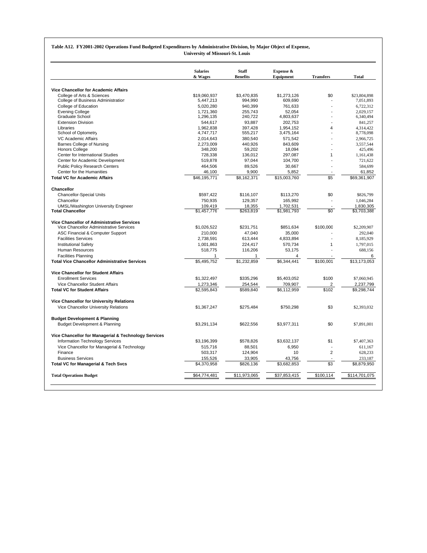#### **Table A12. FY2001-2002 Operations Fund Budgeted Expenditures by Administrative Division, by Major Object of Expense,**

**University of Missouri-St. Louis**

|                                                      | <b>Salaries</b> | <b>Staff</b><br><b>Benefits</b> | Expense &      |                          | <b>Total</b>  |
|------------------------------------------------------|-----------------|---------------------------------|----------------|--------------------------|---------------|
|                                                      | & Wages         |                                 | Equipment      | <b>Transfers</b>         |               |
| <b>Vice Chancellor for Academic Affairs</b>          |                 |                                 |                |                          |               |
| College of Arts & Sciences                           | \$19,060.937    | \$3.470.835                     | \$1.273.126    | \$0                      | \$23,804,898  |
| College of Business Administration                   | 5,447,213       | 994,990                         | 609,690        |                          | 7,051,893     |
| College of Education                                 | 5,020,280       | 940,399                         | 761.633        |                          | 6.722.312     |
| <b>Evening College</b>                               | 1,721,360       | 255,743                         | 52,054         |                          | 2,029,157     |
| <b>Graduate School</b>                               | 1,296,135       | 240,722                         | 4,803,637      |                          | 6,340,494     |
| <b>Extension Division</b>                            | 544,617         | 93,887                          | 202,753        |                          | 841,257       |
| Libraries                                            | 1,962,838       | 397,428                         | 1,954,152      | $\overline{4}$           | 4,314,422     |
| School of Optometry                                  | 4,747,717       | 555,217                         | 3,475,164      |                          | 8,778,098     |
| VC Academic Affairs                                  | 2,014,643       | 380,540                         | 571,542        | $\overline{a}$           | 2,966,725     |
| <b>Barnes College of Nursing</b>                     | 2.273.009       | 440.926                         | 843.609        |                          | 3.557.544     |
| <b>Honors College</b>                                | 348,200         | 59,202                          | 18,094         |                          | 425,496       |
| Center for International Studies                     | 728.338         | 136.012                         | 297.087        | $\mathbf{1}$             | 1.161.438     |
| Center for Academic Development                      | 519,878         | 97,044                          | 104,700        |                          | 721,622       |
| <b>Public Policy Research Centers</b>                | 464,506         | 89,526                          | 30,667         |                          | 584,699       |
| Center for the Humanities                            | 46,100          | 9,900                           | 5,852          |                          | 61,852        |
| <b>Total VC for Academic Affairs</b>                 | \$46,195,771    | \$8,162,371                     | \$15,003,760   | \$5                      | \$69,361,907  |
| Chancellor                                           |                 |                                 |                |                          |               |
| <b>Chancellor-Special Units</b>                      | \$597,422       | \$116,107                       | \$113,270      | \$0                      | \$826,799     |
| Chancellor                                           | 750.935         | 129,357                         | 165,992        |                          | 1,046,284     |
| <b>UMSL/Washington University Engineer</b>           | 109,419         | 18,355                          | 1,702,531      |                          | 1,830,305     |
| <b>Total Chancellor</b>                              | \$1,457,776     | \$263,819                       | \$1,981,793    | \$0                      | \$3,703,388   |
| Vice Chancellor of Administrative Services           |                 |                                 |                |                          |               |
| Vice Chancellor Administrative Services              | \$1,026,522     | \$231.751                       | \$851.634      | \$100,000                | \$2,209,907   |
| ASC Financial & Computer Support                     | 210,000         | 47,040                          | 35,000         |                          | 292,040       |
| <b>Facilities Services</b>                           | 2,738,591       | 613,444                         | 4,833,894      | $\overline{a}$           | 8,185,929     |
| <b>Institutional Safety</b>                          | 1,001,863       | 224,417                         | 570,734        | $\mathbf{1}$             | 1,797,015     |
| <b>Human Resources</b>                               | 518.775         | 116,206                         | 53.175         |                          | 688.156       |
| <b>Facilities Planning</b>                           | 1               | $\mathbf{1}$                    | $\overline{4}$ |                          | 6             |
| <b>Total Vice Chancellor Administrative Services</b> | \$5,495,752     | \$1,232,859                     | \$6,344,441    | \$100,001                | \$13,173,053  |
| <b>Vice Chancellor for Student Affairs</b>           |                 |                                 |                |                          |               |
| <b>Enrollment Services</b>                           | \$1,322,497     | \$335,296                       | \$5,403,052    | \$100                    | \$7,060,945   |
| Vice Chancellor Student Affairs                      | 1,273,346       | 254.544                         |                | 2                        |               |
| <b>Total VC for Student Affairs</b>                  |                 |                                 | 709,907        | \$102                    | 2,237,799     |
|                                                      | \$2,595,843     | \$589,840                       | \$6,112,959    |                          | \$9,298,744   |
| Vice Chancellor for University Relations             |                 |                                 |                |                          |               |
| Vice Chancellor University Relations                 | \$1.367.247     | \$275.484                       | \$750.298      | \$3                      | \$2,393,032   |
| <b>Budget Development &amp; Planning</b>             |                 |                                 |                |                          |               |
| <b>Budget Development &amp; Planning</b>             | \$3.291.134     | \$622,556                       | \$3,977,311    | \$0                      | \$7,891,001   |
| Vice Chancellor for Managerial & Technology Services |                 |                                 |                |                          |               |
| Information Technology Services                      | \$3,196,399     | \$578,826                       | \$3,632,137    | \$1                      | \$7,407,363   |
| Vice Chancellor for Managerial & Technology          | 515,716         | 88,501                          | 6,950          |                          | 611,167       |
| Finance                                              | 503,317         | 124,904                         | 10             | 2                        | 628,233       |
| <b>Business Services</b>                             | 155,526         | 33,905                          | 43,756         | $\overline{\phantom{a}}$ | 233,187       |
| <b>Total VC for Managerial &amp; Tech Svcs</b>       | \$4,370,958     | \$826,136                       | \$3,682,853    | \$3                      | \$8,879,950   |
|                                                      |                 |                                 |                |                          |               |
| <b>Total Operations Budget</b>                       | \$64,774,481    | \$11,973,065                    | \$37,853,415   | \$100,114                | \$114,701,075 |
|                                                      |                 |                                 |                |                          |               |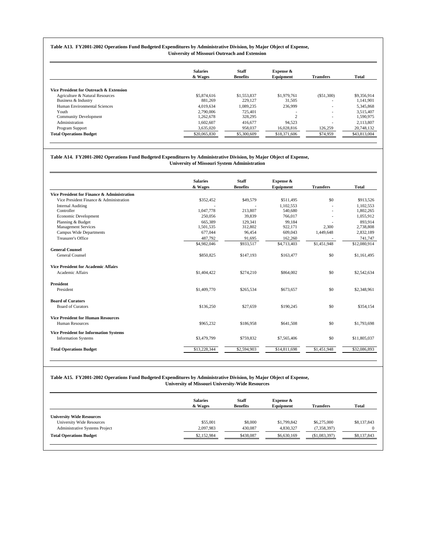#### **Table A13. FY2001-2002 Operations Fund Budgeted Expenditures by Administrative Division, by Major Object of Expense, University of Missouri Outreach and Extension**

|                                         | <b>Salaries</b> | <b>Staff</b>    | Expense &    |                          |              |
|-----------------------------------------|-----------------|-----------------|--------------|--------------------------|--------------|
|                                         | & Wages         | <b>Benefits</b> | Equipment    | <b>Transfers</b>         | <b>Total</b> |
| Vice President for Outreach & Extension |                 |                 |              |                          |              |
| Agriculture & Natural Resources         | \$5,874,616     | \$1,553,837     | \$1,979,761  | (S51,300)                | \$9,356,914  |
| Business & Industry                     | 881.269         | 229,127         | 31,505       | $\overline{\phantom{a}}$ | 1,141,901    |
| Human Environmental Sciences            | 4.019.634       | 1.089.235       | 236,999      | $\overline{\phantom{a}}$ | 5,345,868    |
| Youth                                   | 2.790,006       | 725.401         | ٠            | $\overline{\phantom{a}}$ | 3.515.407    |
| <b>Community Development</b>            | 1.262.678       | 328,295         | $\sim$       | $\overline{\phantom{a}}$ | 1.590.975    |
| Administration                          | 1,602,607       | 416,677         | 94.523       | $\overline{\phantom{a}}$ | 2,113,807    |
| Program Support                         | 3,635,020       | 958,037         | 16,028,816   | 126,259                  | 20,748,132   |
| <b>Total Operations Budget</b>          | \$20,065,830    | \$5,300,609     | \$18,371,606 | \$74,959                 | \$43,813,004 |

#### **Table A14. FY2001-2002 Operations Fund Budgeted Expenditures by Administrative Division, by Major Object of Expense, University of Missouri System Administration**

|                                                 | <b>Staff</b><br><b>Salaries</b> |                    | Expense &         |                          |                      |
|-------------------------------------------------|---------------------------------|--------------------|-------------------|--------------------------|----------------------|
|                                                 | & Wages                         | <b>Benefits</b>    | Equipment         | <b>Transfers</b>         | <b>Total</b>         |
| Vice President for Finance & Administration     |                                 |                    |                   |                          |                      |
| Vice President Finance & Administration         | \$352,452                       | \$49,579           | \$511.495         | \$0                      | \$913,526            |
| <b>Internal Auditing</b>                        |                                 |                    | 1.102.553         | $\overline{\phantom{a}}$ | 1,102,553            |
| Controller                                      | 1,047,778                       | 213,807            | 540,680           |                          | 1,802,265            |
| Economic Development                            | 250,056                         | 39,839             | 766,017           |                          | 1,055,912            |
| Planning & Budget<br><b>Management Services</b> | 665,389                         | 129.341<br>312,802 | 99.184<br>922,171 | 2,300                    | 893.914<br>2,738,808 |
|                                                 | 1,501,535                       |                    |                   |                          |                      |
| Campus Wide Departments<br>Treasurer's Office   | 677,044                         | 96.454             | 609,043           | 1,449,648                | 2,832,189            |
|                                                 | 487,792                         | 91,695             | 162,260           |                          | 741,747              |
|                                                 | \$4,982,046                     | \$933,517          | \$4,713,403       | \$1,451,948              | \$12,080,914         |
| <b>General Counsel</b>                          |                                 |                    |                   |                          |                      |
| <b>General Counsel</b>                          | \$850,825                       | \$147.193          | \$163,477         | \$0                      | \$1,161,495          |
| <b>Vice President for Academic Affairs</b>      |                                 |                    |                   |                          |                      |
| Academic Affairs                                | \$1,404,422                     | \$274,210          | \$864,002         | \$0                      | \$2,542,634          |
| <b>President</b>                                |                                 |                    |                   |                          |                      |
| President                                       | \$1,409,770                     | \$265.534          | \$673,657         | \$0                      | \$2,348,961          |
| <b>Board of Curators</b>                        |                                 |                    |                   |                          |                      |
| <b>Board of Curators</b>                        | \$136,250                       | \$27,659           | \$190,245         | \$0                      | \$354,154            |
| <b>Vice President for Human Resources</b>       |                                 |                    |                   |                          |                      |
| Human Resources                                 | \$965,232                       | \$186,958          | \$641,508         | \$0                      | \$1,793,698          |
| <b>Vice President for Information Systems</b>   |                                 |                    |                   |                          |                      |
| <b>Information Systems</b>                      | \$3,479,799                     | \$759,832          | \$7,565,406       | \$0                      | \$11,805,037         |
| <b>Total Operations Budget</b>                  | \$13,228,344                    | \$2,594,903        | \$14,811,698      | \$1,451,948              | \$32,086,893         |

#### **Table A15. FY2001-2002 Operations Fund Budgeted Expenditures by Administrative Division, by Major Object of Expense, University of Missouri University-Wide Resources**

|                                  | <b>Salaries</b><br>& Wages | <b>Staff</b><br><b>Benefits</b> | Expense &<br>Equipment | <b>Transfers</b> | <b>Total</b> |
|----------------------------------|----------------------------|---------------------------------|------------------------|------------------|--------------|
| <b>University Wide Resources</b> |                            |                                 |                        |                  |              |
| University Wide Resources        | \$55,001                   | \$8,000                         | \$1,799,842            | \$6,275,000      | \$8,137,843  |
| Administrative Systems Project   | 2,097,983                  | 430,087                         | 4,830,327              | (7,358,397)      | $\Omega$     |
| <b>Total Operations Budget</b>   | \$2,152,984                | \$438,087                       | \$6,630,169            | (S1,083,397)     | \$8,137,843  |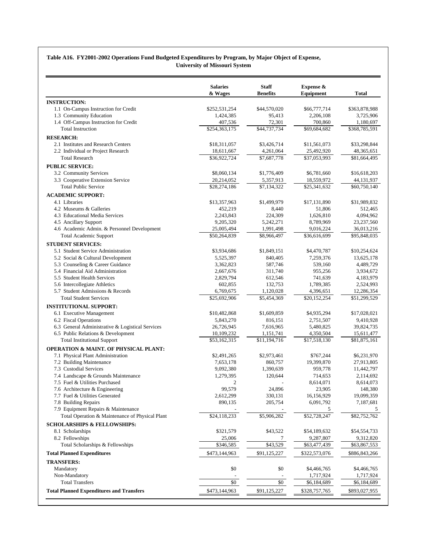#### **Table A16. FY2001-2002 Operations Fund Budgeted Expenditures by Program, by Major Object of Expense, University of Missouri System**

|                                                                                        | <b>Salaries</b><br>& Wages | <b>Staff</b><br><b>Benefits</b> | Expense &<br>Equipment    | Total                     |
|----------------------------------------------------------------------------------------|----------------------------|---------------------------------|---------------------------|---------------------------|
| <b>INSTRUCTION:</b>                                                                    |                            |                                 |                           |                           |
| 1.1 On-Campus Instruction for Credit                                                   | \$252,531,254              | \$44,570,020                    | \$66,777,714              | \$363,878,988             |
| 1.3 Community Education                                                                | 1,424,385                  | 95,413                          | 2,206,108                 | 3,725,906                 |
| 1.4 Off-Campus Instruction for Credit                                                  | 407,536                    | 72,301                          | 700,860                   | 1,180,697                 |
| <b>Total Instruction</b>                                                               | \$254,363,175              | \$44,737,734                    | \$69,684,682              | \$368,785,591             |
| <b>RESEARCH:</b>                                                                       |                            |                                 |                           |                           |
| 2.1 Institutes and Research Centers                                                    | \$18,311,057               | \$3,426,714                     | \$11,561,073              | \$33,298,844              |
| 2.2 Individual or Project Research                                                     | 18,611,667                 | 4,261,064                       | 25,492,920                | 48,365,651                |
| <b>Total Research</b>                                                                  | \$36,922,724               | \$7,687,778                     | \$37,053,993              | \$81,664,495              |
| <b>PUBLIC SERVICE:</b>                                                                 |                            |                                 |                           |                           |
| 3.2 Community Services                                                                 | \$8,060,134                | \$1,776,409                     | \$6,781,660               | \$16,618,203              |
| 3.3 Cooperative Extension Service                                                      | 20,214,052                 | 5,357,913                       | 18,559,972                | 44,131,937                |
| <b>Total Public Service</b>                                                            | \$28,274,186               | \$7,134,322                     | \$25,341,632              | \$60,750,140              |
| <b>ACADEMIC SUPPORT:</b>                                                               |                            |                                 |                           |                           |
| 4.1 Libraries                                                                          | \$13,357,963               | \$1,499,979                     | \$17,131,890              | \$31,989,832              |
| 4.2 Museums & Galleries                                                                | 452,219                    | 8,440                           | 51,806                    | 512,465                   |
| 4.3 Educational Media Services                                                         | 2,243,843                  | 224,309                         | 1,626,810                 | 4,094,962                 |
| 4.5 Ancillary Support                                                                  | 9,205,320                  | 5,242,271                       | 8,789,969                 | 23,237,560                |
| 4.6 Academic Admin. & Personnel Development                                            | 25,005,494                 | 1,991,498                       | 9,016,224                 | 36,013,216                |
| <b>Total Academic Support</b>                                                          | \$50,264,839               | \$8,966,497                     | \$36,616,699              | \$95,848,035              |
| <b>STUDENT SERVICES:</b>                                                               |                            |                                 |                           |                           |
| 5.1 Student Service Administration                                                     | \$3,934,686                | \$1,849,151                     | \$4,470,787               | \$10,254,624              |
| 5.2 Social & Cultural Development                                                      | 5,525,397                  | 840,405                         | 7,259,376                 | 13,625,178                |
| 5.3 Counseling & Career Guidance                                                       | 3,362,823                  | 587,746                         | 539,160                   | 4,489,729                 |
| 5.4 Financial Aid Administration                                                       | 2,667,676                  | 311,740                         | 955,256                   | 3,934,672                 |
| 5.5 Student Health Services                                                            | 2,829,794                  | 612,546                         | 741,639                   | 4,183,979                 |
| 5.6 Intercollegiate Athletics                                                          | 602,855                    | 132,753                         | 1,789,385                 | 2,524,993                 |
| 5.7 Student Admissions & Records                                                       | 6,769,675                  | 1,120,028                       | 4,396,651                 | 12,286,354                |
| <b>Total Student Services</b>                                                          | \$25,692,906               | \$5,454,369                     | \$20,152,254              | $\overline{$}51,299,529$  |
| <b>INSTITUTIONAL SUPPORT:</b>                                                          |                            |                                 |                           |                           |
| 6.1 Executive Management                                                               | \$10,482,868               | \$1,609,859                     | \$4,935,294               | \$17,028,021              |
| 6.2 Fiscal Operations                                                                  | 5,843,270                  | 816,151                         | 2,751,507                 | 9,410,928                 |
| 6.3 General Administrative & Logistical Services                                       | 26,726,945                 | 7,616,965                       | 5,480,825                 | 39,824,735                |
| 6.5 Public Relations & Development                                                     | 10,109,232                 | 1,151,741                       | 4,350,504                 | 15,611,477                |
| <b>Total Institutional Support</b>                                                     | \$53,162,315               | \$11,194,716                    | \$17,518,130              | \$81,875,161              |
| <b>OPERATION &amp; MAINT. OF PHYSICAL PLANT:</b>                                       |                            |                                 |                           |                           |
| 7.1 Physical Plant Administration                                                      | \$2,491,265                | \$2,973,461                     | \$767,244                 | \$6,231,970               |
| 7.2 Building Maintenance                                                               | 7,653,178                  | 860,757                         | 19,399,870                | 27,913,805                |
| 7.3 Custodial Services                                                                 | 9,092,380                  | 1,390,639                       | 959,778                   | 11,442,797                |
| 7.4 Landscape & Grounds Maintenance                                                    | 1,279,395                  | 120,644                         | 714,653                   | 2,114,692                 |
| 7.5 Fuel & Utilities Purchased                                                         | 2                          |                                 | 8,614,071                 | 8,614,073                 |
| 7.6 Architecture & Engineering                                                         | 99,579                     | 24,896                          | 23,905                    | 148,380                   |
| 7.7 Fuel & Utilities Generated                                                         | 2,612,299                  | 330,131                         | 16,156,929                | 19,099,359                |
| 7.8 Building Repairs                                                                   | 890,135                    | 205,754                         | 6,091,792                 | 7,187,681                 |
| 7.9 Equipment Repairs & Maintenance<br>Total Operation & Maintenance of Physical Plant | \$24,118,233               | \$5,906,282                     | 5<br>\$52,728,247         | 5.<br>\$82,752,762        |
|                                                                                        |                            |                                 |                           |                           |
| <b>SCHOLARSHIPS &amp; FELLOWSHIPS:</b>                                                 |                            | \$43,522                        |                           |                           |
| 8.1 Scholarships                                                                       | \$321,579                  |                                 | \$54,189,632              | \$54,554,733              |
| 8.2 Fellowships<br>Total Scholarships & Fellowships                                    | 25,006<br>\$346,585        | 7<br>\$43,529                   | 9,287,807<br>\$63,477,439 | 9,312,820<br>\$63,867,553 |
|                                                                                        |                            |                                 |                           |                           |
| <b>Total Planned Expenditures</b>                                                      | \$473,144,963              | \$91,125,227                    | \$322,573,076             | \$886,843,266             |
| <b>TRANSFERS:</b>                                                                      |                            |                                 |                           |                           |
| Mandatory                                                                              | \$0                        | \$0                             | \$4,466,765               | \$4,466,765               |
| Non-Mandatory<br><b>Total Transfers</b>                                                | \$0                        | \$0                             | 1,717,924<br>\$6,184,689  | 1,717,924                 |
|                                                                                        |                            |                                 |                           | \$6,184,689               |
| <b>Total Planned Expenditures and Transfers</b>                                        | \$473,144,963              | \$91,125,227                    | \$328,757,765             | \$893,027,955             |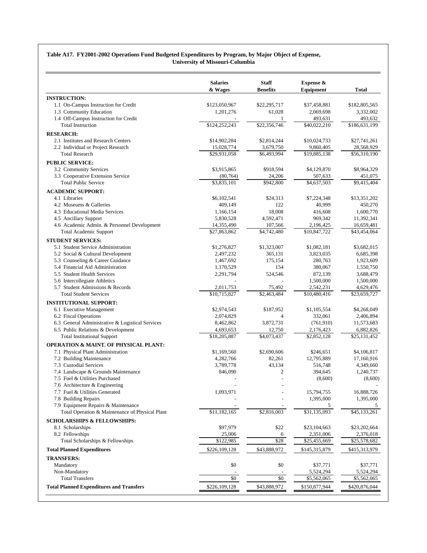#### **Table A17. FY2001-2002 Operations Fund Budgeted Expenditures by Program, by Major Object of Expense, University of Missouri-Columbia**

|                                                                                        | <b>Salaries</b><br>& Wages | <b>Staff</b><br><b>Benefits</b> | Expense &<br>Equipment    | <b>Total</b>            |
|----------------------------------------------------------------------------------------|----------------------------|---------------------------------|---------------------------|-------------------------|
| <b>INSTRUCTION:</b>                                                                    |                            |                                 |                           |                         |
| 1.1 On-Campus Instruction for Credit                                                   | \$123,050,967              | \$22,295,717                    | \$37,458,881              | \$182,805,565           |
| 1.3 Community Education                                                                | 1,201,276                  | 61,028                          | 2,069,698                 | 3,332,002               |
| 1.4 Off-Campus Instruction for Credit                                                  |                            |                                 | 493,631                   | 493,632                 |
| <b>Total Instruction</b>                                                               | \$124,252,243              | \$22,356,746                    | \$40,022,210              | \$186,631,199           |
| <b>RESEARCH:</b>                                                                       |                            |                                 |                           |                         |
| 2.1 Institutes and Research Centers                                                    | \$14,902,284               | \$2,814,244                     | \$10,024,733              | \$27,741,261            |
| 2.2 Individual or Project Research                                                     | 15,028,774                 | 3,679,750                       | 9,860,405                 | 28,568,929              |
| <b>Total Research</b>                                                                  | \$29,931,058               | \$6,493,994                     | \$19,885,138              | \$56,310,190            |
| <b>PUBLIC SERVICE:</b>                                                                 |                            |                                 |                           |                         |
| 3.2 Community Services                                                                 | \$3,915,865                | \$918,594                       | \$4,129,870               | \$8,964,329             |
| 3.3 Cooperative Extension Service                                                      | (80, 764)                  | 24,206                          | 507,633                   | 451,075                 |
| <b>Total Public Service</b>                                                            | \$3,835,101                | \$942,800                       | \$4,637,503               | \$9,415,404             |
| <b>ACADEMIC SUPPORT:</b>                                                               |                            |                                 |                           |                         |
| 4.1 Libraries                                                                          | \$6,102,541                | \$24,313                        | \$7,224,348               | \$13,351,202            |
| 4.2 Museums & Galleries                                                                | 409,149                    | 122                             | 40,999                    | 450,270                 |
| 4.3 Educational Media Services                                                         | 1,166,154                  | 18,008                          | 416,608                   | 1,600,770               |
| 4.5 Ancillary Support                                                                  | 5,830,528                  | 4,592,471                       | 969,342                   | 11,392,341              |
| 4.6 Academic Admin. & Personnel Development                                            | 14,355,490                 | 107,566                         | 2,196,425                 | 16,659,481              |
| <b>Total Academic Support</b>                                                          | \$27,863,862               | \$4,742,480                     | \$10,847,722              | \$43,454,064            |
| <b>STUDENT SERVICES:</b>                                                               |                            |                                 |                           |                         |
| 5.1 Student Service Administration                                                     | \$1,276,827                | \$1,323,007                     | \$1,082,181               | \$3,682,015             |
| 5.2 Social & Cultural Development                                                      | 2,497,232                  | 365,131                         | 3,823,035                 | 6,685,398               |
| 5.3 Counseling & Career Guidance                                                       | 1,467,692                  | 175,154                         | 280,763                   | 1,923,609               |
| 5.4 Financial Aid Administration                                                       | 1,170,529                  | 154                             | 380,067                   | 1,550,750               |
| 5.5 Student Health Services                                                            | 2,291,794                  | 524,546                         | 872,139                   | 3,688,479               |
| 5.6 Intercollegiate Athletics                                                          |                            |                                 | 1,500,000                 | 1,500,000               |
| 5.7 Student Admissions & Records<br><b>Total Student Services</b>                      | 2,011,753<br>\$10,715,827  | 75,492<br>\$2,463,484           | 2,542,231<br>\$10,480,416 | 4,629,476               |
|                                                                                        |                            |                                 |                           | \$23,659,727            |
| <b>INSTITUTIONAL SUPPORT:</b>                                                          |                            |                                 |                           |                         |
| 6.1 Executive Management                                                               | \$2,974,543                | \$187,952                       | \$1,105,554               | \$4,268,049             |
| 6.2 Fiscal Operations                                                                  | 2,074,829                  | $\overline{4}$                  | 332,061                   | 2,406,894               |
| 6.3 General Administrative & Logistical Services<br>6.5 Public Relations & Development | 8,462,862<br>4,693,653     | 3,872,731<br>12,750             | (761,910)<br>2,176,423    | 11,573,683<br>6,882,826 |
| <b>Total Institutional Support</b>                                                     | \$18,205,887               | \$4,073,437                     | \$2,852,128               | \$25,131,452            |
|                                                                                        |                            |                                 |                           |                         |
| <b>OPERATION &amp; MAINT. OF PHYSICAL PLANT:</b>                                       |                            |                                 |                           |                         |
| 7.1 Physical Plant Administration                                                      | \$1,169,560                | \$2,690,606                     | \$246,651                 | \$4,106,817             |
| 7.2 Building Maintenance<br>7.3 Custodial Services                                     | 4,282,766<br>3,789,778     | 82,261<br>43,134                | 12,795,889<br>516,748     | 17,160,916<br>4,349,660 |
| 7.4 Landscape & Grounds Maintenance                                                    | 846,090                    | 2                               | 394,645                   | 1,240,737               |
| 7.5 Fuel & Utilities Purchased                                                         |                            | $\overline{\phantom{a}}$        | (8,600)                   | (8,600)                 |
| 7.6 Architecture & Engineering                                                         |                            |                                 |                           |                         |
| 7.7 Fuel & Utilities Generated                                                         | 1,093,971                  |                                 | 15,794,755                | 16,888,726              |
| 7.8 Building Repairs                                                                   |                            |                                 | 1,395,000                 | 1,395,000               |
| 7.9 Equipment Repairs & Maintenance                                                    |                            |                                 | 5                         |                         |
| Total Operation & Maintenance of Physical Plant                                        | \$11,182,165               | \$2,816,003                     | \$31,135,093              | \$45,133,261            |
| <b>SCHOLARSHIPS &amp; FELLOWSHIPS:</b>                                                 |                            |                                 |                           |                         |
| 8.1 Scholarships                                                                       | \$97,979                   | \$22                            | \$23,104,663              | \$23,202,664            |
| 8.2 Fellowships                                                                        | 25,006                     | 6                               | 2,351,006                 | 2,376,018               |
| Total Scholarships & Fellowships                                                       | \$122,985                  | \$28                            | \$25,455,669              | \$25,578,682            |
| <b>Total Planned Expenditures</b>                                                      | \$226,109,128              | \$43,888,972                    | \$145,315,879             | \$415,313,979           |
|                                                                                        |                            |                                 |                           |                         |
| <b>TRANSFERS:</b>                                                                      |                            |                                 |                           |                         |
| Mandatory                                                                              | \$0                        | \$0                             | \$37,771                  | \$37,771                |
| Non-Mandatory<br><b>Total Transfers</b>                                                | $\overline{50}$            | $\sqrt{6}$                      | 5,524,294<br>\$5,562,065  | 5,524,294               |
|                                                                                        |                            |                                 |                           | \$5,562,065             |
| <b>Total Planned Expenditures and Transfers</b>                                        | \$226,109,128              | \$43,888,972                    | \$150,877,944             | \$420,876,044           |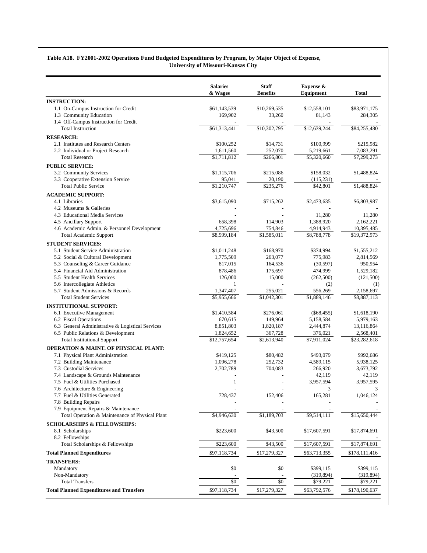#### **Table A18. FY2001-2002 Operations Fund Budgeted Expenditures by Program, by Major Object of Expense, University of Missouri-Kansas City**

| <b>INSTRUCTION:</b><br>1.1 On-Campus Instruction for Credit<br>1.3 Community Education<br>1.4 Off-Campus Instruction for Credit<br><b>Total Instruction</b><br><b>RESEARCH:</b><br>2.1 Institutes and Research Centers<br>2.2 Individual or Project Research<br><b>Total Research</b><br><b>PUBLIC SERVICE:</b><br>3.2 Community Services<br>3.3 Cooperative Extension Service<br><b>Total Public Service</b><br><b>ACADEMIC SUPPORT:</b><br>4.1 Libraries<br>4.2 Museums & Galleries<br>4.3 Educational Media Services<br>4.5 Ancillary Support<br>4.6 Academic Admin. & Personnel Development<br><b>Total Academic Support</b><br><b>STUDENT SERVICES:</b><br>5.1 Student Service Administration<br>5.2 Social & Cultural Development<br>5.3 Counseling & Career Guidance<br>5.4 Financial Aid Administration<br>5.5 Student Health Services<br>5.6 Intercollegiate Athletics<br>5.7 Student Admissions & Records<br><b>Total Student Services</b><br><b>INSTITUTIONAL SUPPORT:</b> | \$61,143,539<br>169,902<br>\$61,313,441<br>\$100,252<br>1,611,560<br>\$1,711,812<br>\$1,115,706<br>95,041<br>\$1,210,747<br>\$3,615,090<br>658,398<br>4,725,696<br>\$8,999,184<br>\$1,011,248 | \$10,269,535<br>33,260<br>\$10,302,795<br>\$14,731<br>252,070<br>\$266,801<br>\$215,086<br>20,190<br>$\overline{$}235,276$<br>\$715,262<br>114,903<br>754,846 | \$12,558,101<br>81,143<br>\$12,639,244<br>\$100,999<br>5,219,661<br>\$5,320,660<br>\$158,032<br>(115,231)<br>\$42,801<br>\$2,473,635<br>11,280 | \$83,971,175<br>284,305<br>\$84,255,480<br>\$215,982<br>7,083,291<br>\$7,299,273<br>\$1,488,824<br>\$1,488,824<br>\$6,803,987 |
|---------------------------------------------------------------------------------------------------------------------------------------------------------------------------------------------------------------------------------------------------------------------------------------------------------------------------------------------------------------------------------------------------------------------------------------------------------------------------------------------------------------------------------------------------------------------------------------------------------------------------------------------------------------------------------------------------------------------------------------------------------------------------------------------------------------------------------------------------------------------------------------------------------------------------------------------------------------------------------------|-----------------------------------------------------------------------------------------------------------------------------------------------------------------------------------------------|---------------------------------------------------------------------------------------------------------------------------------------------------------------|------------------------------------------------------------------------------------------------------------------------------------------------|-------------------------------------------------------------------------------------------------------------------------------|
|                                                                                                                                                                                                                                                                                                                                                                                                                                                                                                                                                                                                                                                                                                                                                                                                                                                                                                                                                                                       |                                                                                                                                                                                               |                                                                                                                                                               |                                                                                                                                                |                                                                                                                               |
|                                                                                                                                                                                                                                                                                                                                                                                                                                                                                                                                                                                                                                                                                                                                                                                                                                                                                                                                                                                       |                                                                                                                                                                                               |                                                                                                                                                               |                                                                                                                                                |                                                                                                                               |
|                                                                                                                                                                                                                                                                                                                                                                                                                                                                                                                                                                                                                                                                                                                                                                                                                                                                                                                                                                                       |                                                                                                                                                                                               |                                                                                                                                                               |                                                                                                                                                |                                                                                                                               |
|                                                                                                                                                                                                                                                                                                                                                                                                                                                                                                                                                                                                                                                                                                                                                                                                                                                                                                                                                                                       |                                                                                                                                                                                               |                                                                                                                                                               |                                                                                                                                                |                                                                                                                               |
|                                                                                                                                                                                                                                                                                                                                                                                                                                                                                                                                                                                                                                                                                                                                                                                                                                                                                                                                                                                       |                                                                                                                                                                                               |                                                                                                                                                               |                                                                                                                                                |                                                                                                                               |
|                                                                                                                                                                                                                                                                                                                                                                                                                                                                                                                                                                                                                                                                                                                                                                                                                                                                                                                                                                                       |                                                                                                                                                                                               |                                                                                                                                                               |                                                                                                                                                |                                                                                                                               |
|                                                                                                                                                                                                                                                                                                                                                                                                                                                                                                                                                                                                                                                                                                                                                                                                                                                                                                                                                                                       |                                                                                                                                                                                               |                                                                                                                                                               |                                                                                                                                                |                                                                                                                               |
|                                                                                                                                                                                                                                                                                                                                                                                                                                                                                                                                                                                                                                                                                                                                                                                                                                                                                                                                                                                       |                                                                                                                                                                                               |                                                                                                                                                               |                                                                                                                                                |                                                                                                                               |
|                                                                                                                                                                                                                                                                                                                                                                                                                                                                                                                                                                                                                                                                                                                                                                                                                                                                                                                                                                                       |                                                                                                                                                                                               |                                                                                                                                                               |                                                                                                                                                |                                                                                                                               |
|                                                                                                                                                                                                                                                                                                                                                                                                                                                                                                                                                                                                                                                                                                                                                                                                                                                                                                                                                                                       |                                                                                                                                                                                               |                                                                                                                                                               |                                                                                                                                                |                                                                                                                               |
|                                                                                                                                                                                                                                                                                                                                                                                                                                                                                                                                                                                                                                                                                                                                                                                                                                                                                                                                                                                       |                                                                                                                                                                                               |                                                                                                                                                               |                                                                                                                                                |                                                                                                                               |
|                                                                                                                                                                                                                                                                                                                                                                                                                                                                                                                                                                                                                                                                                                                                                                                                                                                                                                                                                                                       |                                                                                                                                                                                               |                                                                                                                                                               |                                                                                                                                                |                                                                                                                               |
|                                                                                                                                                                                                                                                                                                                                                                                                                                                                                                                                                                                                                                                                                                                                                                                                                                                                                                                                                                                       |                                                                                                                                                                                               |                                                                                                                                                               |                                                                                                                                                |                                                                                                                               |
|                                                                                                                                                                                                                                                                                                                                                                                                                                                                                                                                                                                                                                                                                                                                                                                                                                                                                                                                                                                       |                                                                                                                                                                                               |                                                                                                                                                               |                                                                                                                                                |                                                                                                                               |
|                                                                                                                                                                                                                                                                                                                                                                                                                                                                                                                                                                                                                                                                                                                                                                                                                                                                                                                                                                                       |                                                                                                                                                                                               |                                                                                                                                                               |                                                                                                                                                |                                                                                                                               |
|                                                                                                                                                                                                                                                                                                                                                                                                                                                                                                                                                                                                                                                                                                                                                                                                                                                                                                                                                                                       |                                                                                                                                                                                               |                                                                                                                                                               |                                                                                                                                                |                                                                                                                               |
|                                                                                                                                                                                                                                                                                                                                                                                                                                                                                                                                                                                                                                                                                                                                                                                                                                                                                                                                                                                       |                                                                                                                                                                                               |                                                                                                                                                               |                                                                                                                                                | 11,280                                                                                                                        |
|                                                                                                                                                                                                                                                                                                                                                                                                                                                                                                                                                                                                                                                                                                                                                                                                                                                                                                                                                                                       |                                                                                                                                                                                               |                                                                                                                                                               | 1,388,920                                                                                                                                      | 2,162,221                                                                                                                     |
|                                                                                                                                                                                                                                                                                                                                                                                                                                                                                                                                                                                                                                                                                                                                                                                                                                                                                                                                                                                       |                                                                                                                                                                                               |                                                                                                                                                               | 4,914,943                                                                                                                                      | 10,395,485                                                                                                                    |
|                                                                                                                                                                                                                                                                                                                                                                                                                                                                                                                                                                                                                                                                                                                                                                                                                                                                                                                                                                                       |                                                                                                                                                                                               | \$1,585,011                                                                                                                                                   | \$8,788,778                                                                                                                                    | \$19,372,973                                                                                                                  |
|                                                                                                                                                                                                                                                                                                                                                                                                                                                                                                                                                                                                                                                                                                                                                                                                                                                                                                                                                                                       |                                                                                                                                                                                               |                                                                                                                                                               |                                                                                                                                                |                                                                                                                               |
|                                                                                                                                                                                                                                                                                                                                                                                                                                                                                                                                                                                                                                                                                                                                                                                                                                                                                                                                                                                       |                                                                                                                                                                                               | \$168,970                                                                                                                                                     | \$374,994                                                                                                                                      | \$1,555,212                                                                                                                   |
|                                                                                                                                                                                                                                                                                                                                                                                                                                                                                                                                                                                                                                                                                                                                                                                                                                                                                                                                                                                       | 1,775,509                                                                                                                                                                                     | 263,077                                                                                                                                                       | 775,983                                                                                                                                        | 2,814,569                                                                                                                     |
|                                                                                                                                                                                                                                                                                                                                                                                                                                                                                                                                                                                                                                                                                                                                                                                                                                                                                                                                                                                       | 817,015                                                                                                                                                                                       | 164,536                                                                                                                                                       | (30, 597)                                                                                                                                      | 950,954                                                                                                                       |
|                                                                                                                                                                                                                                                                                                                                                                                                                                                                                                                                                                                                                                                                                                                                                                                                                                                                                                                                                                                       | 878,486                                                                                                                                                                                       | 175,697                                                                                                                                                       | 474,999                                                                                                                                        | 1,529,182                                                                                                                     |
|                                                                                                                                                                                                                                                                                                                                                                                                                                                                                                                                                                                                                                                                                                                                                                                                                                                                                                                                                                                       | 126,000                                                                                                                                                                                       | 15,000                                                                                                                                                        | (262,500)                                                                                                                                      | (121,500)                                                                                                                     |
|                                                                                                                                                                                                                                                                                                                                                                                                                                                                                                                                                                                                                                                                                                                                                                                                                                                                                                                                                                                       | $\mathbf{1}$                                                                                                                                                                                  |                                                                                                                                                               | (2)                                                                                                                                            | (1)                                                                                                                           |
|                                                                                                                                                                                                                                                                                                                                                                                                                                                                                                                                                                                                                                                                                                                                                                                                                                                                                                                                                                                       | 1,347,407                                                                                                                                                                                     | 255,021                                                                                                                                                       | 556,269                                                                                                                                        | 2,158,697                                                                                                                     |
|                                                                                                                                                                                                                                                                                                                                                                                                                                                                                                                                                                                                                                                                                                                                                                                                                                                                                                                                                                                       | \$5,955,666                                                                                                                                                                                   | $\overline{$1,042,301}$                                                                                                                                       | $\overline{$1,889,146}$                                                                                                                        | \$8,887,113                                                                                                                   |
|                                                                                                                                                                                                                                                                                                                                                                                                                                                                                                                                                                                                                                                                                                                                                                                                                                                                                                                                                                                       |                                                                                                                                                                                               |                                                                                                                                                               |                                                                                                                                                |                                                                                                                               |
| 6.1 Executive Management                                                                                                                                                                                                                                                                                                                                                                                                                                                                                                                                                                                                                                                                                                                                                                                                                                                                                                                                                              | \$1,410,584                                                                                                                                                                                   | \$276,061                                                                                                                                                     | $(\$68,455)$                                                                                                                                   | \$1,618,190                                                                                                                   |
| 6.2 Fiscal Operations                                                                                                                                                                                                                                                                                                                                                                                                                                                                                                                                                                                                                                                                                                                                                                                                                                                                                                                                                                 | 670,615                                                                                                                                                                                       | 149,964                                                                                                                                                       | 5,158,584                                                                                                                                      | 5,979,163                                                                                                                     |
| 6.3 General Administrative & Logistical Services                                                                                                                                                                                                                                                                                                                                                                                                                                                                                                                                                                                                                                                                                                                                                                                                                                                                                                                                      | 8,851,803                                                                                                                                                                                     | 1,820,187                                                                                                                                                     | 2,444,874                                                                                                                                      | 13,116,864                                                                                                                    |
| 6.5 Public Relations & Development                                                                                                                                                                                                                                                                                                                                                                                                                                                                                                                                                                                                                                                                                                                                                                                                                                                                                                                                                    | 1,824,652                                                                                                                                                                                     | 367,728                                                                                                                                                       | 376,021                                                                                                                                        | 2,568,401                                                                                                                     |
| <b>Total Institutional Support</b>                                                                                                                                                                                                                                                                                                                                                                                                                                                                                                                                                                                                                                                                                                                                                                                                                                                                                                                                                    | \$12,757,654                                                                                                                                                                                  | \$2,613,940                                                                                                                                                   | \$7,911,024                                                                                                                                    | \$23,282,618                                                                                                                  |
| <b>OPERATION &amp; MAINT. OF PHYSICAL PLANT:</b>                                                                                                                                                                                                                                                                                                                                                                                                                                                                                                                                                                                                                                                                                                                                                                                                                                                                                                                                      |                                                                                                                                                                                               |                                                                                                                                                               |                                                                                                                                                |                                                                                                                               |
| 7.1 Physical Plant Administration                                                                                                                                                                                                                                                                                                                                                                                                                                                                                                                                                                                                                                                                                                                                                                                                                                                                                                                                                     | \$419,125                                                                                                                                                                                     | \$80,482                                                                                                                                                      | \$493,079                                                                                                                                      | \$992,686                                                                                                                     |
| 7.2 Building Maintenance                                                                                                                                                                                                                                                                                                                                                                                                                                                                                                                                                                                                                                                                                                                                                                                                                                                                                                                                                              | 1,096,278                                                                                                                                                                                     | 252,732                                                                                                                                                       | 4,589,115                                                                                                                                      | 5,938,125                                                                                                                     |
| 7.3 Custodial Services                                                                                                                                                                                                                                                                                                                                                                                                                                                                                                                                                                                                                                                                                                                                                                                                                                                                                                                                                                | 2,702,789                                                                                                                                                                                     | 704,083                                                                                                                                                       | 266,920                                                                                                                                        | 3,673,792                                                                                                                     |
| 7.4 Landscape & Grounds Maintenance                                                                                                                                                                                                                                                                                                                                                                                                                                                                                                                                                                                                                                                                                                                                                                                                                                                                                                                                                   |                                                                                                                                                                                               |                                                                                                                                                               | 42,119                                                                                                                                         | 42,119                                                                                                                        |
| 7.5 Fuel & Utilities Purchased                                                                                                                                                                                                                                                                                                                                                                                                                                                                                                                                                                                                                                                                                                                                                                                                                                                                                                                                                        | $\mathbf{1}$                                                                                                                                                                                  |                                                                                                                                                               | 3,957,594                                                                                                                                      | 3,957,595                                                                                                                     |
| 7.6 Architecture & Engineering                                                                                                                                                                                                                                                                                                                                                                                                                                                                                                                                                                                                                                                                                                                                                                                                                                                                                                                                                        |                                                                                                                                                                                               |                                                                                                                                                               |                                                                                                                                                |                                                                                                                               |
| 7.7 Fuel & Utilities Generated                                                                                                                                                                                                                                                                                                                                                                                                                                                                                                                                                                                                                                                                                                                                                                                                                                                                                                                                                        | 728,437                                                                                                                                                                                       | 152,406                                                                                                                                                       | 165,281                                                                                                                                        | 1,046,124                                                                                                                     |
| 7.8 Building Repairs                                                                                                                                                                                                                                                                                                                                                                                                                                                                                                                                                                                                                                                                                                                                                                                                                                                                                                                                                                  |                                                                                                                                                                                               |                                                                                                                                                               |                                                                                                                                                |                                                                                                                               |
| 7.9 Equipment Repairs & Maintenance                                                                                                                                                                                                                                                                                                                                                                                                                                                                                                                                                                                                                                                                                                                                                                                                                                                                                                                                                   |                                                                                                                                                                                               |                                                                                                                                                               |                                                                                                                                                |                                                                                                                               |
| Total Operation & Maintenance of Physical Plant                                                                                                                                                                                                                                                                                                                                                                                                                                                                                                                                                                                                                                                                                                                                                                                                                                                                                                                                       | \$4,946,630                                                                                                                                                                                   | \$1,189,703                                                                                                                                                   | \$9,514,111                                                                                                                                    | \$15,650,444                                                                                                                  |
| <b>SCHOLARSHIPS &amp; FELLOWSHIPS:</b>                                                                                                                                                                                                                                                                                                                                                                                                                                                                                                                                                                                                                                                                                                                                                                                                                                                                                                                                                |                                                                                                                                                                                               |                                                                                                                                                               |                                                                                                                                                |                                                                                                                               |
| 8.1 Scholarships                                                                                                                                                                                                                                                                                                                                                                                                                                                                                                                                                                                                                                                                                                                                                                                                                                                                                                                                                                      | \$223,600                                                                                                                                                                                     | \$43,500                                                                                                                                                      | \$17,607,591                                                                                                                                   | \$17,874,691                                                                                                                  |
| 8.2 Fellowships                                                                                                                                                                                                                                                                                                                                                                                                                                                                                                                                                                                                                                                                                                                                                                                                                                                                                                                                                                       |                                                                                                                                                                                               |                                                                                                                                                               |                                                                                                                                                |                                                                                                                               |
| Total Scholarships & Fellowships                                                                                                                                                                                                                                                                                                                                                                                                                                                                                                                                                                                                                                                                                                                                                                                                                                                                                                                                                      | \$223,600                                                                                                                                                                                     | \$43,500                                                                                                                                                      | \$17,607,591                                                                                                                                   | \$17,874,691                                                                                                                  |
| <b>Total Planned Expenditures</b>                                                                                                                                                                                                                                                                                                                                                                                                                                                                                                                                                                                                                                                                                                                                                                                                                                                                                                                                                     | \$97,118,734                                                                                                                                                                                  | \$17,279,327                                                                                                                                                  | \$63,713,355                                                                                                                                   | \$178,111,416                                                                                                                 |
| <b>TRANSFERS:</b>                                                                                                                                                                                                                                                                                                                                                                                                                                                                                                                                                                                                                                                                                                                                                                                                                                                                                                                                                                     |                                                                                                                                                                                               |                                                                                                                                                               |                                                                                                                                                |                                                                                                                               |
| Mandatory                                                                                                                                                                                                                                                                                                                                                                                                                                                                                                                                                                                                                                                                                                                                                                                                                                                                                                                                                                             | \$0                                                                                                                                                                                           | \$0                                                                                                                                                           | \$399,115                                                                                                                                      | \$399,115                                                                                                                     |
| Non-Mandatory                                                                                                                                                                                                                                                                                                                                                                                                                                                                                                                                                                                                                                                                                                                                                                                                                                                                                                                                                                         |                                                                                                                                                                                               |                                                                                                                                                               | (319, 894)                                                                                                                                     | (319, 894)                                                                                                                    |
| <b>Total Transfers</b>                                                                                                                                                                                                                                                                                                                                                                                                                                                                                                                                                                                                                                                                                                                                                                                                                                                                                                                                                                |                                                                                                                                                                                               | $\$0$                                                                                                                                                         | \$79,221                                                                                                                                       |                                                                                                                               |
| <b>Total Planned Expenditures and Transfers</b>                                                                                                                                                                                                                                                                                                                                                                                                                                                                                                                                                                                                                                                                                                                                                                                                                                                                                                                                       | \$0                                                                                                                                                                                           |                                                                                                                                                               |                                                                                                                                                | \$79,221                                                                                                                      |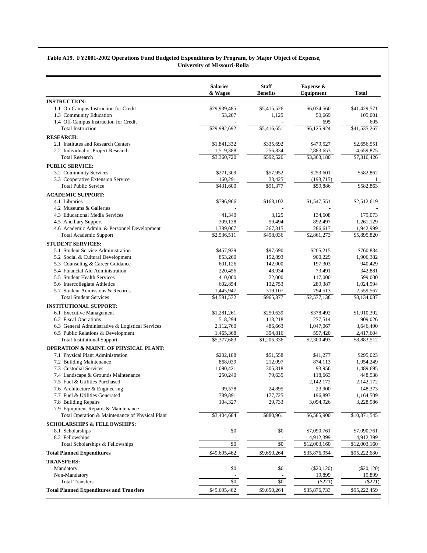#### **Table A19. FY2001-2002 Operations Fund Budgeted Expenditures by Program, by Major Object of Expense, University of Missouri-Rolla**

|                                                  | <b>Salaries</b><br>& Wages | <b>Staff</b><br><b>Benefits</b> | Expense &<br>Equipment | Total                   |
|--------------------------------------------------|----------------------------|---------------------------------|------------------------|-------------------------|
| <b>INSTRUCTION:</b>                              |                            |                                 |                        |                         |
| 1.1 On-Campus Instruction for Credit             | \$29,939,485               | \$5,415,526                     | \$6,074,560            | \$41,429,571            |
| 1.3 Community Education                          | 53,207                     | 1,125                           | 50,669                 | 105,001                 |
| 1.4 Off-Campus Instruction for Credit            |                            |                                 | 695                    | 695                     |
| <b>Total Instruction</b>                         | \$29,992,692               | \$5,416,651                     | \$6,125,924            | \$41,535,267            |
| <b>RESEARCH:</b>                                 |                            |                                 |                        |                         |
| 2.1 Institutes and Research Centers              | \$1,841,332                | \$335,692                       | \$479,527              | \$2,656,551             |
| 2.2 Individual or Project Research               | 1,519,388                  | 256,834                         | 2,883,653              | 4,659,875               |
| <b>Total Research</b>                            | \$3,360,720                | \$592,526                       | \$3,363,180            | \$7,316,426             |
| <b>PUBLIC SERVICE:</b>                           |                            |                                 |                        |                         |
| 3.2 Community Services                           | \$271,309                  | \$57,952                        | \$253,601              | \$582,862               |
| 3.3 Cooperative Extension Service                | 160,291                    | 33,425                          | (193, 715)             |                         |
| <b>Total Public Service</b>                      | \$431,600                  | \$91,377                        | \$59,886               | \$582,863               |
| <b>ACADEMIC SUPPORT:</b>                         |                            |                                 |                        |                         |
| 4.1 Libraries                                    | \$796,966                  | \$168,102                       | \$1,547,551            | \$2,512,619             |
| 4.2 Museums & Galleries                          |                            |                                 |                        |                         |
| 4.3 Educational Media Services                   | 41,340                     | 3,125                           | 134,608                | 179,073                 |
| 4.5 Ancillary Support                            | 309.138                    | 59,494                          | 892,497                | 1,261,129               |
| 4.6 Academic Admin. & Personnel Development      | 1,389,067                  | 267,315                         | 286,617                | 1,942,999               |
| <b>Total Academic Support</b>                    | \$2,536,511                | \$498,036                       | \$2,861,273            | \$5,895,820             |
| <b>STUDENT SERVICES:</b>                         |                            |                                 |                        |                         |
| 5.1 Student Service Administration               | \$457,929                  | \$97,690                        | \$205,215              | \$760,834               |
| 5.2 Social & Cultural Development                | 853,260                    | 152,893                         | 900,229                | 1,906,382               |
| 5.3 Counseling & Career Guidance                 | 601,126                    | 142,000                         | 197,303                | 940,429                 |
| 5.4 Financial Aid Administration                 | 220,456                    | 48,934                          | 73,491                 | 342,881                 |
| 5.5 Student Health Services                      | 410,000                    | 72,000                          | 117,000                | 599,000                 |
| 5.6 Intercollegiate Athletics                    | 602,854                    | 132,753                         | 289,387                | 1,024,994               |
| 5.7 Student Admissions & Records                 | 1,445,947                  | 319,107                         | 794,513                | 2,559,567               |
| <b>Total Student Services</b>                    | \$4,591,572                | \$965,377                       | \$2,577,138            | \$8,134,087             |
| <b>INSTITUTIONAL SUPPORT:</b>                    |                            |                                 |                        |                         |
| 6.1 Executive Management                         | \$1,281,261                | \$250,639                       | \$378,492              | \$1,910,392             |
| 6.2 Fiscal Operations                            | 518,294                    | 113,218                         | 277,514                | 909,026                 |
| 6.3 General Administrative & Logistical Services | 2,112,760                  | 486,663                         | 1,047,067              | 3,646,490               |
| 6.5 Public Relations & Development               | 1,465,368                  | 354,816                         | 597,420                | 2,417,604               |
| <b>Total Institutional Support</b>               | \$5,377,683                | \$1,205,336                     | \$2,300,493            | $\overline{$8,883,512}$ |
| <b>OPERATION &amp; MAINT. OF PHYSICAL PLANT:</b> |                            |                                 |                        |                         |
| 7.1 Physical Plant Administration                | \$202,188                  | \$51,558                        | \$41,277               | \$295,023               |
| 7.2 Building Maintenance                         | 868,039                    | 212,097                         | 874,113                | 1,954,249               |
| 7.3 Custodial Services                           | 1,090,421                  | 305,318                         | 93,956                 | 1,489,695               |
| 7.4 Landscape & Grounds Maintenance              | 250,240                    | 79,635                          | 118,663                | 448,538                 |
| 7.5 Fuel & Utilities Purchased                   |                            |                                 | 2,142,172              | 2,142,172               |
| 7.6 Architecture & Engineering                   | 99,578                     | 24,895                          | 23,900                 | 148,373                 |
| 7.7 Fuel & Utilities Generated                   | 789,891                    | 177,725                         | 196,893                | 1,164,509               |
| 7.8 Building Repairs                             | 104,327                    | 29,733                          | 3,094,926              | 3,228,986               |
| 7.9 Equipment Repairs & Maintenance              |                            |                                 |                        |                         |
| Total Operation & Maintenance of Physical Plant  | \$3,404,684                | \$880,961                       | \$6,585,900            | \$10,871,545            |
| <b>SCHOLARSHIPS &amp; FELLOWSHIPS:</b>           |                            |                                 |                        |                         |
| 8.1 Scholarships                                 | \$0                        | \$0                             | \$7,090,761            | \$7,090,761             |
| 8.2 Fellowships                                  |                            |                                 | 4,912,399              | 4,912,399               |
| Total Scholarships & Fellowships                 | $\$0$                      | $\$0$                           | \$12,003,160           | \$12,003,160            |
| <b>Total Planned Expenditures</b>                | \$49,695,462               | \$9,650,264                     | \$35,876,954           | \$95,222,680            |
| <b>TRANSFERS:</b>                                |                            |                                 |                        |                         |
| Mandatory                                        | \$0                        | \$0                             | $(\$20,120)$           | $(\$20,120)$            |
| Non-Mandatory                                    |                            |                                 | 19,899                 | 19,899                  |
| <b>Total Transfers</b>                           | \$0                        | \$0                             | (\$221)                | $(\$221)$               |
| <b>Total Planned Expenditures and Transfers</b>  |                            |                                 |                        |                         |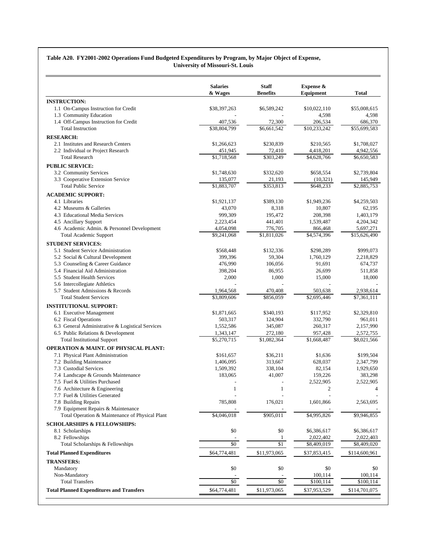#### **Table A20. FY2001-2002 Operations Fund Budgeted Expenditures by Program, by Major Object of Expense, University of Missouri-St. Louis**

| <b>INSTRUCTION:</b><br>1.1 On-Campus Instruction for Credit |              |              | Equipment               | Total         |
|-------------------------------------------------------------|--------------|--------------|-------------------------|---------------|
|                                                             |              |              |                         |               |
|                                                             | \$38,397,263 | \$6,589,242  | \$10,022,110            | \$55,008,615  |
| 1.3 Community Education                                     |              |              | 4,598                   | 4,598         |
| 1.4 Off-Campus Instruction for Credit                       | 407,536      | 72,300       | 206,534                 | 686,370       |
| <b>Total Instruction</b>                                    | \$38,804,799 | \$6,661,542  | \$10,233,242            | \$55,699,583  |
| <b>RESEARCH:</b>                                            |              |              |                         |               |
| 2.1 Institutes and Research Centers                         | \$1,266,623  | \$230.839    | \$210,565               | \$1,708,027   |
| 2.2 Individual or Project Research                          | 451,945      | 72,410       | 4,418,201               | 4,942,556     |
| <b>Total Research</b>                                       | \$1,718,568  | \$303,249    | \$4,628,766             | \$6,650,583   |
| <b>PUBLIC SERVICE:</b>                                      |              |              |                         |               |
| 3.2 Community Services                                      | \$1,748,630  | \$332,620    | \$658,554               | \$2,739,804   |
| 3.3 Cooperative Extension Service                           | 135,077      | 21,193       | (10, 321)               | 145,949       |
| <b>Total Public Service</b>                                 | \$1,883,707  | \$353,813    | \$648,233               | \$2,885,753   |
| <b>ACADEMIC SUPPORT:</b>                                    |              |              |                         |               |
| 4.1 Libraries                                               | \$1,921,137  | \$389,130    | \$1,949,236             | \$4,259,503   |
| 4.2 Museums & Galleries                                     | 43,070       | 8,318        | 10,807                  | 62,195        |
| 4.3 Educational Media Services                              | 999,309      | 195,472      | 208,398                 | 1,403,179     |
| 4.5 Ancillary Support                                       | 2,223,454    | 441,401      | 1,539,487               | 4,204,342     |
| 4.6 Academic Admin. & Personnel Development                 | 4,054,098    | 776,705      | 866,468                 | 5,697,271     |
| <b>Total Academic Support</b>                               | \$9,241,068  | \$1,811,026  | $\overline{84,574,396}$ | \$15,626,490  |
| <b>STUDENT SERVICES:</b>                                    |              |              |                         |               |
| 5.1 Student Service Administration                          | \$568,448    | \$132,336    | \$298,289               | \$999,073     |
| 5.2 Social & Cultural Development                           | 399,396      | 59,304       | 1,760,129               | 2,218,829     |
| 5.3 Counseling & Career Guidance                            | 476,990      | 106,056      | 91,691                  | 674,737       |
| 5.4 Financial Aid Administration                            | 398,204      | 86,955       | 26,699                  | 511,858       |
| 5.5 Student Health Services                                 | 2,000        | 1,000        | 15,000                  | 18,000        |
| 5.6 Intercollegiate Athletics                               |              |              |                         |               |
| 5.7 Student Admissions & Records                            | 1,964,568    | 470,408      | 503,638                 | 2,938,614     |
| <b>Total Student Services</b>                               | \$3,809,606  | \$856,059    | \$2,695,446             | \$7,361,111   |
| <b>INSTITUTIONAL SUPPORT:</b>                               |              |              |                         |               |
| 6.1 Executive Management                                    | \$1,871,665  | \$340,193    | \$117,952               | \$2,329,810   |
| 6.2 Fiscal Operations                                       | 503,317      | 124,904      | 332,790                 | 961,011       |
| 6.3 General Administrative & Logistical Services            | 1,552,586    | 345,087      | 260,317                 | 2,157,990     |
| 6.5 Public Relations & Development                          | 1,343,147    | 272,180      | 957,428                 | 2,572,755     |
| <b>Total Institutional Support</b>                          | \$5,270,715  | \$1,082,364  | $\overline{$1,668,487}$ | \$8,021,566   |
| <b>OPERATION &amp; MAINT. OF PHYSICAL PLANT:</b>            |              |              |                         |               |
| 7.1 Physical Plant Administration                           | \$161,657    | \$36,211     | \$1,636                 | \$199,504     |
| 7.2 Building Maintenance                                    | 1,406,095    | 313,667      | 628,037                 | 2,347,799     |
| 7.3 Custodial Services                                      | 1,509,392    | 338,104      | 82,154                  | 1,929,650     |
| 7.4 Landscape & Grounds Maintenance                         | 183,065      | 41,007       | 159,226                 | 383,298       |
| 7.5 Fuel & Utilities Purchased                              |              |              | 2,522,905               | 2,522,905     |
| 7.6 Architecture & Engineering                              | 1            | 1            | $\mathfrak{2}$          | 4             |
| 7.7 Fuel & Utilities Generated                              |              |              |                         |               |
| 7.8 Building Repairs                                        | 785,808      | 176,021      | 1,601,866               | 2,563,695     |
| 7.9 Equipment Repairs & Maintenance                         |              |              |                         |               |
| Total Operation & Maintenance of Physical Plant             | \$4,046,018  | \$905,011    | \$4,995,826             | \$9,946,855   |
| <b>SCHOLARSHIPS &amp; FELLOWSHIPS:</b>                      |              |              |                         |               |
| 8.1 Scholarships                                            | \$0          | \$0          | \$6,386,617             | \$6,386,617   |
| 8.2 Fellowships                                             |              | 1            | 2,022,402               | 2,022,403     |
| Total Scholarships & Fellowships                            | \$0          | \$1          | \$8,409,019             | \$8,409,020   |
| <b>Total Planned Expenditures</b>                           | \$64,774,481 | \$11,973,065 | \$37,853,415            | \$114,600,961 |
| <b>TRANSFERS:</b>                                           |              |              |                         |               |
| Mandatory                                                   | \$0          | \$0          | \$0                     | \$0           |
| Non-Mandatory                                               |              |              | 100,114                 | 100,114       |
| <b>Total Transfers</b>                                      | $\$0$        | $\$0$        | \$100,114               | \$100,114     |
| <b>Total Planned Expenditures and Transfers</b>             | \$64,774,481 | \$11,973,065 | \$37,953,529            | \$114,701,075 |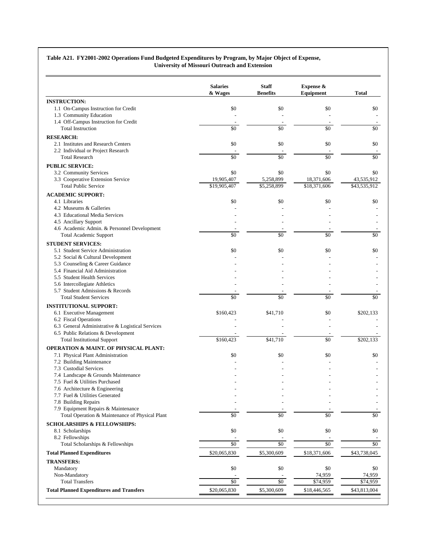#### **Table A21. FY2001-2002 Operations Fund Budgeted Expenditures by Program, by Major Object of Expense, University of Missouri Outreach and Extension**

|                                                                          | <b>Salaries</b><br>& Wages | <b>Staff</b><br><b>Benefits</b> | Expense &<br>Equipment | <b>Total</b>         |
|--------------------------------------------------------------------------|----------------------------|---------------------------------|------------------------|----------------------|
| <b>INSTRUCTION:</b>                                                      |                            |                                 |                        |                      |
| 1.1 On-Campus Instruction for Credit                                     | \$0                        | \$0                             | \$0                    | \$0                  |
| 1.3 Community Education                                                  |                            |                                 |                        |                      |
| 1.4 Off-Campus Instruction for Credit                                    |                            |                                 |                        |                      |
| <b>Total Instruction</b>                                                 | \$0                        | \$0                             | \$0                    | \$0                  |
| <b>RESEARCH:</b>                                                         |                            |                                 |                        |                      |
| 2.1 Institutes and Research Centers                                      | \$0                        | \$0                             | \$0                    | \$0                  |
| 2.2 Individual or Project Research<br><b>Total Research</b>              | \$0                        | \$0                             | $\overline{50}$        | \$0                  |
|                                                                          |                            |                                 |                        |                      |
| <b>PUBLIC SERVICE:</b>                                                   | \$0                        | \$0                             | \$0                    | \$0                  |
| 3.2 Community Services<br>3.3 Cooperative Extension Service              | 19,905,407                 | 5,258,899                       | 18,371,606             | 43,535,912           |
| <b>Total Public Service</b>                                              | \$19,905,407               | $\overline{55,}258,899$         | \$18,371,606           | \$43,535,912         |
|                                                                          |                            |                                 |                        |                      |
| <b>ACADEMIC SUPPORT:</b><br>4.1 Libraries                                | \$0                        | \$0                             | \$0                    | \$0                  |
| 4.2 Museums & Galleries                                                  |                            |                                 |                        |                      |
| 4.3 Educational Media Services                                           |                            |                                 |                        |                      |
| 4.5 Ancillary Support                                                    |                            |                                 |                        |                      |
| 4.6 Academic Admin. & Personnel Development                              |                            |                                 |                        |                      |
| <b>Total Academic Support</b>                                            | \$0                        | \$0                             | \$0                    | \$0                  |
| <b>STUDENT SERVICES:</b>                                                 |                            |                                 |                        |                      |
| 5.1 Student Service Administration                                       | \$0                        | \$0                             | \$0                    | \$0                  |
| 5.2 Social & Cultural Development                                        |                            |                                 |                        |                      |
| 5.3 Counseling & Career Guidance                                         |                            |                                 |                        |                      |
| 5.4 Financial Aid Administration                                         |                            |                                 |                        |                      |
| 5.5 Student Health Services                                              |                            |                                 |                        |                      |
| 5.6 Intercollegiate Athletics                                            |                            |                                 |                        |                      |
| 5.7 Student Admissions & Records                                         |                            |                                 |                        |                      |
| <b>Total Student Services</b>                                            | \$0                        | \$0                             | \$0                    | \$0                  |
| <b>INSTITUTIONAL SUPPORT:</b>                                            |                            |                                 |                        |                      |
| 6.1 Executive Management                                                 | \$160,423                  | \$41,710                        | \$0                    | \$202,133            |
| 6.2 Fiscal Operations                                                    |                            |                                 |                        |                      |
| 6.3 General Administrative & Logistical Services                         |                            |                                 |                        |                      |
| 6.5 Public Relations & Development<br><b>Total Institutional Support</b> | \$160,423                  | \$41,710                        | $\overline{50}$        | \$202,133            |
|                                                                          |                            |                                 |                        |                      |
| <b>OPERATION &amp; MAINT. OF PHYSICAL PLANT:</b>                         |                            |                                 |                        |                      |
| 7.1 Physical Plant Administration                                        | \$0                        | \$0                             | \$0                    | \$0                  |
| 7.2 Building Maintenance<br>7.3 Custodial Services                       |                            |                                 |                        |                      |
| 7.4 Landscape & Grounds Maintenance                                      |                            |                                 |                        |                      |
| 7.5 Fuel & Utilities Purchased                                           |                            |                                 |                        |                      |
| 7.6 Architecture & Engineering                                           |                            |                                 |                        |                      |
| 7.7 Fuel & Utilities Generated                                           |                            |                                 |                        |                      |
| 7.8 Building Repairs                                                     |                            |                                 |                        |                      |
| 7.9 Equipment Repairs & Maintenance                                      |                            |                                 |                        |                      |
| Total Operation & Maintenance of Physical Plant                          | \$0                        | \$0                             | \$0                    | \$0                  |
| <b>SCHOLARSHIPS &amp; FELLOWSHIPS:</b>                                   |                            |                                 |                        |                      |
| 8.1 Scholarships                                                         | $\$0$                      | \$0                             | $\$0$                  | \$0                  |
| 8.2 Fellowships                                                          |                            |                                 |                        |                      |
| Total Scholarships & Fellowships                                         | \$0                        | $\$0$                           | $\$0$                  | \$0                  |
| <b>Total Planned Expenditures</b>                                        | \$20,065,830               | \$5,300,609                     | \$18,371,606           | \$43,738,045         |
| <b>TRANSFERS:</b>                                                        |                            |                                 |                        |                      |
| Mandatory                                                                | \$0                        | \$0                             | $\$0$                  | \$0                  |
|                                                                          |                            |                                 | 74,959                 | 74,959               |
| Non-Mandatory                                                            |                            |                                 |                        |                      |
| <b>Total Transfers</b>                                                   | \$0                        | \$0                             | \$74,959               | $\overline{$}74,959$ |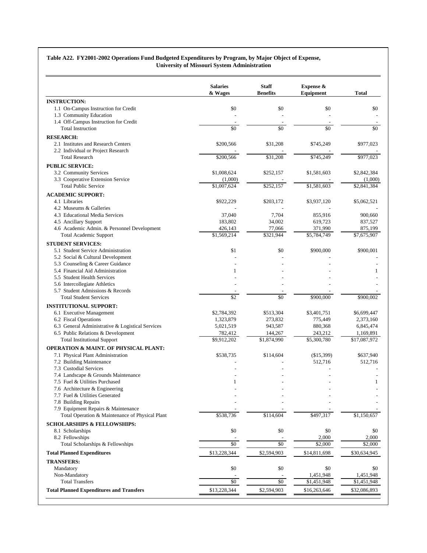#### **Table A22. FY2001-2002 Operations Fund Budgeted Expenditures by Program, by Major Object of Expense, University of Missouri System Administration**

|                                                  | <b>Salaries</b><br>& Wages | <b>Staff</b><br><b>Benefits</b> | Expense &<br>Equipment  | Total        |
|--------------------------------------------------|----------------------------|---------------------------------|-------------------------|--------------|
| <b>INSTRUCTION:</b>                              |                            |                                 |                         |              |
| 1.1 On-Campus Instruction for Credit             | \$0                        | \$0                             | \$0                     | \$0          |
| 1.3 Community Education                          |                            |                                 |                         |              |
| 1.4 Off-Campus Instruction for Credit            |                            |                                 |                         |              |
| <b>Total Instruction</b>                         | \$0                        | \$0                             | \$0                     | \$0          |
| <b>RESEARCH:</b>                                 |                            |                                 |                         |              |
| 2.1 Institutes and Research Centers              | \$200,566                  | \$31,208                        | \$745,249               | \$977,023    |
| 2.2 Individual or Project Research               |                            |                                 |                         |              |
| <b>Total Research</b>                            | \$200,566                  | \$31,208                        | \$745,249               | \$977,023    |
| <b>PUBLIC SERVICE:</b>                           |                            |                                 |                         |              |
| 3.2 Community Services                           | \$1,008,624                | \$252,157                       | \$1,581,603             | \$2,842,384  |
| 3.3 Cooperative Extension Service                | (1,000)                    |                                 |                         | (1,000)      |
| <b>Total Public Service</b>                      | \$1,007,624                | \$252,157                       | \$1,581,603             | \$2,841,384  |
| <b>ACADEMIC SUPPORT:</b>                         |                            |                                 |                         |              |
| 4.1 Libraries                                    | \$922,229                  | \$203,172                       | \$3,937,120             | \$5,062,521  |
| 4.2 Museums & Galleries                          |                            |                                 |                         |              |
| 4.3 Educational Media Services                   | 37,040                     | 7,704                           | 855,916                 | 900,660      |
| 4.5 Ancillary Support                            | 183,802                    | 34,002                          | 619,723                 | 837,527      |
| 4.6 Academic Admin. & Personnel Development      | 426,143                    | 77,066                          | 371,990                 | 875,199      |
| <b>Total Academic Support</b>                    | \$1,569,214                | \$321,944                       | \$5,784,749             | \$7,675,907  |
| <b>STUDENT SERVICES:</b>                         |                            |                                 |                         |              |
| 5.1 Student Service Administration               | \$1                        | \$0                             | \$900,000               | \$900,001    |
| 5.2 Social & Cultural Development                |                            |                                 |                         |              |
| 5.3 Counseling & Career Guidance                 |                            |                                 |                         |              |
| 5.4 Financial Aid Administration                 | 1                          |                                 |                         | 1            |
| 5.5 Student Health Services                      |                            |                                 |                         |              |
| 5.6 Intercollegiate Athletics                    |                            |                                 |                         |              |
| 5.7 Student Admissions & Records                 |                            |                                 |                         |              |
| <b>Total Student Services</b>                    | \$2                        | \$0                             | \$900,000               | \$900,002    |
| <b>INSTITUTIONAL SUPPORT:</b>                    |                            |                                 |                         |              |
| 6.1 Executive Management                         | \$2,784,392                | \$513,304                       | \$3,401,751             | \$6,699,447  |
| 6.2 Fiscal Operations                            | 1,323,879                  | 273,832                         | 775,449                 | 2,373,160    |
| 6.3 General Administrative & Logistical Services | 5,021,519                  | 943,587                         | 880,368                 | 6,845,474    |
| 6.5 Public Relations & Development               | 782,412                    | 144,267                         | 243,212                 | 1,169,891    |
| <b>Total Institutional Support</b>               | \$9,912,202                | \$1,874,990                     | $\overline{$5,300,780}$ | \$17,087,972 |
| <b>OPERATION &amp; MAINT. OF PHYSICAL PLANT:</b> |                            |                                 |                         |              |
| 7.1 Physical Plant Administration                | \$538,735                  | \$114,604                       | (\$15,399)              | \$637,940    |
| 7.2 Building Maintenance                         |                            |                                 | 512,716                 | 512,716      |
| 7.3 Custodial Services                           |                            |                                 |                         |              |
| 7.4 Landscape & Grounds Maintenance              |                            |                                 |                         |              |
| 7.5 Fuel & Utilities Purchased                   | $\mathbf{1}$               |                                 |                         | $\mathbf{1}$ |
| 7.6 Architecture & Engineering                   |                            |                                 |                         |              |
| 7.7 Fuel & Utilities Generated                   |                            |                                 |                         |              |
| 7.8 Building Repairs                             |                            |                                 |                         |              |
| 7.9 Equipment Repairs & Maintenance              |                            |                                 |                         |              |
| Total Operation & Maintenance of Physical Plant  | \$538,736                  | \$114,604                       | \$497,317               | \$1,150,657  |
| <b>SCHOLARSHIPS &amp; FELLOWSHIPS:</b>           |                            |                                 |                         |              |
| 8.1 Scholarships                                 | \$0                        | \$0                             | \$0                     | \$0          |
| 8.2 Fellowships                                  |                            |                                 | 2,000                   | 2,000        |
| Total Scholarships & Fellowships                 | \$0                        | \$0                             | \$2,000                 | \$2,000      |
| <b>Total Planned Expenditures</b>                | \$13,228,344               | \$2,594,903                     | \$14,811,698            | \$30,634,945 |
| <b>TRANSFERS:</b>                                |                            |                                 |                         |              |
| Mandatory                                        | \$0                        | \$0                             | \$0                     | \$0          |
| Non-Mandatory                                    |                            |                                 | 1,451,948               | 1,451,948    |
| <b>Total Transfers</b>                           | \$0                        | \$0                             | \$1,451,948             | \$1,451,948  |
| <b>Total Planned Expenditures and Transfers</b>  | \$13,228,344               | \$2,594,903                     |                         |              |
|                                                  |                            |                                 | \$16,263,646            | \$32,086,893 |